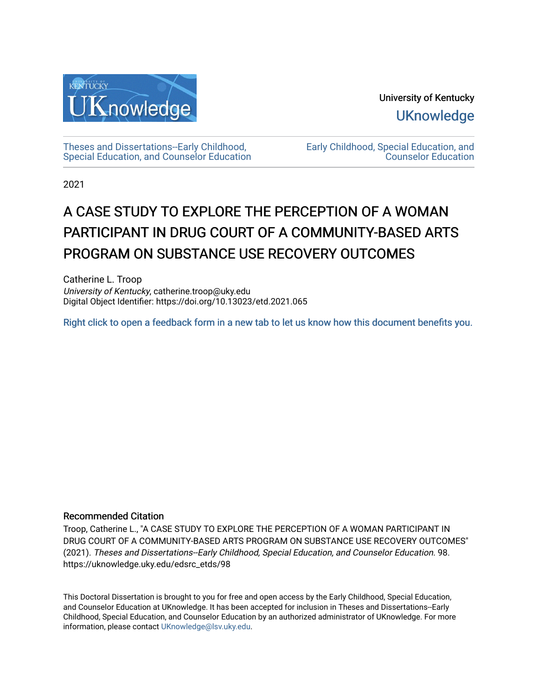

University of Kentucky **UKnowledge** 

[Theses and Dissertations--Early Childhood,](https://uknowledge.uky.edu/edsrc_etds)  [Special Education, and Counselor Education](https://uknowledge.uky.edu/edsrc_etds) [Early Childhood, Special Education, and](https://uknowledge.uky.edu/edsrc)  [Counselor Education](https://uknowledge.uky.edu/edsrc) 

2021

# A CASE STUDY TO EXPLORE THE PERCEPTION OF A WOMAN PARTICIPANT IN DRUG COURT OF A COMMUNITY-BASED ARTS PROGRAM ON SUBSTANCE USE RECOVERY OUTCOMES

Catherine L. Troop University of Kentucky, catherine.troop@uky.edu Digital Object Identifier: https://doi.org/10.13023/etd.2021.065

[Right click to open a feedback form in a new tab to let us know how this document benefits you.](https://uky.az1.qualtrics.com/jfe/form/SV_9mq8fx2GnONRfz7)

# Recommended Citation

Troop, Catherine L., "A CASE STUDY TO EXPLORE THE PERCEPTION OF A WOMAN PARTICIPANT IN DRUG COURT OF A COMMUNITY-BASED ARTS PROGRAM ON SUBSTANCE USE RECOVERY OUTCOMES" (2021). Theses and Dissertations--Early Childhood, Special Education, and Counselor Education. 98. https://uknowledge.uky.edu/edsrc\_etds/98

This Doctoral Dissertation is brought to you for free and open access by the Early Childhood, Special Education, and Counselor Education at UKnowledge. It has been accepted for inclusion in Theses and Dissertations--Early Childhood, Special Education, and Counselor Education by an authorized administrator of UKnowledge. For more information, please contact [UKnowledge@lsv.uky.edu](mailto:UKnowledge@lsv.uky.edu).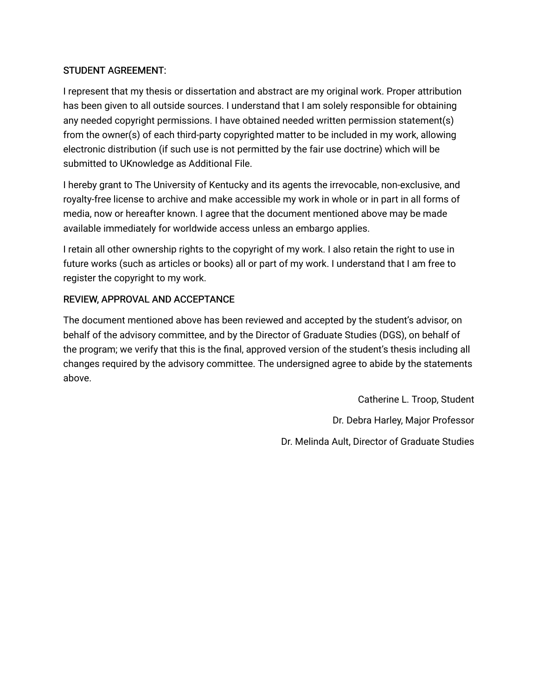# STUDENT AGREEMENT:

I represent that my thesis or dissertation and abstract are my original work. Proper attribution has been given to all outside sources. I understand that I am solely responsible for obtaining any needed copyright permissions. I have obtained needed written permission statement(s) from the owner(s) of each third-party copyrighted matter to be included in my work, allowing electronic distribution (if such use is not permitted by the fair use doctrine) which will be submitted to UKnowledge as Additional File.

I hereby grant to The University of Kentucky and its agents the irrevocable, non-exclusive, and royalty-free license to archive and make accessible my work in whole or in part in all forms of media, now or hereafter known. I agree that the document mentioned above may be made available immediately for worldwide access unless an embargo applies.

I retain all other ownership rights to the copyright of my work. I also retain the right to use in future works (such as articles or books) all or part of my work. I understand that I am free to register the copyright to my work.

# REVIEW, APPROVAL AND ACCEPTANCE

The document mentioned above has been reviewed and accepted by the student's advisor, on behalf of the advisory committee, and by the Director of Graduate Studies (DGS), on behalf of the program; we verify that this is the final, approved version of the student's thesis including all changes required by the advisory committee. The undersigned agree to abide by the statements above.

> Catherine L. Troop, Student Dr. Debra Harley, Major Professor Dr. Melinda Ault, Director of Graduate Studies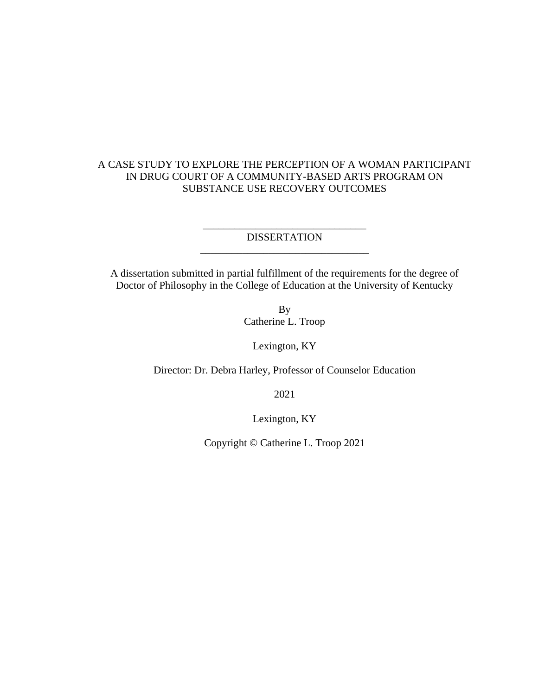# A CASE STUDY TO EXPLORE THE PERCEPTION OF A WOMAN PARTICIPANT IN DRUG COURT OF A COMMUNITY-BASED ARTS PROGRAM ON SUBSTANCE USE RECOVERY OUTCOMES

\_\_\_\_\_\_\_\_\_\_\_\_\_\_\_\_\_\_\_\_\_\_\_\_\_\_\_\_\_\_\_ DISSERTATION \_\_\_\_\_\_\_\_\_\_\_\_\_\_\_\_\_\_\_\_\_\_\_\_\_\_\_\_\_\_\_\_

A dissertation submitted in partial fulfillment of the requirements for the degree of Doctor of Philosophy in the College of Education at the University of Kentucky

> By Catherine L. Troop

> > Lexington, KY

Director: Dr. Debra Harley, Professor of Counselor Education

2021

Lexington, KY

Copyright © Catherine L. Troop 2021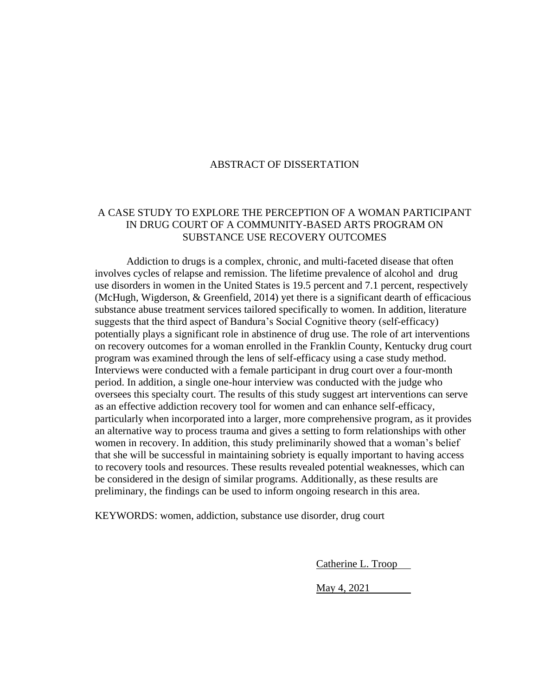# ABSTRACT OF DISSERTATION

# A CASE STUDY TO EXPLORE THE PERCEPTION OF A WOMAN PARTICIPANT IN DRUG COURT OF A COMMUNITY-BASED ARTS PROGRAM ON SUBSTANCE USE RECOVERY OUTCOMES

Addiction to drugs is a complex, chronic, and multi-faceted disease that often involves cycles of relapse and remission. The lifetime prevalence of alcohol and drug use disorders in women in the United States is 19.5 percent and 7.1 percent, respectively (McHugh, Wigderson, & Greenfield, 2014) yet there is a significant dearth of efficacious substance abuse treatment services tailored specifically to women. In addition, literature suggests that the third aspect of Bandura's Social Cognitive theory (self-efficacy) potentially plays a significant role in abstinence of drug use. The role of art interventions on recovery outcomes for a woman enrolled in the Franklin County, Kentucky drug court program was examined through the lens of self-efficacy using a case study method. Interviews were conducted with a female participant in drug court over a four-month period. In addition, a single one-hour interview was conducted with the judge who oversees this specialty court. The results of this study suggest art interventions can serve as an effective addiction recovery tool for women and can enhance self-efficacy, particularly when incorporated into a larger, more comprehensive program, as it provides an alternative way to process trauma and gives a setting to form relationships with other women in recovery. In addition, this study preliminarily showed that a woman's belief that she will be successful in maintaining sobriety is equally important to having access to recovery tools and resources. These results revealed potential weaknesses, which can be considered in the design of similar programs. Additionally, as these results are preliminary, the findings can be used to inform ongoing research in this area.

KEYWORDS: women, addiction, substance use disorder, drug court

Catherine L. Troop

May 4, 2021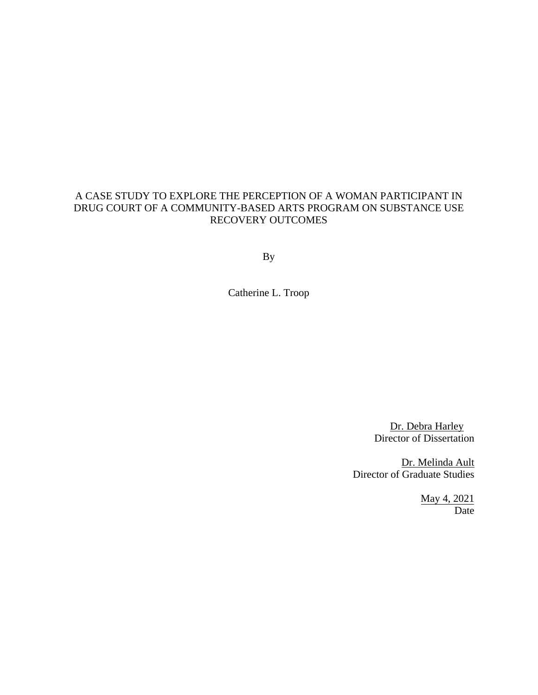# A CASE STUDY TO EXPLORE THE PERCEPTION OF A WOMAN PARTICIPANT IN DRUG COURT OF A COMMUNITY-BASED ARTS PROGRAM ON SUBSTANCE USE RECOVERY OUTCOMES

By

Catherine L. Troop

Dr. Debra Harley Director of Dissertation

Dr. Melinda Ault Director of Graduate Studies

> May 4, 2021 Date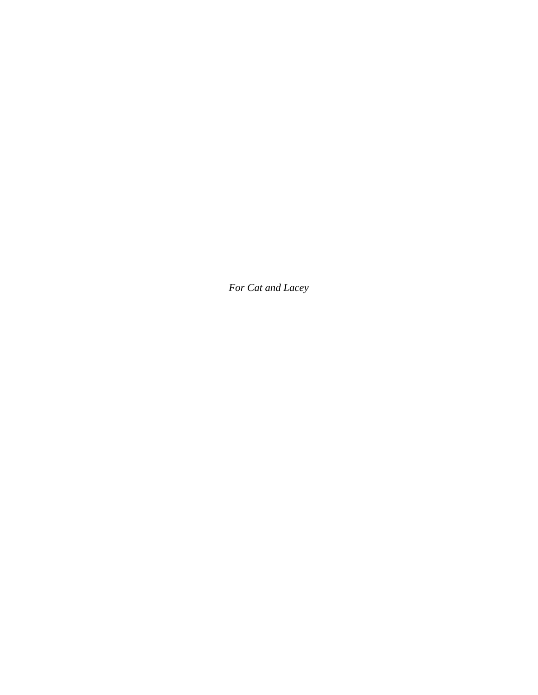*For Cat and Lacey*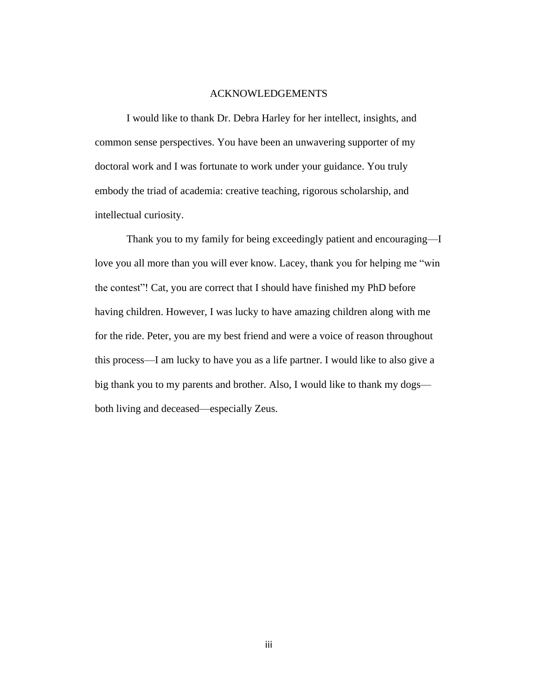# ACKNOWLEDGEMENTS

I would like to thank Dr. Debra Harley for her intellect, insights, and common sense perspectives. You have been an unwavering supporter of my doctoral work and I was fortunate to work under your guidance. You truly embody the triad of academia: creative teaching, rigorous scholarship, and intellectual curiosity.

Thank you to my family for being exceedingly patient and encouraging—I love you all more than you will ever know. Lacey, thank you for helping me "win the contest"! Cat, you are correct that I should have finished my PhD before having children. However, I was lucky to have amazing children along with me for the ride. Peter, you are my best friend and were a voice of reason throughout this process—I am lucky to have you as a life partner. I would like to also give a big thank you to my parents and brother. Also, I would like to thank my dogs both living and deceased—especially Zeus.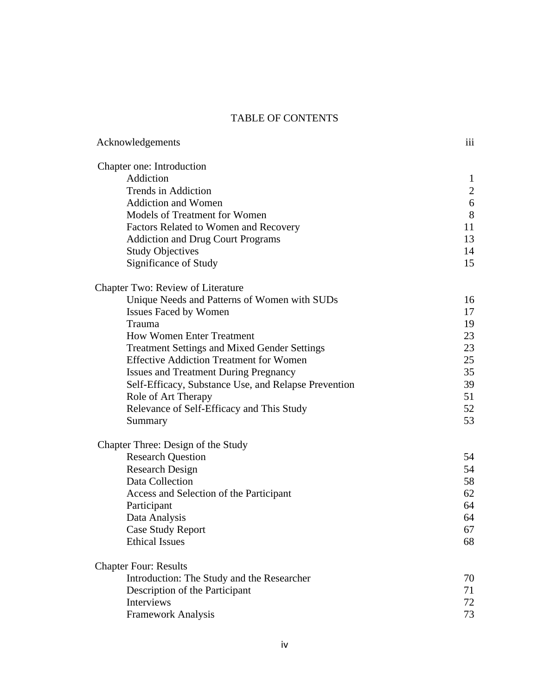# TABLE OF CONTENTS

| Acknowledgements                                     | iii            |
|------------------------------------------------------|----------------|
| Chapter one: Introduction                            |                |
| Addiction                                            | $\mathbf{1}$   |
| <b>Trends in Addiction</b>                           | $\overline{2}$ |
| <b>Addiction and Women</b>                           | 6              |
| Models of Treatment for Women                        | 8              |
| Factors Related to Women and Recovery                | 11             |
| <b>Addiction and Drug Court Programs</b>             | 13             |
| <b>Study Objectives</b>                              | 14             |
| Significance of Study                                | 15             |
| <b>Chapter Two: Review of Literature</b>             |                |
| Unique Needs and Patterns of Women with SUDs         | 16             |
| <b>Issues Faced by Women</b>                         | 17             |
| Trauma                                               | 19             |
| <b>How Women Enter Treatment</b>                     | 23             |
| <b>Treatment Settings and Mixed Gender Settings</b>  | 23             |
| <b>Effective Addiction Treatment for Women</b>       | 25             |
| <b>Issues and Treatment During Pregnancy</b>         | 35             |
| Self-Efficacy, Substance Use, and Relapse Prevention | 39             |
| Role of Art Therapy                                  | 51             |
| Relevance of Self-Efficacy and This Study            | 52             |
| Summary                                              | 53             |
| Chapter Three: Design of the Study                   |                |
| <b>Research Question</b>                             | 54             |
| <b>Research Design</b>                               | 54             |
| Data Collection                                      | 58             |
| Access and Selection of the Participant              | 62             |
| Participant                                          | 64             |
| Data Analysis                                        | 64             |
| Case Study Report                                    | 67             |
| <b>Ethical Issues</b>                                | 68             |
| <b>Chapter Four: Results</b>                         |                |
| Introduction: The Study and the Researcher           | 70             |
| Description of the Participant                       | 71             |
| Interviews                                           | 72             |
| <b>Framework Analysis</b>                            | 73             |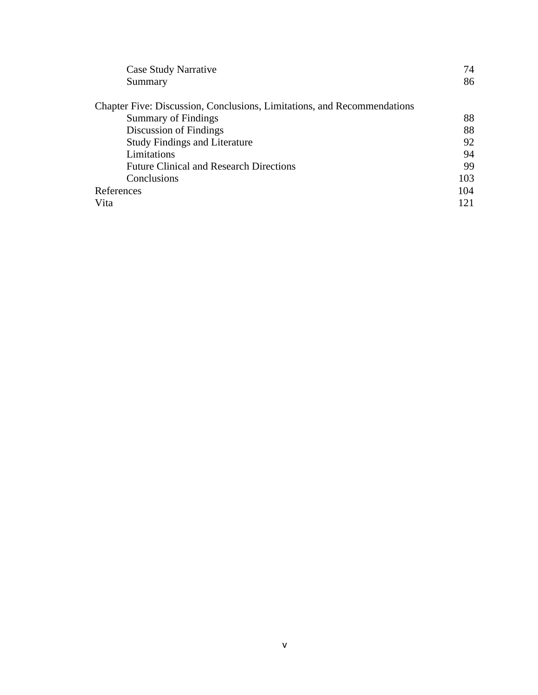| Case Study Narrative                                                    | 74  |
|-------------------------------------------------------------------------|-----|
| Summary                                                                 | 86  |
| Chapter Five: Discussion, Conclusions, Limitations, and Recommendations |     |
| <b>Summary of Findings</b>                                              | 88  |
| Discussion of Findings                                                  | 88  |
| <b>Study Findings and Literature</b>                                    | 92  |
| Limitations                                                             | 94  |
| <b>Future Clinical and Research Directions</b>                          | 99  |
| Conclusions                                                             | 103 |
| References                                                              | 104 |
| Vita                                                                    | 121 |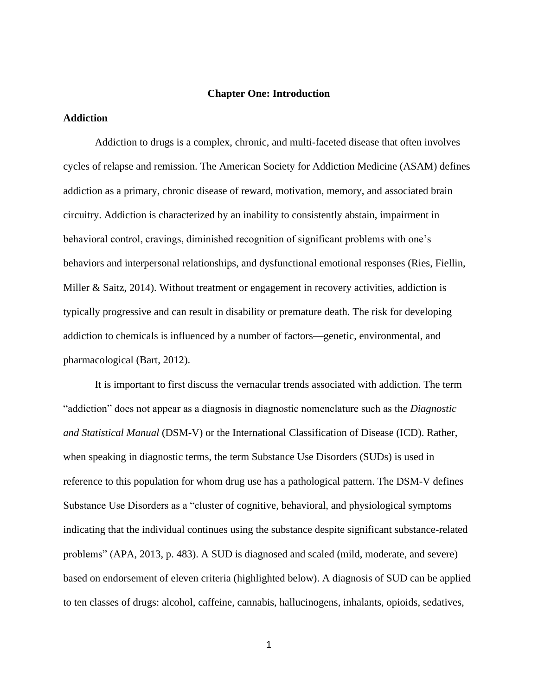## **Chapter One: Introduction**

# **Addiction**

Addiction to drugs is a complex, chronic, and multi-faceted disease that often involves cycles of relapse and remission. The American Society for Addiction Medicine (ASAM) defines addiction as a primary, chronic disease of reward, motivation, memory, and associated brain circuitry. Addiction is characterized by an inability to consistently abstain, impairment in behavioral control, cravings, diminished recognition of significant problems with one's behaviors and interpersonal relationships, and dysfunctional emotional responses (Ries, Fiellin, Miller & Saitz, 2014). Without treatment or engagement in recovery activities, addiction is typically progressive and can result in disability or premature death. The risk for developing addiction to chemicals is influenced by a number of factors—genetic, environmental, and pharmacological (Bart, 2012).

It is important to first discuss the vernacular trends associated with addiction. The term "addiction" does not appear as a diagnosis in diagnostic nomenclature such as the *Diagnostic and Statistical Manual* (DSM-V) or the International Classification of Disease (ICD). Rather, when speaking in diagnostic terms, the term Substance Use Disorders (SUDs) is used in reference to this population for whom drug use has a pathological pattern. The DSM-V defines Substance Use Disorders as a "cluster of cognitive, behavioral, and physiological symptoms indicating that the individual continues using the substance despite significant substance-related problems" (APA, 2013, p. 483). A SUD is diagnosed and scaled (mild, moderate, and severe) based on endorsement of eleven criteria (highlighted below). A diagnosis of SUD can be applied to ten classes of drugs: alcohol, caffeine, cannabis, hallucinogens, inhalants, opioids, sedatives,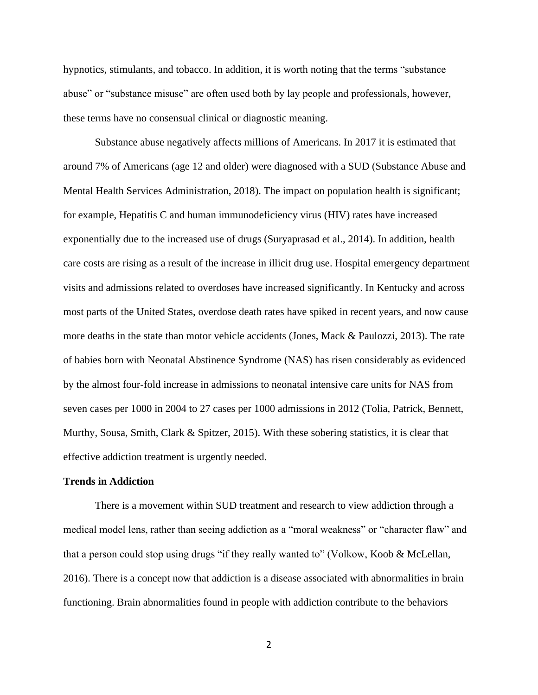hypnotics, stimulants, and tobacco. In addition, it is worth noting that the terms "substance abuse" or "substance misuse" are often used both by lay people and professionals, however, these terms have no consensual clinical or diagnostic meaning.

Substance abuse negatively affects millions of Americans. In 2017 it is estimated that around 7% of Americans (age 12 and older) were diagnosed with a SUD (Substance Abuse and Mental Health Services Administration, 2018). The impact on population health is significant; for example, Hepatitis C and human immunodeficiency virus (HIV) rates have increased exponentially due to the increased use of drugs (Suryaprasad et al., 2014). In addition, health care costs are rising as a result of the increase in illicit drug use. Hospital emergency department visits and admissions related to overdoses have increased significantly. In Kentucky and across most parts of the United States, overdose death rates have spiked in recent years, and now cause more deaths in the state than motor vehicle accidents (Jones, Mack & Paulozzi, 2013). The rate of babies born with Neonatal Abstinence Syndrome (NAS) has risen considerably as evidenced by the almost four-fold increase in admissions to neonatal intensive care units for NAS from seven cases per 1000 in 2004 to 27 cases per 1000 admissions in 2012 (Tolia, Patrick, Bennett, Murthy, Sousa, Smith, Clark & Spitzer, 2015). With these sobering statistics, it is clear that effective addiction treatment is urgently needed.

#### **Trends in Addiction**

There is a movement within SUD treatment and research to view addiction through a medical model lens, rather than seeing addiction as a "moral weakness" or "character flaw" and that a person could stop using drugs "if they really wanted to" (Volkow, Koob & McLellan, 2016). There is a concept now that addiction is a disease associated with abnormalities in brain functioning. Brain abnormalities found in people with addiction contribute to the behaviors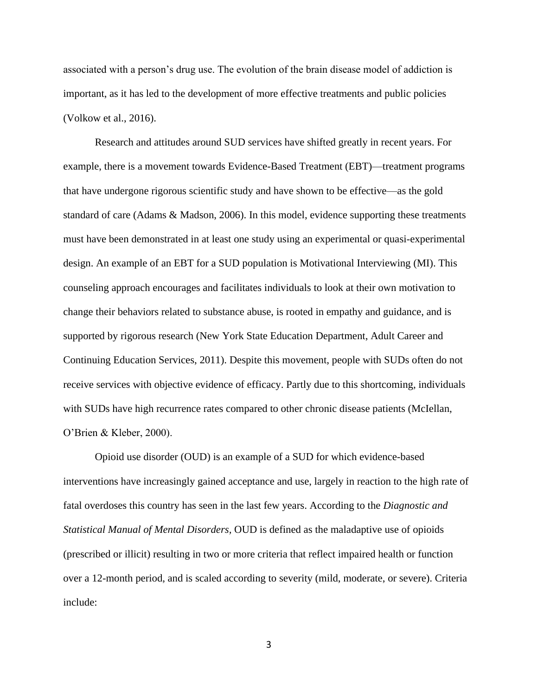associated with a person's drug use. The evolution of the brain disease model of addiction is important, as it has led to the development of more effective treatments and public policies (Volkow et al., 2016).

Research and attitudes around SUD services have shifted greatly in recent years. For example, there is a movement towards Evidence-Based Treatment (EBT)—treatment programs that have undergone rigorous scientific study and have shown to be effective—as the gold standard of care (Adams & Madson, 2006). In this model, evidence supporting these treatments must have been demonstrated in at least one study using an experimental or quasi-experimental design. An example of an EBT for a SUD population is Motivational Interviewing (MI). This counseling approach encourages and facilitates individuals to look at their own motivation to change their behaviors related to substance abuse, is rooted in empathy and guidance, and is supported by rigorous research (New York State Education Department, Adult Career and Continuing Education Services, 2011). Despite this movement, people with SUDs often do not receive services with objective evidence of efficacy. Partly due to this shortcoming, individuals with SUDs have high recurrence rates compared to other chronic disease patients (McIellan, O'Brien & Kleber, 2000).

Opioid use disorder (OUD) is an example of a SUD for which evidence-based interventions have increasingly gained acceptance and use, largely in reaction to the high rate of fatal overdoses this country has seen in the last few years. According to the *Diagnostic and Statistical Manual of Mental Disorders,* OUD is defined as the maladaptive use of opioids (prescribed or illicit) resulting in two or more criteria that reflect impaired health or function over a 12-month period, and is scaled according to severity (mild, moderate, or severe). Criteria include: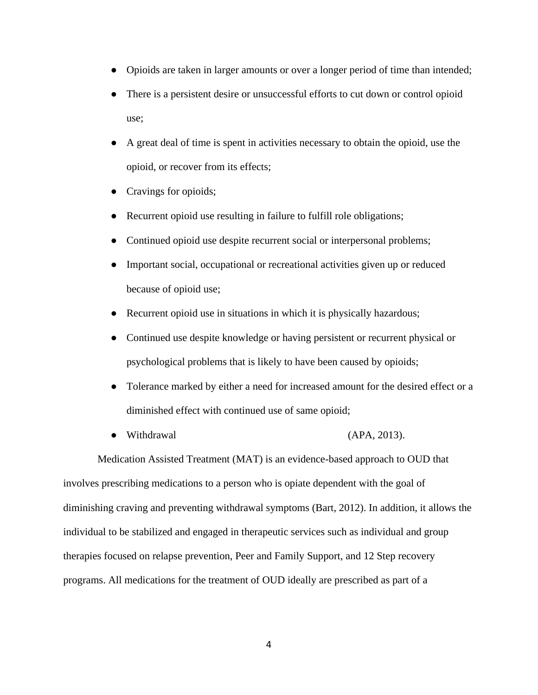- Opioids are taken in larger amounts or over a longer period of time than intended;
- There is a persistent desire or unsuccessful efforts to cut down or control opioid use;
- A great deal of time is spent in activities necessary to obtain the opioid, use the opioid, or recover from its effects;
- Cravings for opioids;
- Recurrent opioid use resulting in failure to fulfill role obligations;
- Continued opioid use despite recurrent social or interpersonal problems;
- Important social, occupational or recreational activities given up or reduced because of opioid use;
- Recurrent opioid use in situations in which it is physically hazardous;
- Continued use despite knowledge or having persistent or recurrent physical or psychological problems that is likely to have been caused by opioids;
- Tolerance marked by either a need for increased amount for the desired effect or a diminished effect with continued use of same opioid;
- Withdrawal (APA, 2013).

Medication Assisted Treatment (MAT) is an evidence-based approach to OUD that involves prescribing medications to a person who is opiate dependent with the goal of diminishing craving and preventing withdrawal symptoms (Bart, 2012). In addition, it allows the individual to be stabilized and engaged in therapeutic services such as individual and group therapies focused on relapse prevention, Peer and Family Support, and 12 Step recovery programs. All medications for the treatment of OUD ideally are prescribed as part of a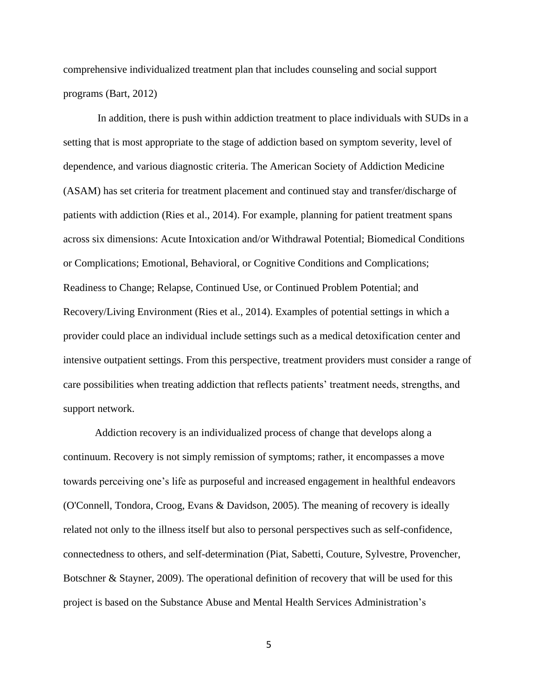comprehensive individualized treatment plan that includes counseling and social support programs (Bart, 2012)

In addition, there is push within addiction treatment to place individuals with SUDs in a setting that is most appropriate to the stage of addiction based on symptom severity, level of dependence, and various diagnostic criteria. The American Society of Addiction Medicine (ASAM) has set criteria for treatment placement and continued stay and transfer/discharge of patients with addiction (Ries et al., 2014). For example, planning for patient treatment spans across six dimensions: Acute Intoxication and/or Withdrawal Potential; Biomedical Conditions or Complications; Emotional, Behavioral, or Cognitive Conditions and Complications; Readiness to Change; Relapse, Continued Use, or Continued Problem Potential; and Recovery/Living Environment (Ries et al., 2014). Examples of potential settings in which a provider could place an individual include settings such as a medical detoxification center and intensive outpatient settings. From this perspective, treatment providers must consider a range of care possibilities when treating addiction that reflects patients' treatment needs, strengths, and support network.

Addiction recovery is an individualized process of change that develops along a continuum. Recovery is not simply remission of symptoms; rather, it encompasses a move towards perceiving one's life as purposeful and increased engagement in healthful endeavors (O'Connell, Tondora, Croog, Evans & Davidson, 2005). The meaning of recovery is ideally related not only to the illness itself but also to personal perspectives such as self-confidence, connectedness to others, and self-determination (Piat, Sabetti, Couture, Sylvestre, Provencher, Botschner & Stayner, 2009). The operational definition of recovery that will be used for this project is based on the Substance Abuse and Mental Health Services Administration's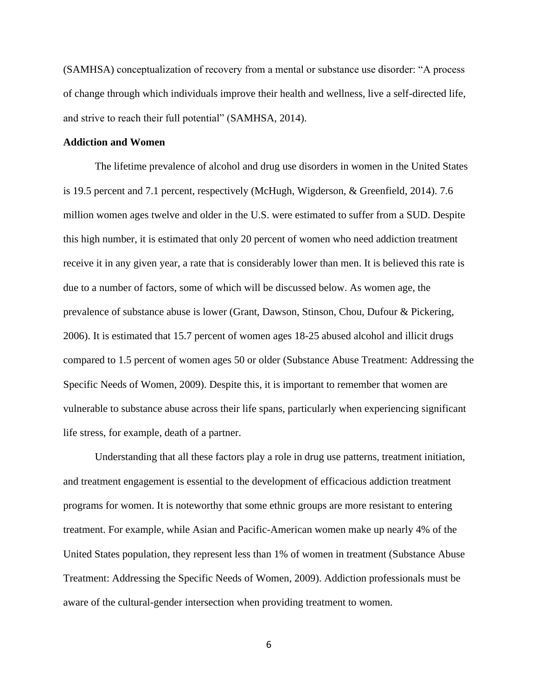(SAMHSA) conceptualization of recovery from a mental or substance use disorder: "A process of change through which individuals improve their health and wellness, live a self-directed life, and strive to reach their full potential" (SAMHSA, 2014).

# **Addiction and Women**

The lifetime prevalence of alcohol and drug use disorders in women in the United States is 19.5 percent and 7.1 percent, respectively (McHugh, Wigderson, & Greenfield, 2014). 7.6 million women ages twelve and older in the U.S. were estimated to suffer from a SUD. Despite this high number, it is estimated that only 20 percent of women who need addiction treatment receive it in any given year, a rate that is considerably lower than men. It is believed this rate is due to a number of factors, some of which will be discussed below. As women age, the prevalence of substance abuse is lower (Grant, Dawson, Stinson, Chou, Dufour & Pickering, 2006). It is estimated that 15.7 percent of women ages 18-25 abused alcohol and illicit drugs compared to 1.5 percent of women ages 50 or older (Substance Abuse Treatment: Addressing the Specific Needs of Women, 2009). Despite this, it is important to remember that women are vulnerable to substance abuse across their life spans, particularly when experiencing significant life stress, for example, death of a partner.

Understanding that all these factors play a role in drug use patterns, treatment initiation, and treatment engagement is essential to the development of efficacious addiction treatment programs for women. It is noteworthy that some ethnic groups are more resistant to entering treatment. For example, while Asian and Pacific-American women make up nearly 4% of the United States population, they represent less than 1% of women in treatment (Substance Abuse Treatment: Addressing the Specific Needs of Women, 2009). Addiction professionals must be aware of the cultural-gender intersection when providing treatment to women.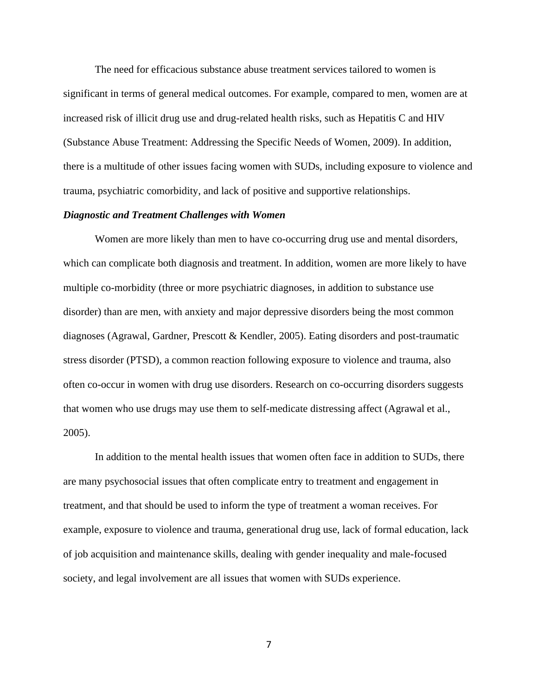The need for efficacious substance abuse treatment services tailored to women is significant in terms of general medical outcomes. For example, compared to men, women are at increased risk of illicit drug use and drug-related health risks, such as Hepatitis C and HIV (Substance Abuse Treatment: Addressing the Specific Needs of Women, 2009). In addition, there is a multitude of other issues facing women with SUDs, including exposure to violence and trauma, psychiatric comorbidity, and lack of positive and supportive relationships.

## *Diagnostic and Treatment Challenges with Women*

Women are more likely than men to have co-occurring drug use and mental disorders, which can complicate both diagnosis and treatment. In addition, women are more likely to have multiple co-morbidity (three or more psychiatric diagnoses, in addition to substance use disorder) than are men, with anxiety and major depressive disorders being the most common diagnoses (Agrawal, Gardner, Prescott & Kendler, 2005). Eating disorders and post-traumatic stress disorder (PTSD), a common reaction following exposure to violence and trauma, also often co-occur in women with drug use disorders. Research on co-occurring disorders suggests that women who use drugs may use them to self-medicate distressing affect (Agrawal et al., 2005).

In addition to the mental health issues that women often face in addition to SUDs, there are many psychosocial issues that often complicate entry to treatment and engagement in treatment, and that should be used to inform the type of treatment a woman receives. For example, exposure to violence and trauma, generational drug use, lack of formal education, lack of job acquisition and maintenance skills, dealing with gender inequality and male-focused society, and legal involvement are all issues that women with SUDs experience.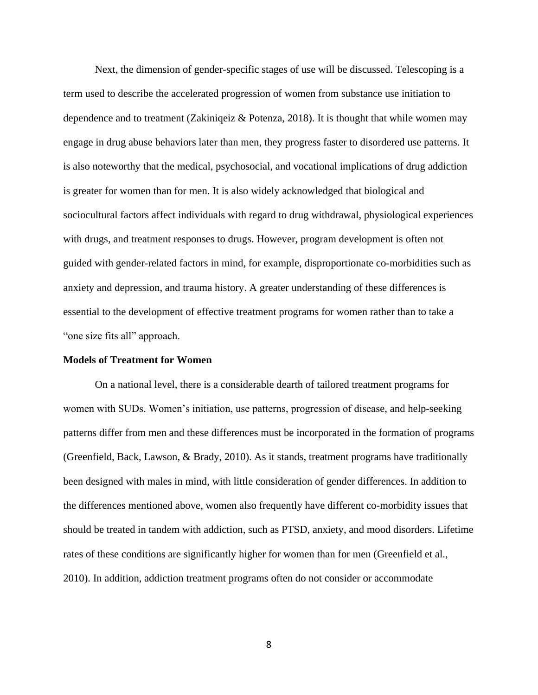Next, the dimension of gender-specific stages of use will be discussed. Telescoping is a term used to describe the accelerated progression of women from substance use initiation to dependence and to treatment (Zakiniqeiz & Potenza, 2018). It is thought that while women may engage in drug abuse behaviors later than men, they progress faster to disordered use patterns. It is also noteworthy that the medical, psychosocial, and vocational implications of drug addiction is greater for women than for men. It is also widely acknowledged that biological and sociocultural factors affect individuals with regard to drug withdrawal, physiological experiences with drugs, and treatment responses to drugs. However, program development is often not guided with gender-related factors in mind, for example, disproportionate co-morbidities such as anxiety and depression, and trauma history. A greater understanding of these differences is essential to the development of effective treatment programs for women rather than to take a "one size fits all" approach.

## **Models of Treatment for Women**

On a national level, there is a considerable dearth of tailored treatment programs for women with SUDs. Women's initiation, use patterns, progression of disease, and help-seeking patterns differ from men and these differences must be incorporated in the formation of programs (Greenfield, Back, Lawson, & Brady, 2010). As it stands, treatment programs have traditionally been designed with males in mind, with little consideration of gender differences. In addition to the differences mentioned above, women also frequently have different co-morbidity issues that should be treated in tandem with addiction, such as PTSD, anxiety, and mood disorders. Lifetime rates of these conditions are significantly higher for women than for men (Greenfield et al., 2010). In addition, addiction treatment programs often do not consider or accommodate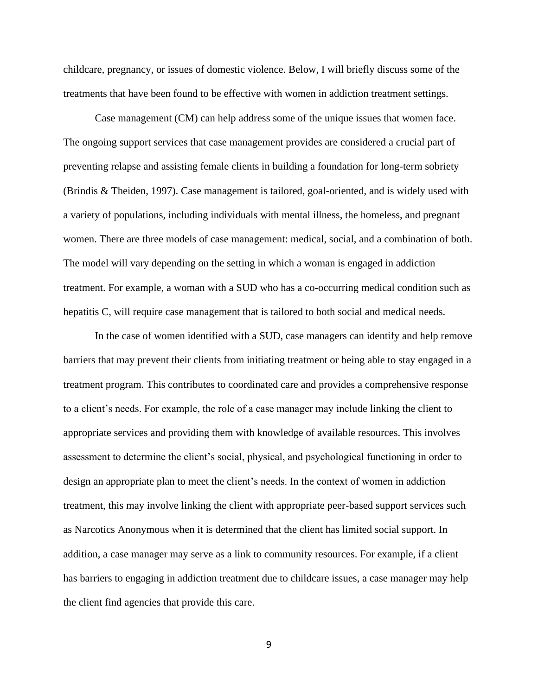childcare, pregnancy, or issues of domestic violence. Below, I will briefly discuss some of the treatments that have been found to be effective with women in addiction treatment settings.

Case management (CM) can help address some of the unique issues that women face. The ongoing support services that case management provides are considered a crucial part of preventing relapse and assisting female clients in building a foundation for long-term sobriety (Brindis & Theiden, 1997). Case management is tailored, goal-oriented, and is widely used with a variety of populations, including individuals with mental illness, the homeless, and pregnant women. There are three models of case management: medical, social, and a combination of both. The model will vary depending on the setting in which a woman is engaged in addiction treatment. For example, a woman with a SUD who has a co-occurring medical condition such as hepatitis C, will require case management that is tailored to both social and medical needs.

In the case of women identified with a SUD, case managers can identify and help remove barriers that may prevent their clients from initiating treatment or being able to stay engaged in a treatment program. This contributes to coordinated care and provides a comprehensive response to a client's needs. For example, the role of a case manager may include linking the client to appropriate services and providing them with knowledge of available resources. This involves assessment to determine the client's social, physical, and psychological functioning in order to design an appropriate plan to meet the client's needs. In the context of women in addiction treatment, this may involve linking the client with appropriate peer-based support services such as Narcotics Anonymous when it is determined that the client has limited social support. In addition, a case manager may serve as a link to community resources. For example, if a client has barriers to engaging in addiction treatment due to childcare issues, a case manager may help the client find agencies that provide this care.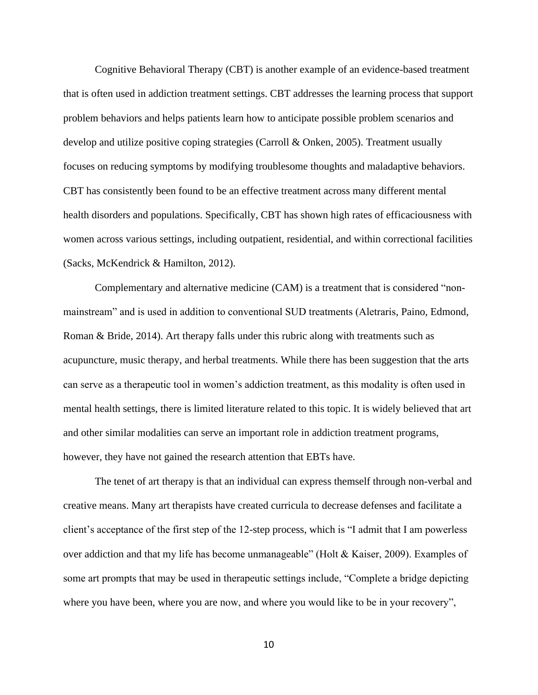Cognitive Behavioral Therapy (CBT) is another example of an evidence-based treatment that is often used in addiction treatment settings. CBT addresses the learning process that support problem behaviors and helps patients learn how to anticipate possible problem scenarios and develop and utilize positive coping strategies (Carroll & Onken, 2005). Treatment usually focuses on reducing symptoms by modifying troublesome thoughts and maladaptive behaviors. CBT has consistently been found to be an effective treatment across many different mental health disorders and populations. Specifically, CBT has shown high rates of efficaciousness with women across various settings, including outpatient, residential, and within correctional facilities (Sacks, McKendrick & Hamilton, 2012).

Complementary and alternative medicine (CAM) is a treatment that is considered "nonmainstream" and is used in addition to conventional SUD treatments (Aletraris, Paino, Edmond, Roman & Bride, 2014). Art therapy falls under this rubric along with treatments such as acupuncture, music therapy, and herbal treatments. While there has been suggestion that the arts can serve as a therapeutic tool in women's addiction treatment, as this modality is often used in mental health settings, there is limited literature related to this topic. It is widely believed that art and other similar modalities can serve an important role in addiction treatment programs, however, they have not gained the research attention that EBTs have.

The tenet of art therapy is that an individual can express themself through non-verbal and creative means. Many art therapists have created curricula to decrease defenses and facilitate a client's acceptance of the first step of the 12-step process, which is "I admit that I am powerless over addiction and that my life has become unmanageable" (Holt & Kaiser, 2009). Examples of some art prompts that may be used in therapeutic settings include, "Complete a bridge depicting where you have been, where you are now, and where you would like to be in your recovery",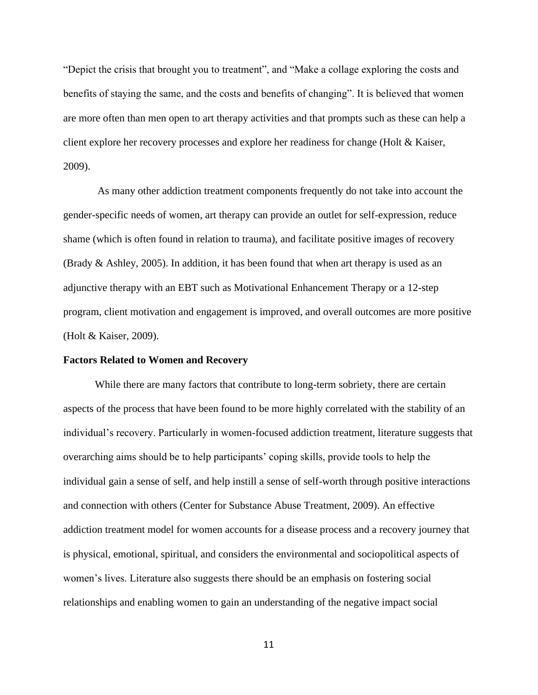"Depict the crisis that brought you to treatment", and "Make a collage exploring the costs and benefits of staying the same, and the costs and benefits of changing". It is believed that women are more often than men open to art therapy activities and that prompts such as these can help a client explore her recovery processes and explore her readiness for change (Holt & Kaiser, 2009).

As many other addiction treatment components frequently do not take into account the gender-specific needs of women, art therapy can provide an outlet for self-expression, reduce shame (which is often found in relation to trauma), and facilitate positive images of recovery (Brady & Ashley, 2005). In addition, it has been found that when art therapy is used as an adjunctive therapy with an EBT such as Motivational Enhancement Therapy or a 12-step program, client motivation and engagement is improved, and overall outcomes are more positive (Holt & Kaiser, 2009).

#### **Factors Related to Women and Recovery**

While there are many factors that contribute to long-term sobriety, there are certain aspects of the process that have been found to be more highly correlated with the stability of an individual's recovery. Particularly in women-focused addiction treatment, literature suggests that overarching aims should be to help participants' coping skills, provide tools to help the individual gain a sense of self, and help instill a sense of self-worth through positive interactions and connection with others (Center for Substance Abuse Treatment, 2009). An effective addiction treatment model for women accounts for a disease process and a recovery journey that is physical, emotional, spiritual, and considers the environmental and sociopolitical aspects of women's lives. Literature also suggests there should be an emphasis on fostering social relationships and enabling women to gain an understanding of the negative impact social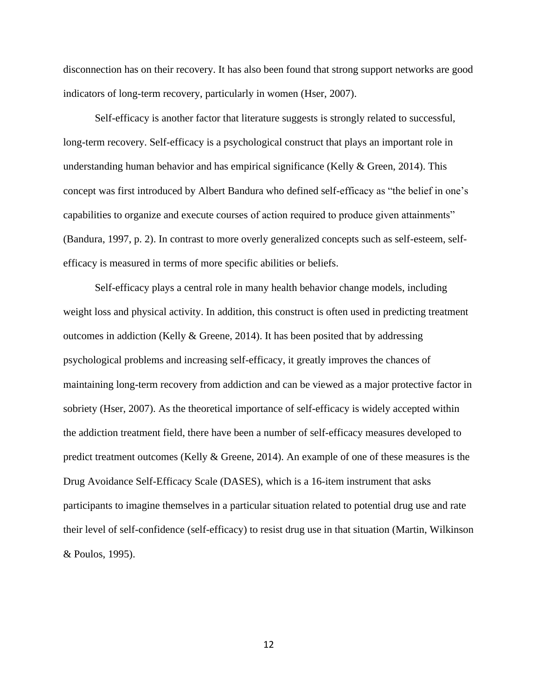disconnection has on their recovery. It has also been found that strong support networks are good indicators of long-term recovery, particularly in women (Hser, 2007).

Self-efficacy is another factor that literature suggests is strongly related to successful, long-term recovery. Self-efficacy is a psychological construct that plays an important role in understanding human behavior and has empirical significance (Kelly  $\&$  Green, 2014). This concept was first introduced by Albert Bandura who defined self-efficacy as "the belief in one's capabilities to organize and execute courses of action required to produce given attainments" (Bandura, 1997, p. 2). In contrast to more overly generalized concepts such as self-esteem, selfefficacy is measured in terms of more specific abilities or beliefs.

Self-efficacy plays a central role in many health behavior change models, including weight loss and physical activity. In addition, this construct is often used in predicting treatment outcomes in addiction (Kelly & Greene, 2014). It has been posited that by addressing psychological problems and increasing self-efficacy, it greatly improves the chances of maintaining long-term recovery from addiction and can be viewed as a major protective factor in sobriety (Hser, 2007). As the theoretical importance of self-efficacy is widely accepted within the addiction treatment field, there have been a number of self-efficacy measures developed to predict treatment outcomes (Kelly & Greene, 2014). An example of one of these measures is the Drug Avoidance Self-Efficacy Scale (DASES), which is a 16-item instrument that asks participants to imagine themselves in a particular situation related to potential drug use and rate their level of self-confidence (self-efficacy) to resist drug use in that situation (Martin, Wilkinson & Poulos, 1995).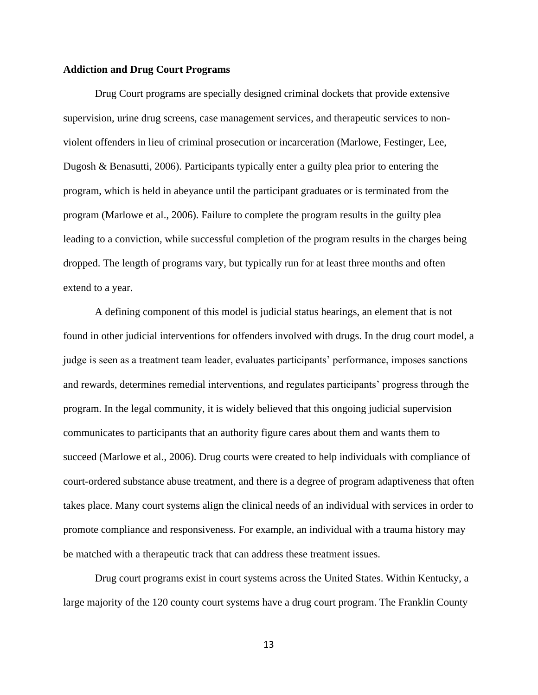# **Addiction and Drug Court Programs**

Drug Court programs are specially designed criminal dockets that provide extensive supervision, urine drug screens, case management services, and therapeutic services to nonviolent offenders in lieu of criminal prosecution or incarceration (Marlowe, Festinger, Lee, Dugosh & Benasutti, 2006). Participants typically enter a guilty plea prior to entering the program, which is held in abeyance until the participant graduates or is terminated from the program (Marlowe et al., 2006). Failure to complete the program results in the guilty plea leading to a conviction, while successful completion of the program results in the charges being dropped. The length of programs vary, but typically run for at least three months and often extend to a year.

A defining component of this model is judicial status hearings, an element that is not found in other judicial interventions for offenders involved with drugs. In the drug court model, a judge is seen as a treatment team leader, evaluates participants' performance, imposes sanctions and rewards, determines remedial interventions, and regulates participants' progress through the program. In the legal community, it is widely believed that this ongoing judicial supervision communicates to participants that an authority figure cares about them and wants them to succeed (Marlowe et al., 2006). Drug courts were created to help individuals with compliance of court-ordered substance abuse treatment, and there is a degree of program adaptiveness that often takes place. Many court systems align the clinical needs of an individual with services in order to promote compliance and responsiveness. For example, an individual with a trauma history may be matched with a therapeutic track that can address these treatment issues.

Drug court programs exist in court systems across the United States. Within Kentucky, a large majority of the 120 county court systems have a drug court program. The Franklin County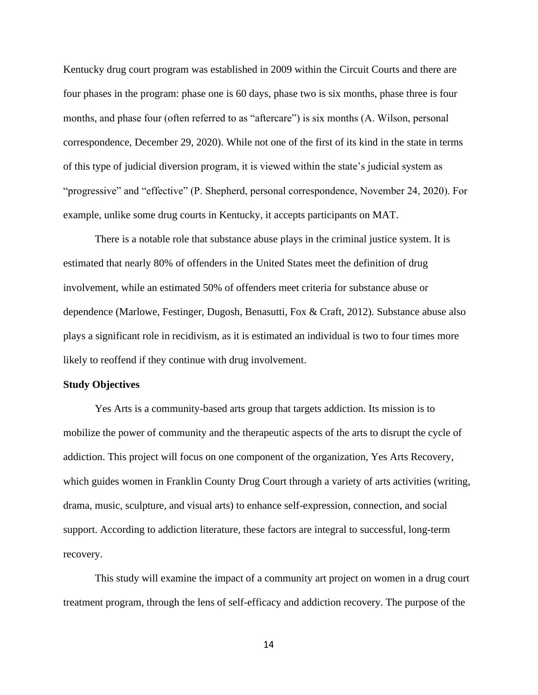Kentucky drug court program was established in 2009 within the Circuit Courts and there are four phases in the program: phase one is 60 days, phase two is six months, phase three is four months, and phase four (often referred to as "aftercare") is six months (A. Wilson, personal correspondence, December 29, 2020). While not one of the first of its kind in the state in terms of this type of judicial diversion program, it is viewed within the state's judicial system as "progressive" and "effective" (P. Shepherd, personal correspondence, November 24, 2020). For example, unlike some drug courts in Kentucky, it accepts participants on MAT.

There is a notable role that substance abuse plays in the criminal justice system. It is estimated that nearly 80% of offenders in the United States meet the definition of drug involvement, while an estimated 50% of offenders meet criteria for substance abuse or dependence (Marlowe, Festinger, Dugosh, Benasutti, Fox & Craft, 2012). Substance abuse also plays a significant role in recidivism, as it is estimated an individual is two to four times more likely to reoffend if they continue with drug involvement.

#### **Study Objectives**

Yes Arts is a community-based arts group that targets addiction. Its mission is to mobilize the power of community and the therapeutic aspects of the arts to disrupt the cycle of addiction. This project will focus on one component of the organization, Yes Arts Recovery, which guides women in Franklin County Drug Court through a variety of arts activities (writing, drama, music, sculpture, and visual arts) to enhance self-expression, connection, and social support. According to addiction literature, these factors are integral to successful, long-term recovery.

This study will examine the impact of a community art project on women in a drug court treatment program, through the lens of self-efficacy and addiction recovery. The purpose of the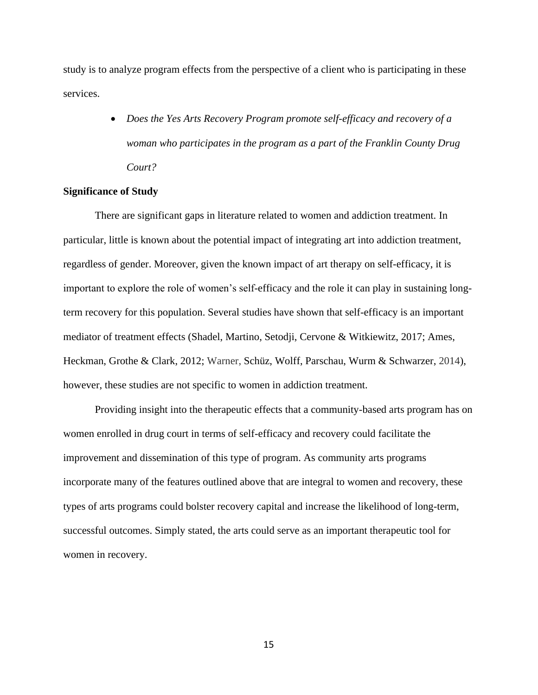study is to analyze program effects from the perspective of a client who is participating in these services.

> • *Does the Yes Arts Recovery Program promote self-efficacy and recovery of a woman who participates in the program as a part of the Franklin County Drug Court?*

# **Significance of Study**

There are significant gaps in literature related to women and addiction treatment. In particular, little is known about the potential impact of integrating art into addiction treatment, regardless of gender. Moreover, given the known impact of art therapy on self-efficacy, it is important to explore the role of women's self-efficacy and the role it can play in sustaining longterm recovery for this population. Several studies have shown that self-efficacy is an important mediator of treatment effects (Shadel, Martino, Setodji, Cervone & Witkiewitz, 2017; Ames, Heckman, Grothe & Clark, 2012; Warner, Schüz, Wolff, Parschau, Wurm & Schwarzer, 2014), however, these studies are not specific to women in addiction treatment.

Providing insight into the therapeutic effects that a community-based arts program has on women enrolled in drug court in terms of self-efficacy and recovery could facilitate the improvement and dissemination of this type of program. As community arts programs incorporate many of the features outlined above that are integral to women and recovery, these types of arts programs could bolster recovery capital and increase the likelihood of long-term, successful outcomes. Simply stated, the arts could serve as an important therapeutic tool for women in recovery.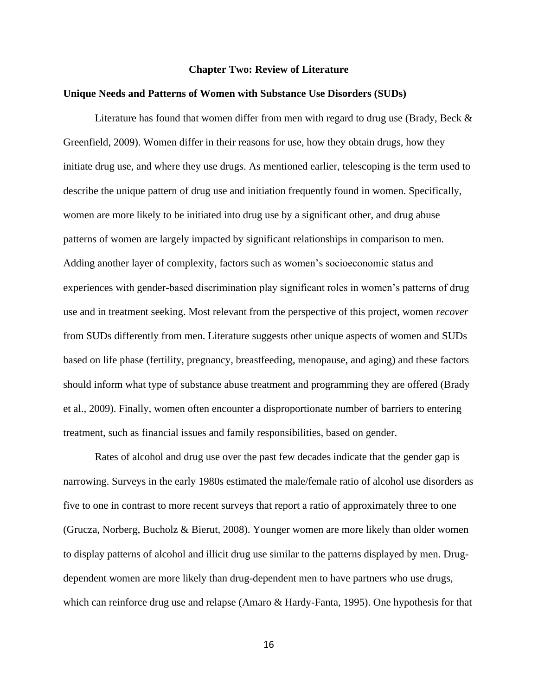#### **Chapter Two: Review of Literature**

#### **Unique Needs and Patterns of Women with Substance Use Disorders (SUDs)**

Literature has found that women differ from men with regard to drug use (Brady, Beck  $\&$ Greenfield, 2009). Women differ in their reasons for use, how they obtain drugs, how they initiate drug use, and where they use drugs. As mentioned earlier, telescoping is the term used to describe the unique pattern of drug use and initiation frequently found in women. Specifically, women are more likely to be initiated into drug use by a significant other, and drug abuse patterns of women are largely impacted by significant relationships in comparison to men. Adding another layer of complexity, factors such as women's socioeconomic status and experiences with gender-based discrimination play significant roles in women's patterns of drug use and in treatment seeking. Most relevant from the perspective of this project, women *recover* from SUDs differently from men. Literature suggests other unique aspects of women and SUDs based on life phase (fertility, pregnancy, breastfeeding, menopause, and aging) and these factors should inform what type of substance abuse treatment and programming they are offered (Brady et al., 2009). Finally, women often encounter a disproportionate number of barriers to entering treatment, such as financial issues and family responsibilities, based on gender.

Rates of alcohol and drug use over the past few decades indicate that the gender gap is narrowing. Surveys in the early 1980s estimated the male/female ratio of alcohol use disorders as five to one in contrast to more recent surveys that report a ratio of approximately three to one (Grucza, Norberg, Bucholz & Bierut, 2008). Younger women are more likely than older women to display patterns of alcohol and illicit drug use similar to the patterns displayed by men. Drugdependent women are more likely than drug-dependent men to have partners who use drugs, which can reinforce drug use and relapse (Amaro & Hardy-Fanta, 1995). One hypothesis for that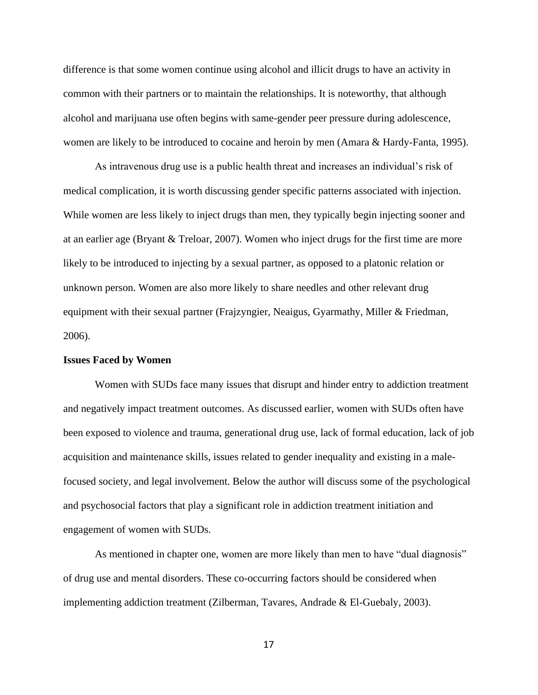difference is that some women continue using alcohol and illicit drugs to have an activity in common with their partners or to maintain the relationships. It is noteworthy, that although alcohol and marijuana use often begins with same-gender peer pressure during adolescence, women are likely to be introduced to cocaine and heroin by men (Amara & Hardy-Fanta, 1995).

As intravenous drug use is a public health threat and increases an individual's risk of medical complication, it is worth discussing gender specific patterns associated with injection. While women are less likely to inject drugs than men, they typically begin injecting sooner and at an earlier age (Bryant & Treloar, 2007). Women who inject drugs for the first time are more likely to be introduced to injecting by a sexual partner, as opposed to a platonic relation or unknown person. Women are also more likely to share needles and other relevant drug equipment with their sexual partner (Frajzyngier, Neaigus, Gyarmathy, Miller & Friedman, 2006).

# **Issues Faced by Women**

Women with SUDs face many issues that disrupt and hinder entry to addiction treatment and negatively impact treatment outcomes. As discussed earlier, women with SUDs often have been exposed to violence and trauma, generational drug use, lack of formal education, lack of job acquisition and maintenance skills, issues related to gender inequality and existing in a malefocused society, and legal involvement. Below the author will discuss some of the psychological and psychosocial factors that play a significant role in addiction treatment initiation and engagement of women with SUDs.

As mentioned in chapter one, women are more likely than men to have "dual diagnosis" of drug use and mental disorders. These co-occurring factors should be considered when implementing addiction treatment (Zilberman, Tavares, Andrade & El-Guebaly, 2003).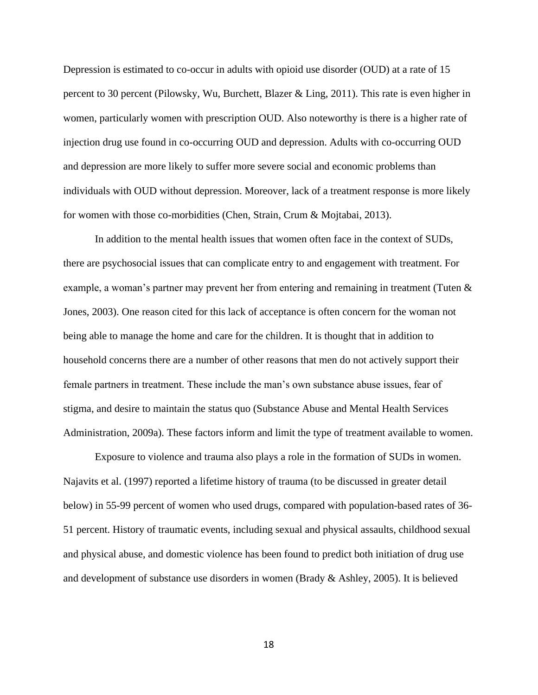Depression is estimated to co-occur in adults with opioid use disorder (OUD) at a rate of 15 percent to 30 percent (Pilowsky, Wu, Burchett, Blazer & Ling, 2011). This rate is even higher in women, particularly women with prescription OUD. Also noteworthy is there is a higher rate of injection drug use found in co-occurring OUD and depression. Adults with co-occurring OUD and depression are more likely to suffer more severe social and economic problems than individuals with OUD without depression. Moreover, lack of a treatment response is more likely for women with those co-morbidities (Chen, Strain, Crum & Mojtabai, 2013).

In addition to the mental health issues that women often face in the context of SUDs, there are psychosocial issues that can complicate entry to and engagement with treatment. For example, a woman's partner may prevent her from entering and remaining in treatment (Tuten & Jones, 2003). One reason cited for this lack of acceptance is often concern for the woman not being able to manage the home and care for the children. It is thought that in addition to household concerns there are a number of other reasons that men do not actively support their female partners in treatment. These include the man's own substance abuse issues, fear of stigma, and desire to maintain the status quo (Substance Abuse and Mental Health Services Administration, 2009a). These factors inform and limit the type of treatment available to women.

Exposure to violence and trauma also plays a role in the formation of SUDs in women. Najavits et al. (1997) reported a lifetime history of trauma (to be discussed in greater detail below) in 55-99 percent of women who used drugs, compared with population-based rates of 36- 51 percent. History of traumatic events, including sexual and physical assaults, childhood sexual and physical abuse, and domestic violence has been found to predict both initiation of drug use and development of substance use disorders in women (Brady & Ashley, 2005). It is believed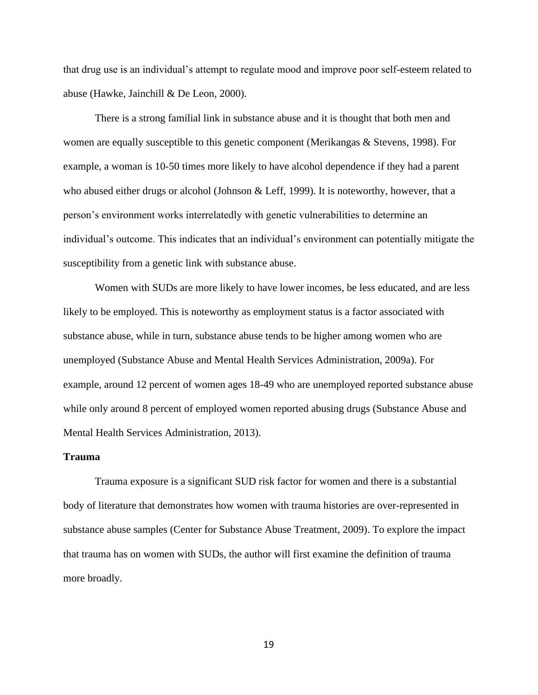that drug use is an individual's attempt to regulate mood and improve poor self-esteem related to abuse (Hawke, Jainchill & De Leon, 2000).

There is a strong familial link in substance abuse and it is thought that both men and women are equally susceptible to this genetic component (Merikangas & Stevens, 1998). For example, a woman is 10-50 times more likely to have alcohol dependence if they had a parent who abused either drugs or alcohol (Johnson & Leff, 1999). It is noteworthy, however, that a person's environment works interrelatedly with genetic vulnerabilities to determine an individual's outcome. This indicates that an individual's environment can potentially mitigate the susceptibility from a genetic link with substance abuse.

Women with SUDs are more likely to have lower incomes, be less educated, and are less likely to be employed. This is noteworthy as employment status is a factor associated with substance abuse, while in turn, substance abuse tends to be higher among women who are unemployed (Substance Abuse and Mental Health Services Administration, 2009a). For example, around 12 percent of women ages 18-49 who are unemployed reported substance abuse while only around 8 percent of employed women reported abusing drugs (Substance Abuse and Mental Health Services Administration, 2013).

# **Trauma**

Trauma exposure is a significant SUD risk factor for women and there is a substantial body of literature that demonstrates how women with trauma histories are over-represented in substance abuse samples (Center for Substance Abuse Treatment, 2009). To explore the impact that trauma has on women with SUDs, the author will first examine the definition of trauma more broadly.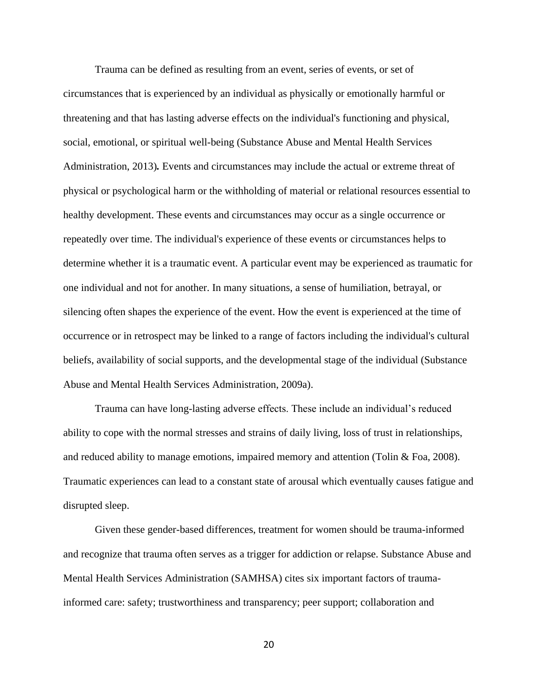Trauma can be defined as resulting from an event, series of events, or set of circumstances that is experienced by an individual as physically or emotionally harmful or threatening and that has lasting adverse effects on the individual's functioning and physical, social, emotional, or spiritual well-being (Substance Abuse and Mental Health Services Administration, 2013)*.* Events and circumstances may include the actual or extreme threat of physical or psychological harm or the withholding of material or relational resources essential to healthy development. These events and circumstances may occur as a single occurrence or repeatedly over time. The individual's experience of these events or circumstances helps to determine whether it is a traumatic event. A particular event may be experienced as traumatic for one individual and not for another. In many situations, a sense of humiliation, betrayal, or silencing often shapes the experience of the event. How the event is experienced at the time of occurrence or in retrospect may be linked to a range of factors including the individual's cultural beliefs, availability of social supports, and the developmental stage of the individual (Substance Abuse and Mental Health Services Administration, 2009a).

Trauma can have long-lasting adverse effects. These include an individual's reduced ability to cope with the normal stresses and strains of daily living, loss of trust in relationships, and reduced ability to manage emotions, impaired memory and attention (Tolin & Foa, 2008). Traumatic experiences can lead to a constant state of arousal which eventually causes fatigue and disrupted sleep.

Given these gender-based differences, treatment for women should be trauma-informed and recognize that trauma often serves as a trigger for addiction or relapse. Substance Abuse and Mental Health Services Administration (SAMHSA) cites six important factors of traumainformed care: safety; trustworthiness and transparency; peer support; collaboration and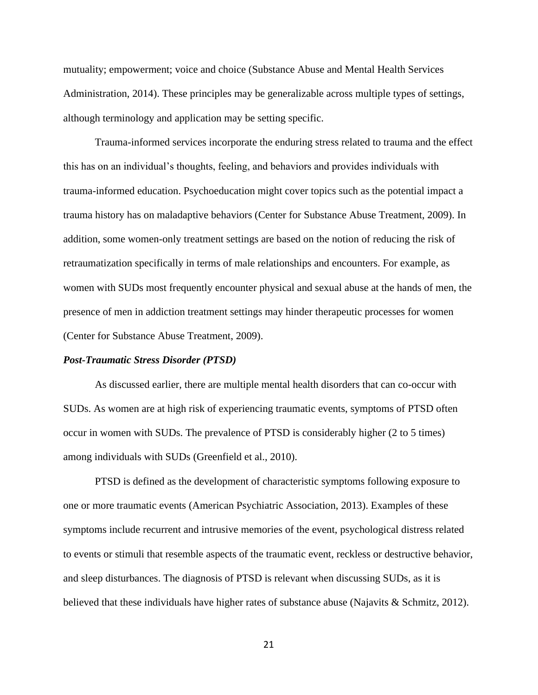mutuality; empowerment; voice and choice (Substance Abuse and Mental Health Services Administration, 2014). These principles may be generalizable across multiple types of settings, although terminology and application may be setting specific.

Trauma-informed services incorporate the enduring stress related to trauma and the effect this has on an individual's thoughts, feeling, and behaviors and provides individuals with trauma-informed education. Psychoeducation might cover topics such as the potential impact a trauma history has on maladaptive behaviors (Center for Substance Abuse Treatment, 2009). In addition, some women-only treatment settings are based on the notion of reducing the risk of retraumatization specifically in terms of male relationships and encounters. For example, as women with SUDs most frequently encounter physical and sexual abuse at the hands of men, the presence of men in addiction treatment settings may hinder therapeutic processes for women (Center for Substance Abuse Treatment, 2009).

## *Post-Traumatic Stress Disorder (PTSD)*

As discussed earlier, there are multiple mental health disorders that can co-occur with SUDs. As women are at high risk of experiencing traumatic events, symptoms of PTSD often occur in women with SUDs. The prevalence of PTSD is considerably higher (2 to 5 times) among individuals with SUDs (Greenfield et al., 2010).

PTSD is defined as the development of characteristic symptoms following exposure to one or more traumatic events (American Psychiatric Association, 2013). Examples of these symptoms include recurrent and intrusive memories of the event, psychological distress related to events or stimuli that resemble aspects of the traumatic event, reckless or destructive behavior, and sleep disturbances. The diagnosis of PTSD is relevant when discussing SUDs, as it is believed that these individuals have higher rates of substance abuse (Najavits & Schmitz, 2012).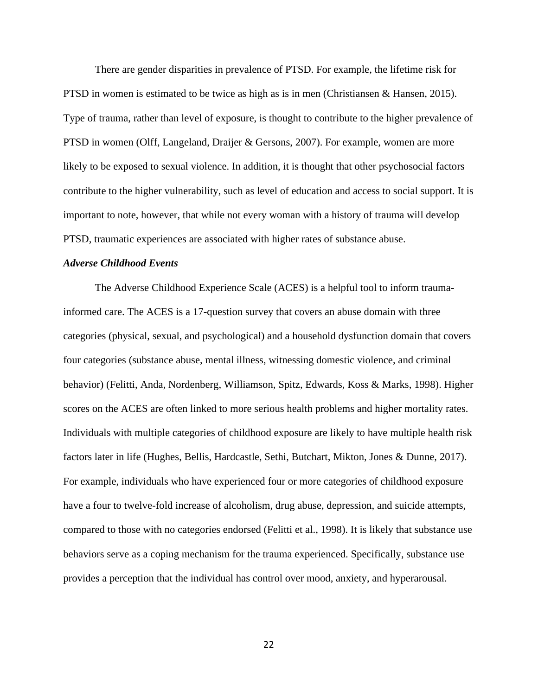There are gender disparities in prevalence of PTSD. For example, the lifetime risk for PTSD in women is estimated to be twice as high as is in men (Christiansen & Hansen, 2015). Type of trauma, rather than level of exposure, is thought to contribute to the higher prevalence of PTSD in women (Olff, Langeland, Draijer & Gersons, 2007). For example, women are more likely to be exposed to sexual violence. In addition, it is thought that other psychosocial factors contribute to the higher vulnerability, such as level of education and access to social support. It is important to note, however, that while not every woman with a history of trauma will develop PTSD, traumatic experiences are associated with higher rates of substance abuse.

#### *Adverse Childhood Events*

The Adverse Childhood Experience Scale (ACES) is a helpful tool to inform traumainformed care. The ACES is a 17-question survey that covers an abuse domain with three categories (physical, sexual, and psychological) and a household dysfunction domain that covers four categories (substance abuse, mental illness, witnessing domestic violence, and criminal behavior) (Felitti, Anda, Nordenberg, Williamson, Spitz, Edwards, Koss & Marks, 1998). Higher scores on the ACES are often linked to more serious health problems and higher mortality rates. Individuals with multiple categories of childhood exposure are likely to have multiple health risk factors later in life (Hughes, Bellis, Hardcastle, Sethi, Butchart, Mikton, Jones & Dunne, 2017). For example, individuals who have experienced four or more categories of childhood exposure have a four to twelve-fold increase of alcoholism, drug abuse, depression, and suicide attempts, compared to those with no categories endorsed (Felitti et al., 1998). It is likely that substance use behaviors serve as a coping mechanism for the trauma experienced. Specifically, substance use provides a perception that the individual has control over mood, anxiety, and hyperarousal.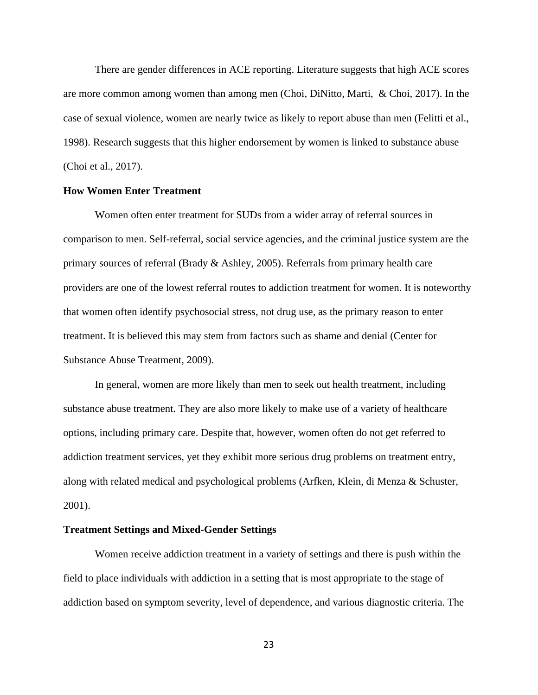There are gender differences in ACE reporting. Literature suggests that high ACE scores are more common among women than among men (Choi, DiNitto, Marti, & Choi, 2017). In the case of sexual violence, women are nearly twice as likely to report abuse than men (Felitti et al., 1998). Research suggests that this higher endorsement by women is linked to substance abuse (Choi et al., 2017).

# **How Women Enter Treatment**

Women often enter treatment for SUDs from a wider array of referral sources in comparison to men. Self-referral, social service agencies, and the criminal justice system are the primary sources of referral (Brady & Ashley, 2005). Referrals from primary health care providers are one of the lowest referral routes to addiction treatment for women. It is noteworthy that women often identify psychosocial stress, not drug use, as the primary reason to enter treatment. It is believed this may stem from factors such as shame and denial (Center for Substance Abuse Treatment, 2009).

In general, women are more likely than men to seek out health treatment, including substance abuse treatment. They are also more likely to make use of a variety of healthcare options, including primary care. Despite that, however, women often do not get referred to addiction treatment services, yet they exhibit more serious drug problems on treatment entry, along with related medical and psychological problems (Arfken, Klein, di Menza & Schuster, 2001).

#### **Treatment Settings and Mixed-Gender Settings**

Women receive addiction treatment in a variety of settings and there is push within the field to place individuals with addiction in a setting that is most appropriate to the stage of addiction based on symptom severity, level of dependence, and various diagnostic criteria. The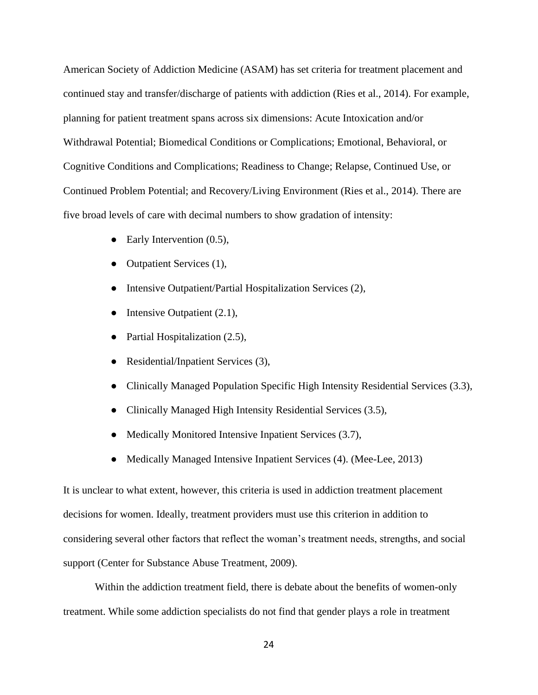American Society of Addiction Medicine (ASAM) has set criteria for treatment placement and continued stay and transfer/discharge of patients with addiction (Ries et al., 2014). For example, planning for patient treatment spans across six dimensions: Acute Intoxication and/or Withdrawal Potential; Biomedical Conditions or Complications; Emotional, Behavioral, or Cognitive Conditions and Complications; Readiness to Change; Relapse, Continued Use, or Continued Problem Potential; and Recovery/Living Environment (Ries et al., 2014). There are five broad levels of care with decimal numbers to show gradation of intensity:

- Early Intervention (0.5),
- Outpatient Services (1),
- Intensive Outpatient/Partial Hospitalization Services (2),
- Intensive Outpatient  $(2.1)$ ,
- Partial Hospitalization (2.5),
- Residential/Inpatient Services (3),
- Clinically Managed Population Specific High Intensity Residential Services (3.3),
- Clinically Managed High Intensity Residential Services (3.5),
- Medically Monitored Intensive Inpatient Services (3.7),
- Medically Managed Intensive Inpatient Services (4). (Mee-Lee, 2013)

It is unclear to what extent, however, this criteria is used in addiction treatment placement decisions for women. Ideally, treatment providers must use this criterion in addition to considering several other factors that reflect the woman's treatment needs, strengths, and social support (Center for Substance Abuse Treatment, 2009).

Within the addiction treatment field, there is debate about the benefits of women-only treatment. While some addiction specialists do not find that gender plays a role in treatment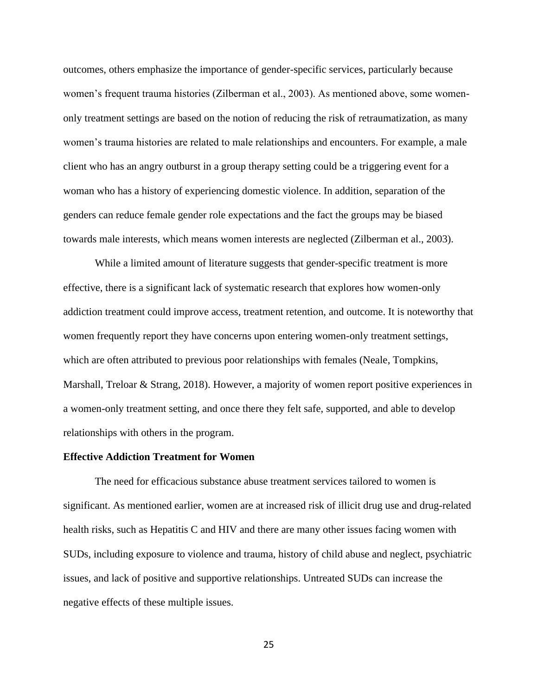outcomes, others emphasize the importance of gender-specific services, particularly because women's frequent trauma histories (Zilberman et al., 2003). As mentioned above, some womenonly treatment settings are based on the notion of reducing the risk of retraumatization, as many women's trauma histories are related to male relationships and encounters. For example, a male client who has an angry outburst in a group therapy setting could be a triggering event for a woman who has a history of experiencing domestic violence. In addition, separation of the genders can reduce female gender role expectations and the fact the groups may be biased towards male interests, which means women interests are neglected (Zilberman et al., 2003).

While a limited amount of literature suggests that gender-specific treatment is more effective, there is a significant lack of systematic research that explores how women-only addiction treatment could improve access, treatment retention, and outcome. It is noteworthy that women frequently report they have concerns upon entering women-only treatment settings, which are often attributed to previous poor relationships with females (Neale, Tompkins, Marshall, Treloar & Strang, 2018). However, a majority of women report positive experiences in a women-only treatment setting, and once there they felt safe, supported, and able to develop relationships with others in the program.

## **Effective Addiction Treatment for Women**

The need for efficacious substance abuse treatment services tailored to women is significant. As mentioned earlier, women are at increased risk of illicit drug use and drug-related health risks, such as Hepatitis C and HIV and there are many other issues facing women with SUDs, including exposure to violence and trauma, history of child abuse and neglect, psychiatric issues, and lack of positive and supportive relationships. Untreated SUDs can increase the negative effects of these multiple issues.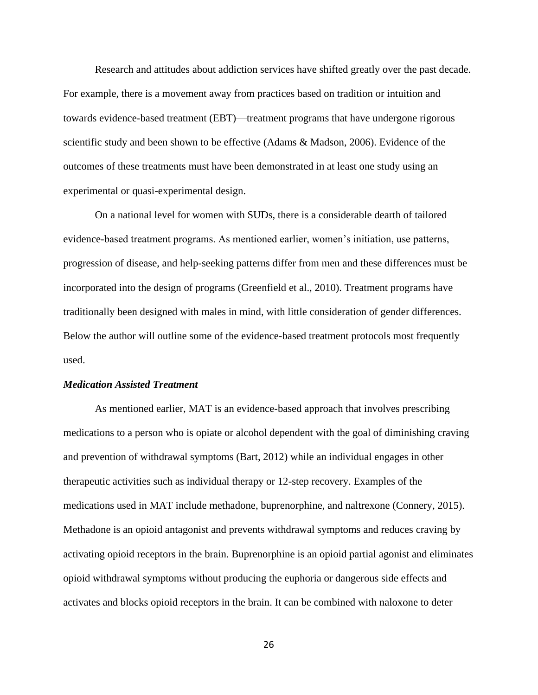Research and attitudes about addiction services have shifted greatly over the past decade. For example, there is a movement away from practices based on tradition or intuition and towards evidence-based treatment (EBT)—treatment programs that have undergone rigorous scientific study and been shown to be effective (Adams & Madson, 2006). Evidence of the outcomes of these treatments must have been demonstrated in at least one study using an experimental or quasi-experimental design.

On a national level for women with SUDs, there is a considerable dearth of tailored evidence-based treatment programs. As mentioned earlier, women's initiation, use patterns, progression of disease, and help-seeking patterns differ from men and these differences must be incorporated into the design of programs (Greenfield et al., 2010). Treatment programs have traditionally been designed with males in mind, with little consideration of gender differences. Below the author will outline some of the evidence-based treatment protocols most frequently used.

## *Medication Assisted Treatment*

As mentioned earlier, MAT is an evidence-based approach that involves prescribing medications to a person who is opiate or alcohol dependent with the goal of diminishing craving and prevention of withdrawal symptoms (Bart, 2012) while an individual engages in other therapeutic activities such as individual therapy or 12-step recovery. Examples of the medications used in MAT include methadone, buprenorphine, and naltrexone (Connery, 2015). Methadone is an opioid antagonist and prevents withdrawal symptoms and reduces craving by activating opioid receptors in the brain. Buprenorphine is an opioid partial agonist and eliminates opioid withdrawal symptoms without producing the euphoria or dangerous side effects and activates and blocks opioid receptors in the brain. It can be combined with naloxone to deter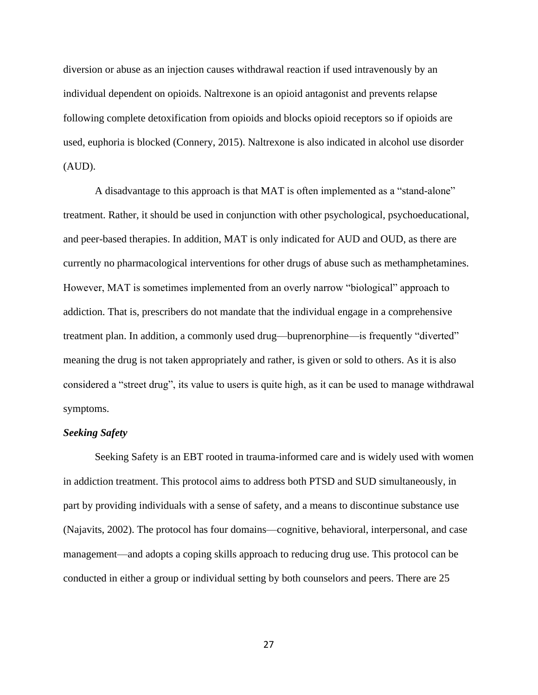diversion or abuse as an injection causes withdrawal reaction if used intravenously by an individual dependent on opioids. Naltrexone is an opioid antagonist and prevents relapse following complete detoxification from opioids and blocks opioid receptors so if opioids are used, euphoria is blocked (Connery, 2015). Naltrexone is also indicated in alcohol use disorder (AUD).

A disadvantage to this approach is that MAT is often implemented as a "stand-alone" treatment. Rather, it should be used in conjunction with other psychological, psychoeducational, and peer-based therapies. In addition, MAT is only indicated for AUD and OUD, as there are currently no pharmacological interventions for other drugs of abuse such as methamphetamines. However, MAT is sometimes implemented from an overly narrow "biological" approach to addiction. That is, prescribers do not mandate that the individual engage in a comprehensive treatment plan. In addition, a commonly used drug—buprenorphine—is frequently "diverted" meaning the drug is not taken appropriately and rather, is given or sold to others. As it is also considered a "street drug", its value to users is quite high, as it can be used to manage withdrawal symptoms.

### *Seeking Safety*

Seeking Safety is an EBT rooted in trauma-informed care and is widely used with women in addiction treatment. This protocol aims to address both PTSD and SUD simultaneously, in part by providing individuals with a sense of safety, and a means to discontinue substance use (Najavits, 2002). The protocol has four domains—cognitive, behavioral, interpersonal, and case management—and adopts a coping skills approach to reducing drug use. This protocol can be conducted in either a group or individual setting by both counselors and peers. There are 25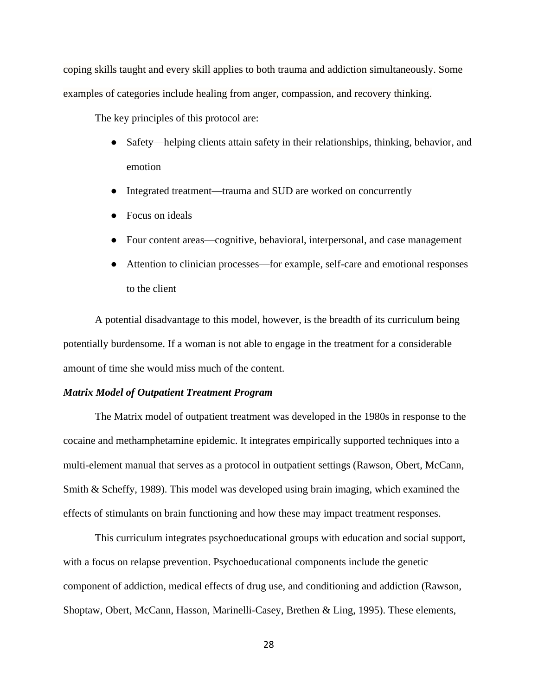coping skills taught and every skill applies to both trauma and addiction simultaneously. Some examples of categories include healing from anger, compassion, and recovery thinking.

The key principles of this protocol are:

- Safety—helping clients attain safety in their relationships, thinking, behavior, and emotion
- Integrated treatment—trauma and SUD are worked on concurrently
- Focus on ideals
- Four content areas—cognitive, behavioral, interpersonal, and case management
- Attention to clinician processes—for example, self-care and emotional responses to the client

A potential disadvantage to this model, however, is the breadth of its curriculum being potentially burdensome. If a woman is not able to engage in the treatment for a considerable amount of time she would miss much of the content.

# *Matrix Model of Outpatient Treatment Program*

The Matrix model of outpatient treatment was developed in the 1980s in response to the cocaine and methamphetamine epidemic. It integrates empirically supported techniques into a multi-element manual that serves as a protocol in outpatient settings (Rawson, Obert, McCann, Smith & Scheffy, 1989). This model was developed using brain imaging, which examined the effects of stimulants on brain functioning and how these may impact treatment responses.

 This curriculum integrates psychoeducational groups with education and social support, with a focus on relapse prevention. Psychoeducational components include the genetic component of addiction, medical effects of drug use, and conditioning and addiction (Rawson, Shoptaw, Obert, McCann, Hasson, Marinelli-Casey, Brethen & Ling, 1995). These elements,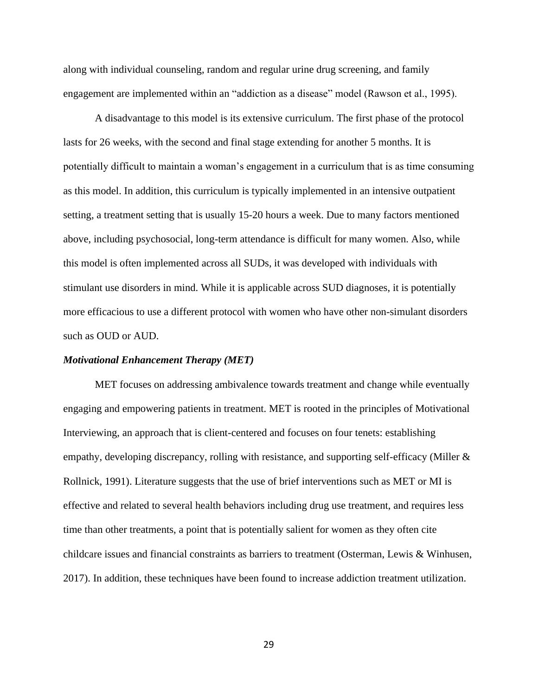along with individual counseling, random and regular urine drug screening, and family engagement are implemented within an "addiction as a disease" model (Rawson et al., 1995).

A disadvantage to this model is its extensive curriculum. The first phase of the protocol lasts for 26 weeks, with the second and final stage extending for another 5 months. It is potentially difficult to maintain a woman's engagement in a curriculum that is as time consuming as this model. In addition, this curriculum is typically implemented in an intensive outpatient setting, a treatment setting that is usually 15-20 hours a week. Due to many factors mentioned above, including psychosocial, long-term attendance is difficult for many women. Also, while this model is often implemented across all SUDs, it was developed with individuals with stimulant use disorders in mind. While it is applicable across SUD diagnoses, it is potentially more efficacious to use a different protocol with women who have other non-simulant disorders such as OUD or AUD.

## *Motivational Enhancement Therapy (MET)*

MET focuses on addressing ambivalence towards treatment and change while eventually engaging and empowering patients in treatment. MET is rooted in the principles of Motivational Interviewing, an approach that is client-centered and focuses on four tenets: establishing empathy, developing discrepancy, rolling with resistance, and supporting self-efficacy (Miller & Rollnick, 1991). Literature suggests that the use of brief interventions such as MET or MI is effective and related to several health behaviors including drug use treatment, and requires less time than other treatments, a point that is potentially salient for women as they often cite childcare issues and financial constraints as barriers to treatment (Osterman, Lewis & Winhusen, 2017). In addition, these techniques have been found to increase addiction treatment utilization.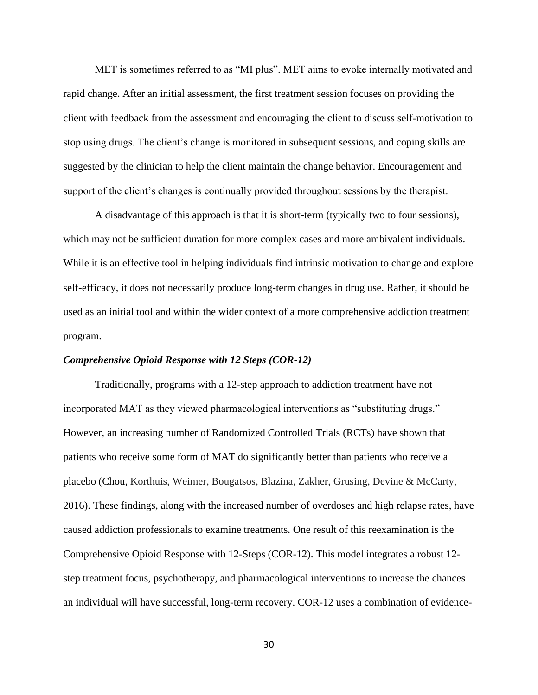MET is sometimes referred to as "MI plus". MET aims to evoke internally motivated and rapid change. After an initial assessment, the first treatment session focuses on providing the client with feedback from the assessment and encouraging the client to discuss self-motivation to stop using drugs. The client's change is monitored in subsequent sessions, and coping skills are suggested by the clinician to help the client maintain the change behavior. Encouragement and support of the client's changes is continually provided throughout sessions by the therapist.

A disadvantage of this approach is that it is short-term (typically two to four sessions), which may not be sufficient duration for more complex cases and more ambivalent individuals. While it is an effective tool in helping individuals find intrinsic motivation to change and explore self-efficacy, it does not necessarily produce long-term changes in drug use. Rather, it should be used as an initial tool and within the wider context of a more comprehensive addiction treatment program.

## *Comprehensive Opioid Response with 12 Steps (COR-12)*

Traditionally, programs with a 12-step approach to addiction treatment have not incorporated MAT as they viewed pharmacological interventions as "substituting drugs." However, an increasing number of Randomized Controlled Trials (RCTs) have shown that patients who receive some form of MAT do significantly better than patients who receive a placebo (Chou, Korthuis, Weimer, Bougatsos, Blazina, Zakher, Grusing, Devine & McCarty, 2016). These findings, along with the increased number of overdoses and high relapse rates, have caused addiction professionals to examine treatments. One result of this reexamination is the Comprehensive Opioid Response with 12-Steps (COR-12). This model integrates a robust 12 step treatment focus, psychotherapy, and pharmacological interventions to increase the chances an individual will have successful, long-term recovery. COR-12 uses a combination of evidence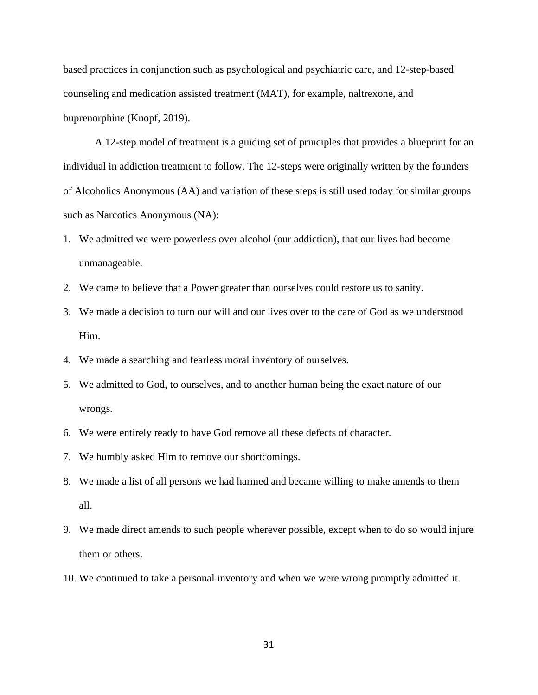based practices in conjunction such as psychological and psychiatric care, and 12-step-based counseling and medication assisted treatment (MAT), for example, naltrexone, and buprenorphine (Knopf, 2019).

A 12-step model of treatment is a guiding set of principles that provides a blueprint for an individual in addiction treatment to follow. The 12-steps were originally written by the founders of Alcoholics Anonymous (AA) and variation of these steps is still used today for similar groups such as Narcotics Anonymous (NA):

- 1. We admitted we were powerless over alcohol (our addiction), that our lives had become unmanageable.
- 2. We came to believe that a Power greater than ourselves could restore us to sanity.
- 3. We made a decision to turn our will and our lives over to the care of God as we understood Him.
- 4. We made a searching and fearless moral inventory of ourselves.
- 5. We admitted to God, to ourselves, and to another human being the exact nature of our wrongs.
- 6. We were entirely ready to have God remove all these defects of character.
- 7. We humbly asked Him to remove our shortcomings.
- 8. We made a list of all persons we had harmed and became willing to make amends to them all.
- 9. We made direct amends to such people wherever possible, except when to do so would injure them or others.
- 10. We continued to take a personal inventory and when we were wrong promptly admitted it.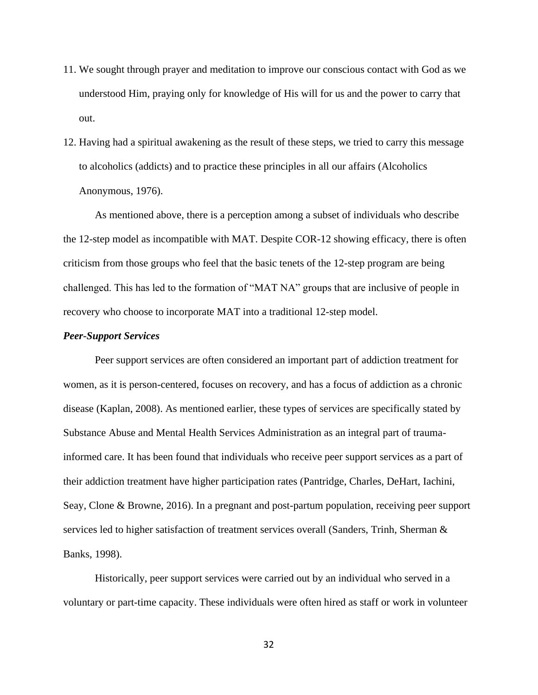- 11. We sought through prayer and meditation to improve our conscious contact with God as we understood Him, praying only for knowledge of His will for us and the power to carry that out.
- 12. Having had a spiritual awakening as the result of these steps, we tried to carry this message to alcoholics (addicts) and to practice these principles in all our affairs (Alcoholics Anonymous, 1976).

As mentioned above, there is a perception among a subset of individuals who describe the 12-step model as incompatible with MAT. Despite COR-12 showing efficacy, there is often criticism from those groups who feel that the basic tenets of the 12-step program are being challenged. This has led to the formation of "MAT NA" groups that are inclusive of people in recovery who choose to incorporate MAT into a traditional 12-step model.

# *Peer-Support Services*

Peer support services are often considered an important part of addiction treatment for women, as it is person-centered, focuses on recovery, and has a focus of addiction as a chronic disease (Kaplan, 2008). As mentioned earlier, these types of services are specifically stated by Substance Abuse and Mental Health Services Administration as an integral part of traumainformed care. It has been found that individuals who receive peer support services as a part of their addiction treatment have higher participation rates (Pantridge, Charles, DeHart, Iachini, Seay, Clone & Browne, 2016). In a pregnant and post-partum population, receiving peer support services led to higher satisfaction of treatment services overall (Sanders, Trinh, Sherman & Banks, 1998).

Historically, peer support services were carried out by an individual who served in a voluntary or part-time capacity. These individuals were often hired as staff or work in volunteer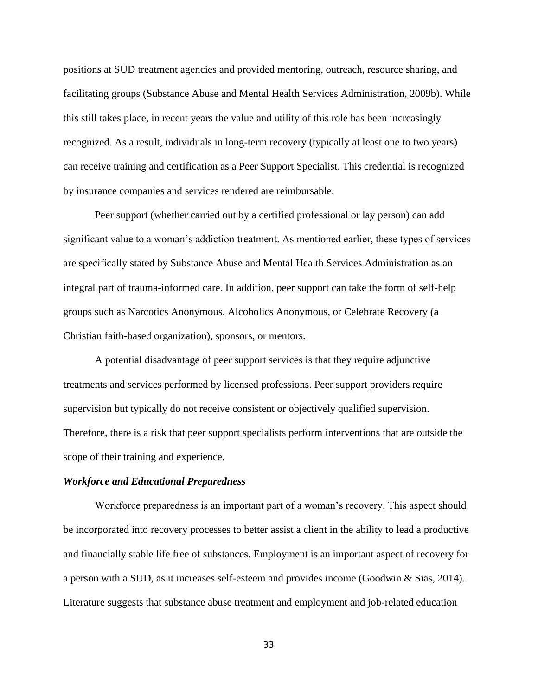positions at SUD treatment agencies and provided mentoring, outreach, resource sharing, and facilitating groups (Substance Abuse and Mental Health Services Administration, 2009b). While this still takes place, in recent years the value and utility of this role has been increasingly recognized. As a result, individuals in long-term recovery (typically at least one to two years) can receive training and certification as a Peer Support Specialist. This credential is recognized by insurance companies and services rendered are reimbursable.

Peer support (whether carried out by a certified professional or lay person) can add significant value to a woman's addiction treatment. As mentioned earlier, these types of services are specifically stated by Substance Abuse and Mental Health Services Administration as an integral part of trauma-informed care. In addition, peer support can take the form of self-help groups such as Narcotics Anonymous, Alcoholics Anonymous, or Celebrate Recovery (a Christian faith-based organization), sponsors, or mentors.

A potential disadvantage of peer support services is that they require adjunctive treatments and services performed by licensed professions. Peer support providers require supervision but typically do not receive consistent or objectively qualified supervision. Therefore, there is a risk that peer support specialists perform interventions that are outside the scope of their training and experience.

#### *Workforce and Educational Preparedness*

Workforce preparedness is an important part of a woman's recovery. This aspect should be incorporated into recovery processes to better assist a client in the ability to lead a productive and financially stable life free of substances. Employment is an important aspect of recovery for a person with a SUD, as it increases self-esteem and provides income (Goodwin & Sias, 2014). Literature suggests that substance abuse treatment and employment and job-related education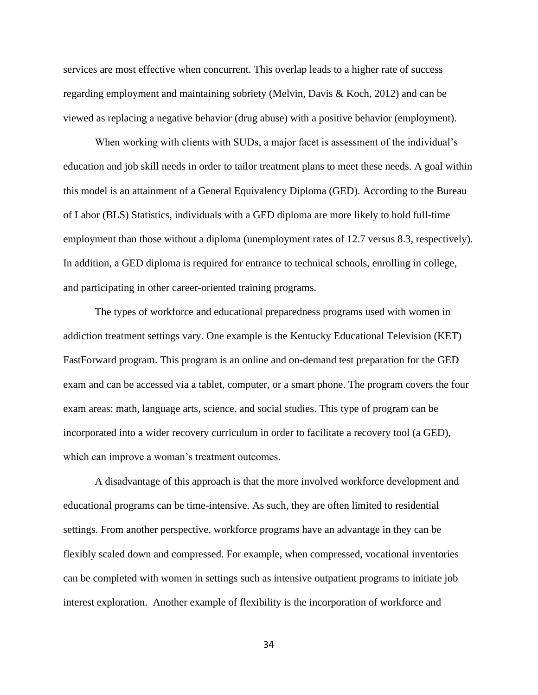services are most effective when concurrent. This overlap leads to a higher rate of success regarding employment and maintaining sobriety (Melvin, Davis & Koch, 2012) and can be viewed as replacing a negative behavior (drug abuse) with a positive behavior (employment).

When working with clients with SUDs, a major facet is assessment of the individual's education and job skill needs in order to tailor treatment plans to meet these needs. A goal within this model is an attainment of a General Equivalency Diploma (GED). According to the Bureau of Labor (BLS) Statistics, individuals with a GED diploma are more likely to hold full-time employment than those without a diploma (unemployment rates of 12.7 versus 8.3, respectively). In addition, a GED diploma is required for entrance to technical schools, enrolling in college, and participating in other career-oriented training programs.

The types of workforce and educational preparedness programs used with women in addiction treatment settings vary. One example is the Kentucky Educational Television (KET) FastForward program. This program is an online and on-demand test preparation for the GED exam and can be accessed via a tablet, computer, or a smart phone. The program covers the four exam areas: math, language arts, science, and social studies. This type of program can be incorporated into a wider recovery curriculum in order to facilitate a recovery tool (a GED), which can improve a woman's treatment outcomes.

A disadvantage of this approach is that the more involved workforce development and educational programs can be time-intensive. As such, they are often limited to residential settings. From another perspective, workforce programs have an advantage in they can be flexibly scaled down and compressed. For example, when compressed, vocational inventories can be completed with women in settings such as intensive outpatient programs to initiate job interest exploration. Another example of flexibility is the incorporation of workforce and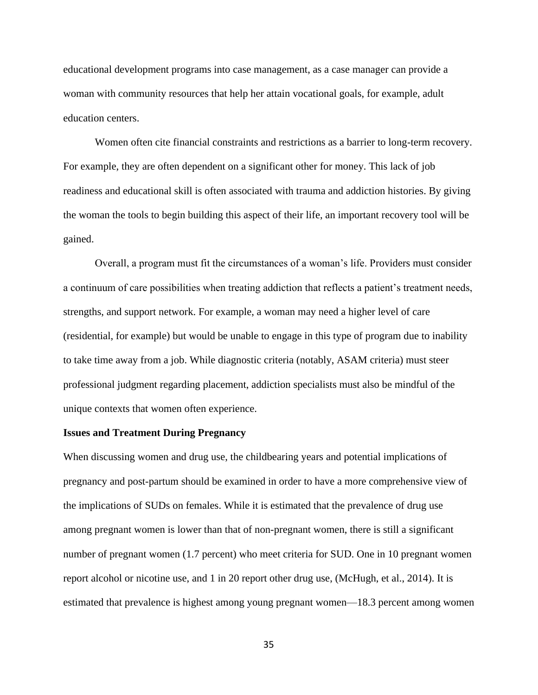educational development programs into case management, as a case manager can provide a woman with community resources that help her attain vocational goals, for example, adult education centers.

Women often cite financial constraints and restrictions as a barrier to long-term recovery. For example, they are often dependent on a significant other for money. This lack of job readiness and educational skill is often associated with trauma and addiction histories. By giving the woman the tools to begin building this aspect of their life, an important recovery tool will be gained.

Overall, a program must fit the circumstances of a woman's life. Providers must consider a continuum of care possibilities when treating addiction that reflects a patient's treatment needs, strengths, and support network. For example, a woman may need a higher level of care (residential, for example) but would be unable to engage in this type of program due to inability to take time away from a job. While diagnostic criteria (notably, ASAM criteria) must steer professional judgment regarding placement, addiction specialists must also be mindful of the unique contexts that women often experience.

## **Issues and Treatment During Pregnancy**

When discussing women and drug use, the childbearing years and potential implications of pregnancy and post-partum should be examined in order to have a more comprehensive view of the implications of SUDs on females. While it is estimated that the prevalence of drug use among pregnant women is lower than that of non-pregnant women, there is still a significant number of pregnant women (1.7 percent) who meet criteria for SUD. One in 10 pregnant women report alcohol or nicotine use, and 1 in 20 report other drug use, (McHugh, et al., 2014). It is estimated that prevalence is highest among young pregnant women—18.3 percent among women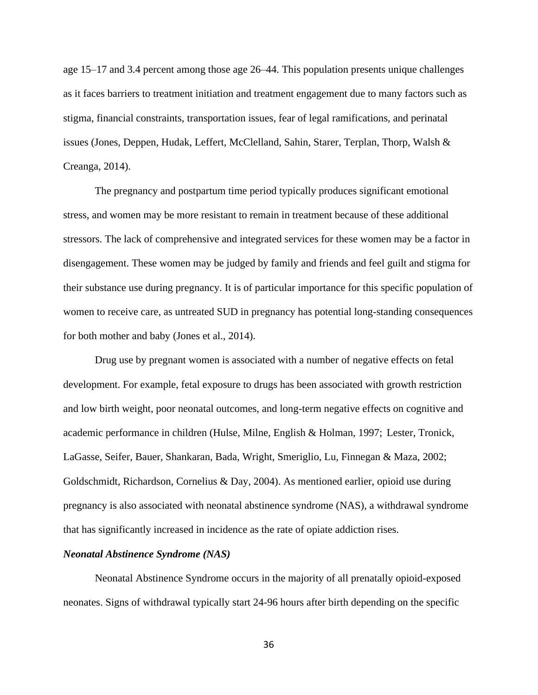age 15–17 and 3.4 percent among those age 26–44. This population presents unique challenges as it faces barriers to treatment initiation and treatment engagement due to many factors such as stigma, financial constraints, transportation issues, fear of legal ramifications, and perinatal issues (Jones, Deppen, Hudak, Leffert, McClelland, Sahin, Starer, Terplan, Thorp, Walsh & Creanga, 2014).

The pregnancy and postpartum time period typically produces significant emotional stress, and women may be more resistant to remain in treatment because of these additional stressors. The lack of comprehensive and integrated services for these women may be a factor in disengagement. These women may be judged by family and friends and feel guilt and stigma for their substance use during pregnancy. It is of particular importance for this specific population of women to receive care, as untreated SUD in pregnancy has potential long-standing consequences for both mother and baby (Jones et al., 2014).

Drug use by pregnant women is associated with a number of negative effects on fetal development. For example, fetal exposure to drugs has been associated with growth restriction and low birth weight, poor neonatal outcomes, and long-term negative effects on cognitive and academic performance in children (Hulse, Milne, English & Holman, 1997; Lester, Tronick, LaGasse, Seifer, Bauer, Shankaran, Bada, Wright, Smeriglio, Lu, Finnegan & Maza, 2002; Goldschmidt, Richardson, Cornelius & Day, 2004). As mentioned earlier, opioid use during pregnancy is also associated with neonatal abstinence syndrome (NAS), a withdrawal syndrome that has significantly increased in incidence as the rate of opiate addiction rises.

### *Neonatal Abstinence Syndrome (NAS)*

Neonatal Abstinence Syndrome occurs in the majority of all prenatally opioid-exposed neonates. Signs of withdrawal typically start 24-96 hours after birth depending on the specific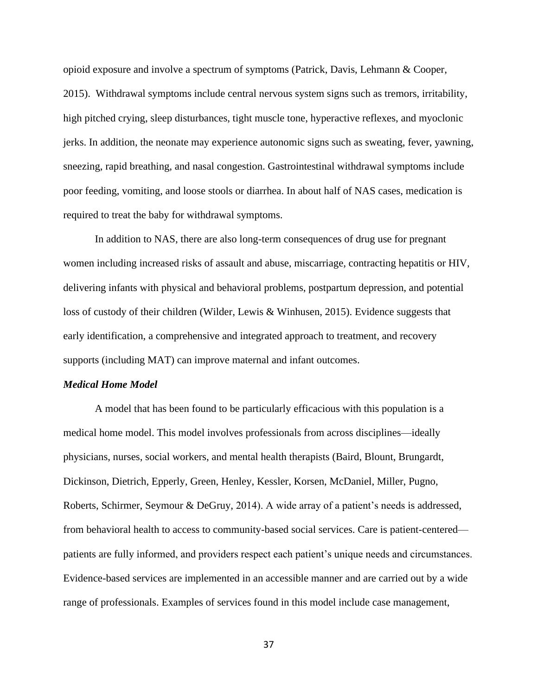opioid exposure and involve a spectrum of symptoms (Patrick, Davis, Lehmann & Cooper, 2015). Withdrawal symptoms include central nervous system signs such as tremors, irritability, high pitched crying, sleep disturbances, tight muscle tone, hyperactive reflexes, and myoclonic jerks. In addition, the neonate may experience autonomic signs such as sweating, fever, yawning, sneezing, rapid breathing, and nasal congestion. Gastrointestinal withdrawal symptoms include poor feeding, vomiting, and loose stools or diarrhea. In about half of NAS cases, medication is required to treat the baby for withdrawal symptoms.

In addition to NAS, there are also long-term consequences of drug use for pregnant women including increased risks of assault and abuse, miscarriage, contracting hepatitis or HIV, delivering infants with physical and behavioral problems, postpartum depression, and potential loss of custody of their children (Wilder, Lewis & Winhusen, 2015). Evidence suggests that early identification, a comprehensive and integrated approach to treatment, and recovery supports (including MAT) can improve maternal and infant outcomes.

# *Medical Home Model*

A model that has been found to be particularly efficacious with this population is a medical home model. This model involves professionals from across disciplines—ideally physicians, nurses, social workers, and mental health therapists (Baird, Blount, Brungardt, Dickinson, Dietrich, Epperly, Green, Henley, Kessler, Korsen, McDaniel, Miller, Pugno, Roberts, Schirmer, Seymour & DeGruy, 2014). A wide array of a patient's needs is addressed, from behavioral health to access to community-based social services. Care is patient-centered patients are fully informed, and providers respect each patient's unique needs and circumstances. Evidence-based services are implemented in an accessible manner and are carried out by a wide range of professionals. Examples of services found in this model include case management,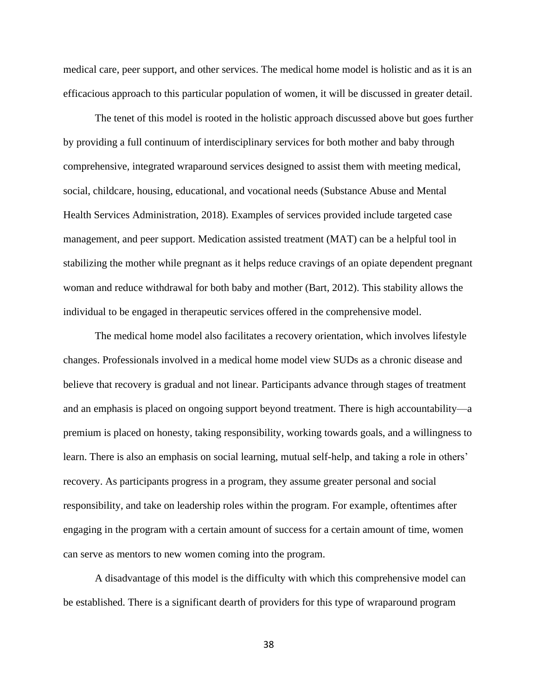medical care, peer support, and other services. The medical home model is holistic and as it is an efficacious approach to this particular population of women, it will be discussed in greater detail.

The tenet of this model is rooted in the holistic approach discussed above but goes further by providing a full continuum of interdisciplinary services for both mother and baby through comprehensive, integrated wraparound services designed to assist them with meeting medical, social, childcare, housing, educational, and vocational needs (Substance Abuse and Mental Health Services Administration, 2018). Examples of services provided include targeted case management, and peer support. Medication assisted treatment (MAT) can be a helpful tool in stabilizing the mother while pregnant as it helps reduce cravings of an opiate dependent pregnant woman and reduce withdrawal for both baby and mother (Bart, 2012). This stability allows the individual to be engaged in therapeutic services offered in the comprehensive model.

The medical home model also facilitates a recovery orientation, which involves lifestyle changes. Professionals involved in a medical home model view SUDs as a chronic disease and believe that recovery is gradual and not linear. Participants advance through stages of treatment and an emphasis is placed on ongoing support beyond treatment. There is high accountability—a premium is placed on honesty, taking responsibility, working towards goals, and a willingness to learn. There is also an emphasis on social learning, mutual self-help, and taking a role in others' recovery. As participants progress in a program, they assume greater personal and social responsibility, and take on leadership roles within the program. For example, oftentimes after engaging in the program with a certain amount of success for a certain amount of time, women can serve as mentors to new women coming into the program.

A disadvantage of this model is the difficulty with which this comprehensive model can be established. There is a significant dearth of providers for this type of wraparound program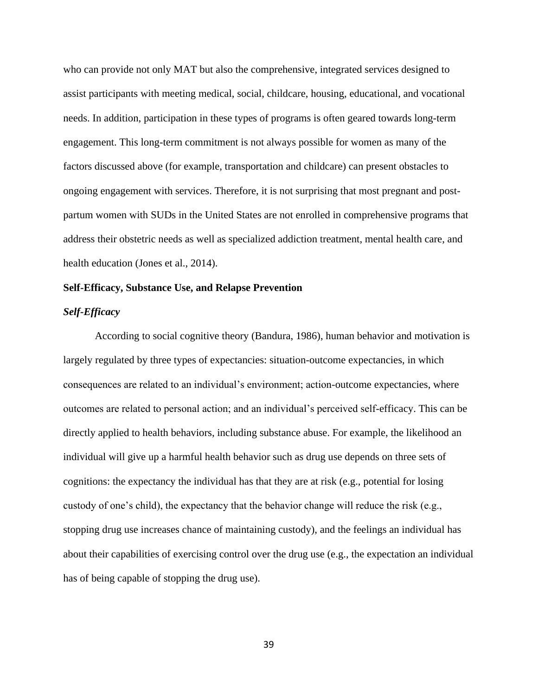who can provide not only MAT but also the comprehensive, integrated services designed to assist participants with meeting medical, social, childcare, housing, educational, and vocational needs. In addition, participation in these types of programs is often geared towards long-term engagement. This long-term commitment is not always possible for women as many of the factors discussed above (for example, transportation and childcare) can present obstacles to ongoing engagement with services. Therefore, it is not surprising that most pregnant and postpartum women with SUDs in the United States are not enrolled in comprehensive programs that address their obstetric needs as well as specialized addiction treatment, mental health care, and health education (Jones et al., 2014).

# **Self-Efficacy, Substance Use, and Relapse Prevention**

### *Self-Efficacy*

According to social cognitive theory (Bandura, 1986), human behavior and motivation is largely regulated by three types of expectancies: situation-outcome expectancies, in which consequences are related to an individual's environment; action-outcome expectancies, where outcomes are related to personal action; and an individual's perceived self-efficacy. This can be directly applied to health behaviors, including substance abuse. For example, the likelihood an individual will give up a harmful health behavior such as drug use depends on three sets of cognitions: the expectancy the individual has that they are at risk (e.g., potential for losing custody of one's child), the expectancy that the behavior change will reduce the risk (e.g., stopping drug use increases chance of maintaining custody), and the feelings an individual has about their capabilities of exercising control over the drug use (e.g., the expectation an individual has of being capable of stopping the drug use).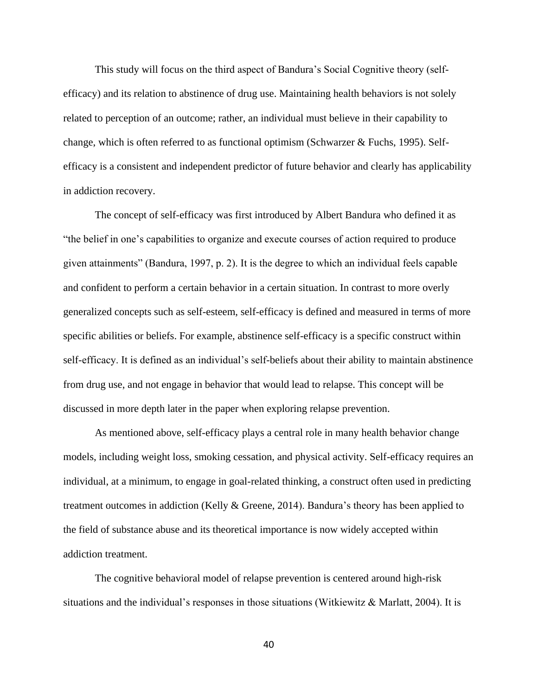This study will focus on the third aspect of Bandura's Social Cognitive theory (selfefficacy) and its relation to abstinence of drug use. Maintaining health behaviors is not solely related to perception of an outcome; rather, an individual must believe in their capability to change, which is often referred to as functional optimism (Schwarzer & Fuchs, 1995). Selfefficacy is a consistent and independent predictor of future behavior and clearly has applicability in addiction recovery.

The concept of self-efficacy was first introduced by Albert Bandura who defined it as "the belief in one's capabilities to organize and execute courses of action required to produce given attainments" (Bandura, 1997, p. 2). It is the degree to which an individual feels capable and confident to perform a certain behavior in a certain situation. In contrast to more overly generalized concepts such as self-esteem, self-efficacy is defined and measured in terms of more specific abilities or beliefs. For example, abstinence self-efficacy is a specific construct within self-efficacy. It is defined as an individual's self-beliefs about their ability to maintain abstinence from drug use, and not engage in behavior that would lead to relapse. This concept will be discussed in more depth later in the paper when exploring relapse prevention.

As mentioned above, self-efficacy plays a central role in many health behavior change models, including weight loss, smoking cessation, and physical activity. Self-efficacy requires an individual, at a minimum, to engage in goal-related thinking, a construct often used in predicting treatment outcomes in addiction (Kelly & Greene, 2014). Bandura's theory has been applied to the field of substance abuse and its theoretical importance is now widely accepted within addiction treatment.

The cognitive behavioral model of relapse prevention is centered around high-risk situations and the individual's responses in those situations (Witkiewitz  $\&$  Marlatt, 2004). It is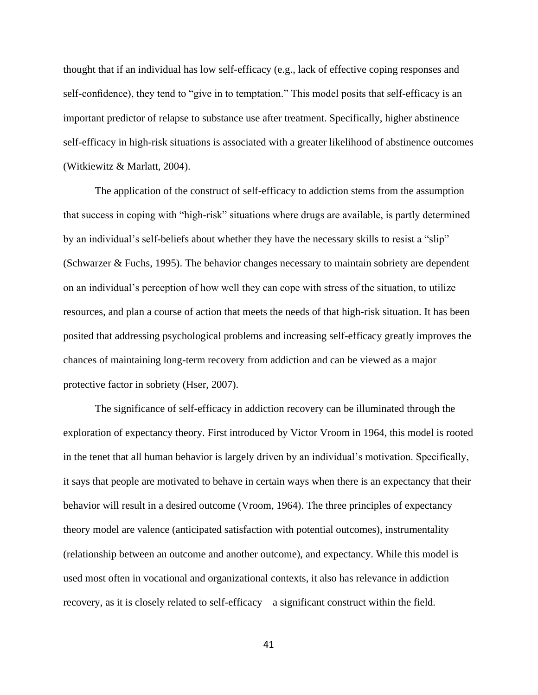thought that if an individual has low self-efficacy (e.g., lack of effective coping responses and self-confidence), they tend to "give in to temptation." This model posits that self-efficacy is an important predictor of relapse to substance use after treatment. Specifically, higher abstinence self-efficacy in high-risk situations is associated with a greater likelihood of abstinence outcomes (Witkiewitz & Marlatt, 2004).

The application of the construct of self-efficacy to addiction stems from the assumption that success in coping with "high-risk" situations where drugs are available, is partly determined by an individual's self-beliefs about whether they have the necessary skills to resist a "slip" (Schwarzer & Fuchs, 1995). The behavior changes necessary to maintain sobriety are dependent on an individual's perception of how well they can cope with stress of the situation, to utilize resources, and plan a course of action that meets the needs of that high-risk situation. It has been posited that addressing psychological problems and increasing self-efficacy greatly improves the chances of maintaining long-term recovery from addiction and can be viewed as a major protective factor in sobriety (Hser, 2007).

The significance of self-efficacy in addiction recovery can be illuminated through the exploration of expectancy theory. First introduced by Victor Vroom in 1964, this model is rooted in the tenet that all human behavior is largely driven by an individual's motivation. Specifically, it says that people are motivated to behave in certain ways when there is an expectancy that their behavior will result in a desired outcome (Vroom, 1964). The three principles of expectancy theory model are valence (anticipated satisfaction with potential outcomes), instrumentality (relationship between an outcome and another outcome), and expectancy. While this model is used most often in vocational and organizational contexts, it also has relevance in addiction recovery, as it is closely related to self-efficacy—a significant construct within the field.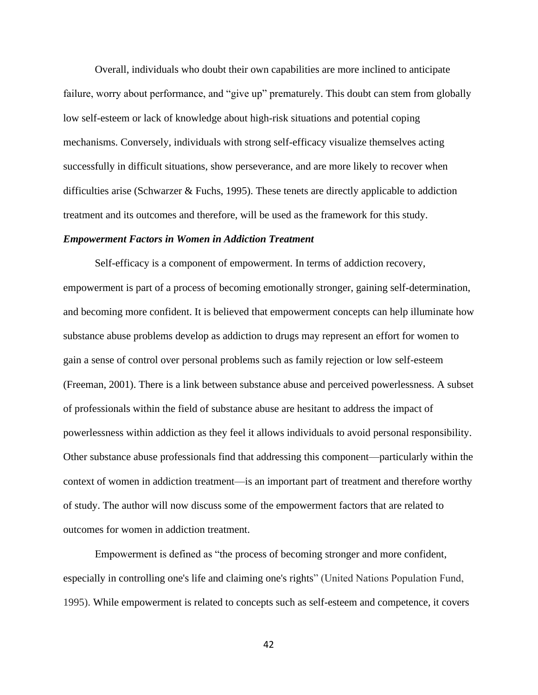Overall, individuals who doubt their own capabilities are more inclined to anticipate failure, worry about performance, and "give up" prematurely. This doubt can stem from globally low self-esteem or lack of knowledge about high-risk situations and potential coping mechanisms. Conversely, individuals with strong self-efficacy visualize themselves acting successfully in difficult situations, show perseverance, and are more likely to recover when difficulties arise (Schwarzer & Fuchs, 1995). These tenets are directly applicable to addiction treatment and its outcomes and therefore, will be used as the framework for this study.

### *Empowerment Factors in Women in Addiction Treatment*

Self-efficacy is a component of empowerment. In terms of addiction recovery, empowerment is part of a process of becoming emotionally stronger, gaining self-determination, and becoming more confident. It is believed that empowerment concepts can help illuminate how substance abuse problems develop as addiction to drugs may represent an effort for women to gain a sense of control over personal problems such as family rejection or low self-esteem (Freeman, 2001). There is a link between substance abuse and perceived powerlessness. A subset of professionals within the field of substance abuse are hesitant to address the impact of powerlessness within addiction as they feel it allows individuals to avoid personal responsibility. Other substance abuse professionals find that addressing this component—particularly within the context of women in addiction treatment—is an important part of treatment and therefore worthy of study. The author will now discuss some of the empowerment factors that are related to outcomes for women in addiction treatment.

Empowerment is defined as "the process of becoming stronger and more confident, especially in controlling one's life and claiming one's rights" (United Nations Population Fund, 1995). While empowerment is related to concepts such as self-esteem and competence, it covers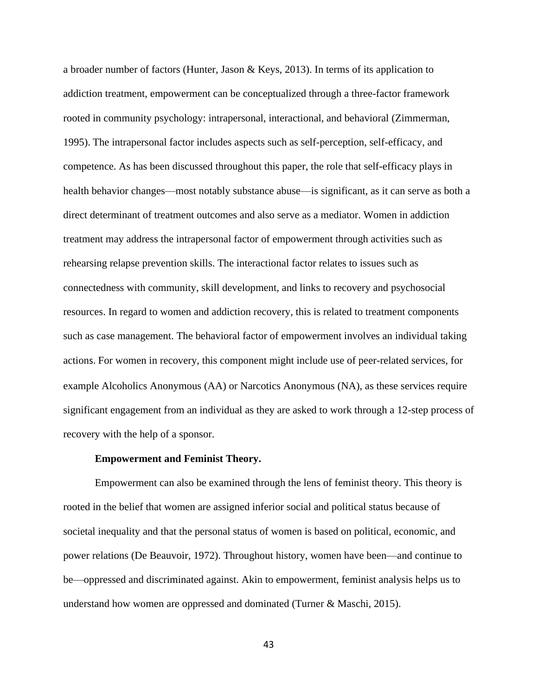a broader number of factors (Hunter, Jason & Keys, 2013). In terms of its application to addiction treatment, empowerment can be conceptualized through a three-factor framework rooted in community psychology: intrapersonal, interactional, and behavioral (Zimmerman, 1995). The intrapersonal factor includes aspects such as self-perception, self-efficacy, and competence. As has been discussed throughout this paper, the role that self-efficacy plays in health behavior changes—most notably substance abuse—is significant, as it can serve as both a direct determinant of treatment outcomes and also serve as a mediator. Women in addiction treatment may address the intrapersonal factor of empowerment through activities such as rehearsing relapse prevention skills. The interactional factor relates to issues such as connectedness with community, skill development, and links to recovery and psychosocial resources. In regard to women and addiction recovery, this is related to treatment components such as case management. The behavioral factor of empowerment involves an individual taking actions. For women in recovery, this component might include use of peer-related services, for example Alcoholics Anonymous (AA) or Narcotics Anonymous (NA), as these services require significant engagement from an individual as they are asked to work through a 12-step process of recovery with the help of a sponsor.

## **Empowerment and Feminist Theory.**

Empowerment can also be examined through the lens of feminist theory. This theory is rooted in the belief that women are assigned inferior social and political status because of societal inequality and that the personal status of women is based on political, economic, and power relations (De Beauvoir, 1972). Throughout history, women have been—and continue to be—oppressed and discriminated against. Akin to empowerment, feminist analysis helps us to understand how women are oppressed and dominated (Turner & Maschi, 2015).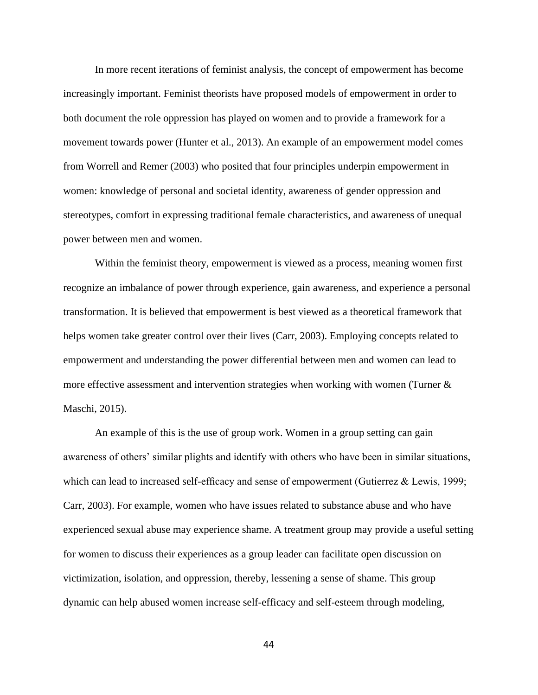In more recent iterations of feminist analysis, the concept of empowerment has become increasingly important. Feminist theorists have proposed models of empowerment in order to both document the role oppression has played on women and to provide a framework for a movement towards power (Hunter et al., 2013). An example of an empowerment model comes from Worrell and Remer (2003) who posited that four principles underpin empowerment in women: knowledge of personal and societal identity, awareness of gender oppression and stereotypes, comfort in expressing traditional female characteristics, and awareness of unequal power between men and women.

Within the feminist theory, empowerment is viewed as a process, meaning women first recognize an imbalance of power through experience, gain awareness, and experience a personal transformation. It is believed that empowerment is best viewed as a theoretical framework that helps women take greater control over their lives (Carr, 2003). Employing concepts related to empowerment and understanding the power differential between men and women can lead to more effective assessment and intervention strategies when working with women (Turner  $\&$ Maschi, 2015).

An example of this is the use of group work. Women in a group setting can gain awareness of others' similar plights and identify with others who have been in similar situations, which can lead to increased self-efficacy and sense of empowerment (Gutierrez & Lewis, 1999; Carr, 2003). For example, women who have issues related to substance abuse and who have experienced sexual abuse may experience shame. A treatment group may provide a useful setting for women to discuss their experiences as a group leader can facilitate open discussion on victimization, isolation, and oppression, thereby, lessening a sense of shame. This group dynamic can help abused women increase self-efficacy and self-esteem through modeling,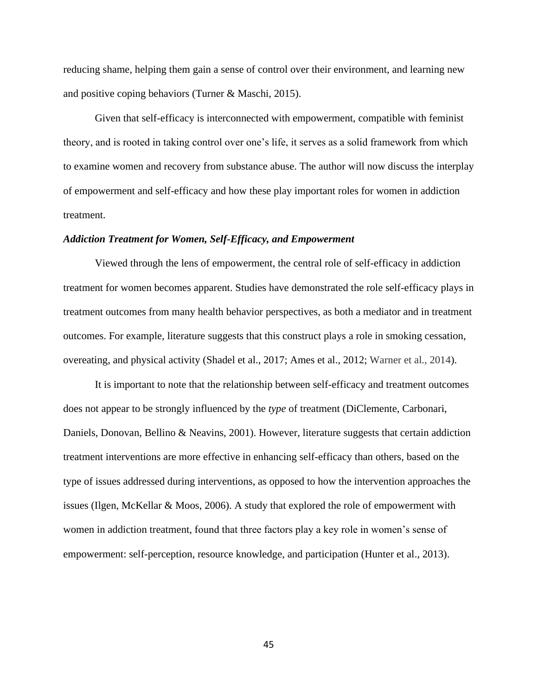reducing shame, helping them gain a sense of control over their environment, and learning new and positive coping behaviors (Turner & Maschi, 2015).

Given that self-efficacy is interconnected with empowerment, compatible with feminist theory, and is rooted in taking control over one's life, it serves as a solid framework from which to examine women and recovery from substance abuse. The author will now discuss the interplay of empowerment and self-efficacy and how these play important roles for women in addiction treatment.

# *Addiction Treatment for Women, Self-Efficacy, and Empowerment*

Viewed through the lens of empowerment, the central role of self-efficacy in addiction treatment for women becomes apparent. Studies have demonstrated the role self-efficacy plays in treatment outcomes from many health behavior perspectives, as both a mediator and in treatment outcomes. For example, literature suggests that this construct plays a role in smoking cessation, overeating, and physical activity (Shadel et al., 2017; Ames et al., 2012; Warner et al., 2014).

It is important to note that the relationship between self-efficacy and treatment outcomes does not appear to be strongly influenced by the *type* of treatment (DiClemente, Carbonari, Daniels, Donovan, Bellino & Neavins, 2001). However, literature suggests that certain addiction treatment interventions are more effective in enhancing self-efficacy than others, based on the type of issues addressed during interventions, as opposed to how the intervention approaches the issues (Ilgen, McKellar & Moos, 2006). A study that explored the role of empowerment with women in addiction treatment, found that three factors play a key role in women's sense of empowerment: self-perception, resource knowledge, and participation (Hunter et al., 2013).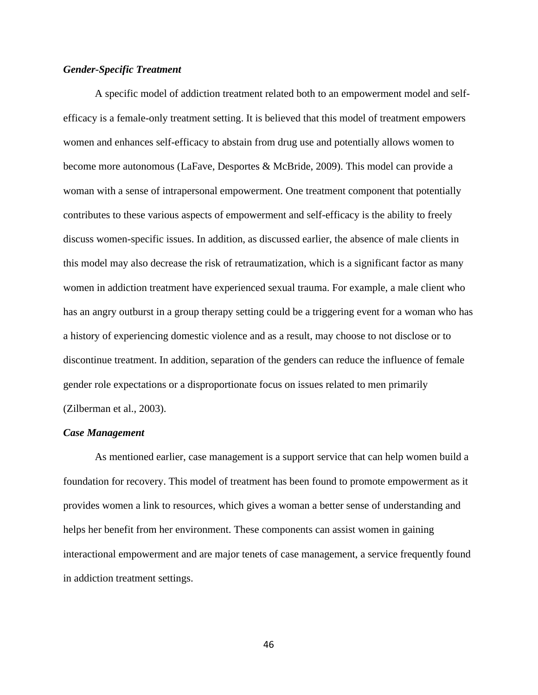# *Gender-Specific Treatment*

A specific model of addiction treatment related both to an empowerment model and selfefficacy is a female-only treatment setting. It is believed that this model of treatment empowers women and enhances self-efficacy to abstain from drug use and potentially allows women to become more autonomous (LaFave, Desportes & McBride, 2009). This model can provide a woman with a sense of intrapersonal empowerment. One treatment component that potentially contributes to these various aspects of empowerment and self-efficacy is the ability to freely discuss women-specific issues. In addition, as discussed earlier, the absence of male clients in this model may also decrease the risk of retraumatization, which is a significant factor as many women in addiction treatment have experienced sexual trauma. For example, a male client who has an angry outburst in a group therapy setting could be a triggering event for a woman who has a history of experiencing domestic violence and as a result, may choose to not disclose or to discontinue treatment. In addition, separation of the genders can reduce the influence of female gender role expectations or a disproportionate focus on issues related to men primarily (Zilberman et al., 2003).

#### *Case Management*

As mentioned earlier, case management is a support service that can help women build a foundation for recovery. This model of treatment has been found to promote empowerment as it provides women a link to resources, which gives a woman a better sense of understanding and helps her benefit from her environment. These components can assist women in gaining interactional empowerment and are major tenets of case management, a service frequently found in addiction treatment settings.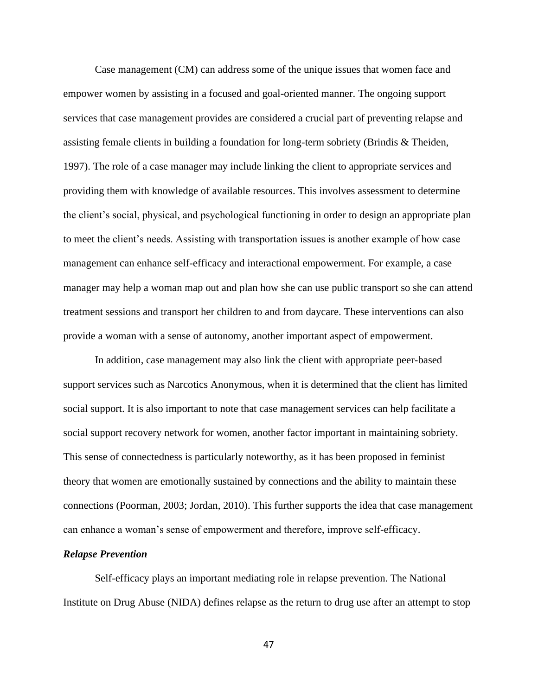Case management (CM) can address some of the unique issues that women face and empower women by assisting in a focused and goal-oriented manner. The ongoing support services that case management provides are considered a crucial part of preventing relapse and assisting female clients in building a foundation for long-term sobriety (Brindis & Theiden, 1997). The role of a case manager may include linking the client to appropriate services and providing them with knowledge of available resources. This involves assessment to determine the client's social, physical, and psychological functioning in order to design an appropriate plan to meet the client's needs. Assisting with transportation issues is another example of how case management can enhance self-efficacy and interactional empowerment. For example, a case manager may help a woman map out and plan how she can use public transport so she can attend treatment sessions and transport her children to and from daycare. These interventions can also provide a woman with a sense of autonomy, another important aspect of empowerment.

In addition, case management may also link the client with appropriate peer-based support services such as Narcotics Anonymous, when it is determined that the client has limited social support. It is also important to note that case management services can help facilitate a social support recovery network for women, another factor important in maintaining sobriety. This sense of connectedness is particularly noteworthy, as it has been proposed in feminist theory that women are emotionally sustained by connections and the ability to maintain these connections (Poorman, 2003; Jordan, 2010). This further supports the idea that case management can enhance a woman's sense of empowerment and therefore, improve self-efficacy.

## *Relapse Prevention*

Self-efficacy plays an important mediating role in relapse prevention. The National Institute on Drug Abuse (NIDA) defines relapse as the return to drug use after an attempt to stop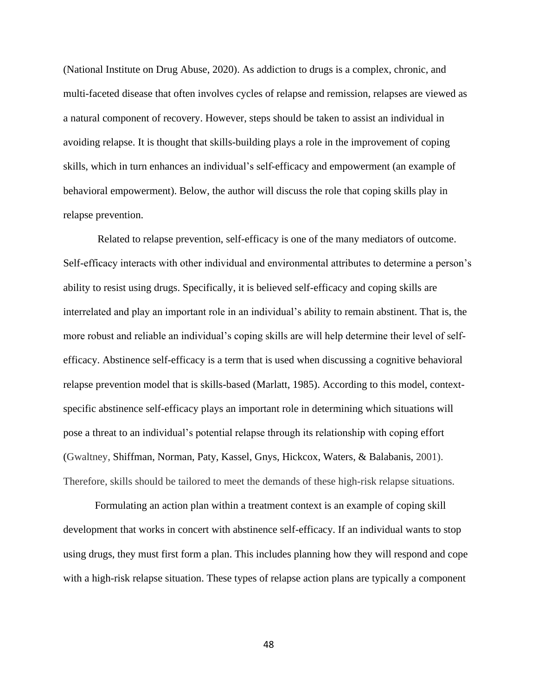(National Institute on Drug Abuse, 2020). As addiction to drugs is a complex, chronic, and multi-faceted disease that often involves cycles of relapse and remission, relapses are viewed as a natural component of recovery. However, steps should be taken to assist an individual in avoiding relapse. It is thought that skills-building plays a role in the improvement of coping skills, which in turn enhances an individual's self-efficacy and empowerment (an example of behavioral empowerment). Below, the author will discuss the role that coping skills play in relapse prevention.

Related to relapse prevention, self-efficacy is one of the many mediators of outcome. Self-efficacy interacts with other individual and environmental attributes to determine a person's ability to resist using drugs. Specifically, it is believed self-efficacy and coping skills are interrelated and play an important role in an individual's ability to remain abstinent. That is, the more robust and reliable an individual's coping skills are will help determine their level of selfefficacy. Abstinence self-efficacy is a term that is used when discussing a cognitive behavioral relapse prevention model that is skills-based (Marlatt, 1985). According to this model, contextspecific abstinence self-efficacy plays an important role in determining which situations will pose a threat to an individual's potential relapse through its relationship with coping effort (Gwaltney, Shiffman, Norman, Paty, Kassel, Gnys, Hickcox, Waters, & Balabanis, 2001). Therefore, skills should be tailored to meet the demands of these high-risk relapse situations.

Formulating an action plan within a treatment context is an example of coping skill development that works in concert with abstinence self-efficacy. If an individual wants to stop using drugs, they must first form a plan. This includes planning how they will respond and cope with a high-risk relapse situation. These types of relapse action plans are typically a component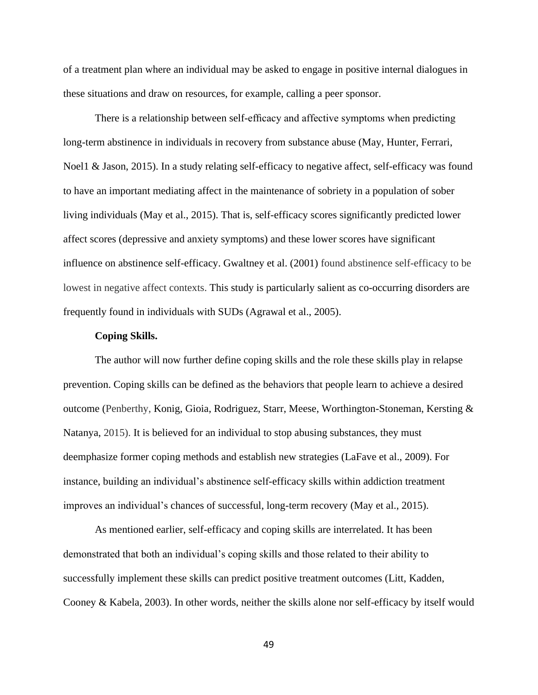of a treatment plan where an individual may be asked to engage in positive internal dialogues in these situations and draw on resources, for example, calling a peer sponsor.

There is a relationship between self-efficacy and affective symptoms when predicting long-term abstinence in individuals in recovery from substance abuse (May, Hunter, Ferrari, Noel1 & Jason, 2015). In a study relating self-efficacy to negative affect, self-efficacy was found to have an important mediating affect in the maintenance of sobriety in a population of sober living individuals (May et al., 2015). That is, self-efficacy scores significantly predicted lower affect scores (depressive and anxiety symptoms) and these lower scores have significant influence on abstinence self-efficacy. Gwaltney et al. (2001) found abstinence self-efficacy to be lowest in negative affect contexts. This study is particularly salient as co-occurring disorders are frequently found in individuals with SUDs (Agrawal et al., 2005).

#### **Coping Skills.**

The author will now further define coping skills and the role these skills play in relapse prevention. Coping skills can be defined as the behaviors that people learn to achieve a desired outcome (Penberthy, Konig, Gioia, Rodriguez, Starr, Meese, Worthington-Stoneman, Kersting & Natanya, 2015). It is believed for an individual to stop abusing substances, they must deemphasize former coping methods and establish new strategies (LaFave et al., 2009). For instance, building an individual's abstinence self-efficacy skills within addiction treatment improves an individual's chances of successful, long-term recovery (May et al., 2015).

As mentioned earlier, self-efficacy and coping skills are interrelated. It has been demonstrated that both an individual's coping skills and those related to their ability to successfully implement these skills can predict positive treatment outcomes (Litt, Kadden, Cooney & Kabela, 2003). In other words, neither the skills alone nor self-efficacy by itself would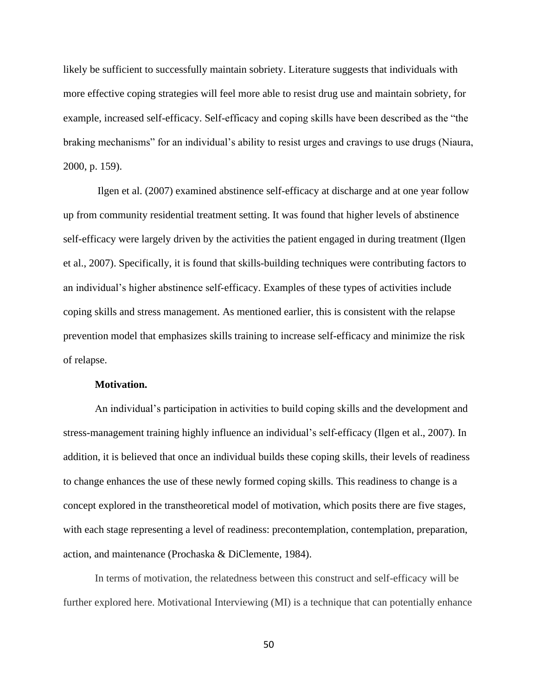likely be sufficient to successfully maintain sobriety. Literature suggests that individuals with more effective coping strategies will feel more able to resist drug use and maintain sobriety, for example, increased self-efficacy. Self-efficacy and coping skills have been described as the "the braking mechanisms" for an individual's ability to resist urges and cravings to use drugs (Niaura, 2000, p. 159).

Ilgen et al. (2007) examined abstinence self-efficacy at discharge and at one year follow up from community residential treatment setting. It was found that higher levels of abstinence self-efficacy were largely driven by the activities the patient engaged in during treatment (Ilgen et al., 2007). Specifically, it is found that skills-building techniques were contributing factors to an individual's higher abstinence self-efficacy. Examples of these types of activities include coping skills and stress management. As mentioned earlier, this is consistent with the relapse prevention model that emphasizes skills training to increase self-efficacy and minimize the risk of relapse.

#### **Motivation.**

An individual's participation in activities to build coping skills and the development and stress-management training highly influence an individual's self-efficacy (Ilgen et al., 2007). In addition, it is believed that once an individual builds these coping skills, their levels of readiness to change enhances the use of these newly formed coping skills. This readiness to change is a concept explored in the transtheoretical model of motivation, which posits there are five stages, with each stage representing a level of readiness: precontemplation, contemplation, preparation, action, and maintenance (Prochaska & DiClemente, 1984).

In terms of motivation, the relatedness between this construct and self-efficacy will be further explored here. Motivational Interviewing (MI) is a technique that can potentially enhance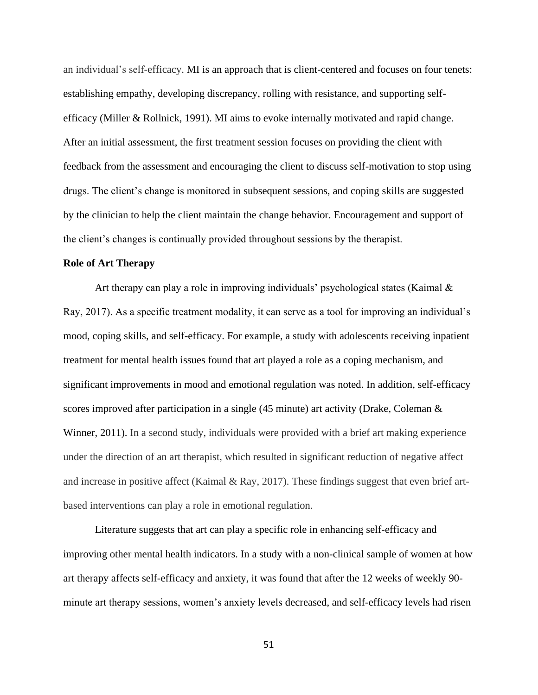an individual's self-efficacy. MI is an approach that is client-centered and focuses on four tenets: establishing empathy, developing discrepancy, rolling with resistance, and supporting selfefficacy (Miller & Rollnick, 1991). MI aims to evoke internally motivated and rapid change. After an initial assessment, the first treatment session focuses on providing the client with feedback from the assessment and encouraging the client to discuss self-motivation to stop using drugs. The client's change is monitored in subsequent sessions, and coping skills are suggested by the clinician to help the client maintain the change behavior. Encouragement and support of the client's changes is continually provided throughout sessions by the therapist.

### **Role of Art Therapy**

Art therapy can play a role in improving individuals' psychological states (Kaimal & Ray, 2017). As a specific treatment modality, it can serve as a tool for improving an individual's mood, coping skills, and self-efficacy. For example, a study with adolescents receiving inpatient treatment for mental health issues found that art played a role as a coping mechanism, and significant improvements in mood and emotional regulation was noted. In addition, self-efficacy scores improved after participation in a single (45 minute) art activity (Drake, Coleman & Winner, 2011). In a second study, individuals were provided with a brief art making experience under the direction of an art therapist, which resulted in significant reduction of negative affect and increase in positive affect (Kaimal & Ray, 2017). These findings suggest that even brief artbased interventions can play a role in emotional regulation.

Literature suggests that art can play a specific role in enhancing self-efficacy and improving other mental health indicators. In a study with a non-clinical sample of women at how art therapy affects self-efficacy and anxiety, it was found that after the 12 weeks of weekly 90 minute art therapy sessions, women's anxiety levels decreased, and self-efficacy levels had risen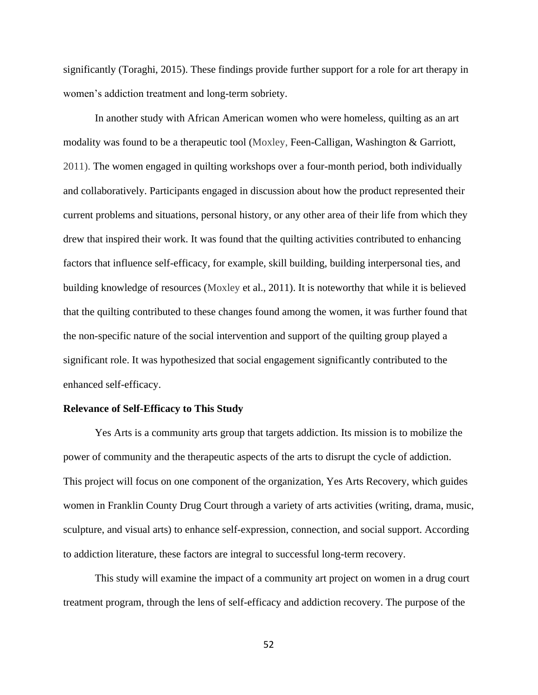significantly (Toraghi, 2015). These findings provide further support for a role for art therapy in women's addiction treatment and long-term sobriety.

In another study with African American women who were homeless, quilting as an art modality was found to be a therapeutic tool (Moxley, Feen-Calligan, Washington & Garriott, 2011). The women engaged in quilting workshops over a four-month period, both individually and collaboratively. Participants engaged in discussion about how the product represented their current problems and situations, personal history, or any other area of their life from which they drew that inspired their work. It was found that the quilting activities contributed to enhancing factors that influence self-efficacy, for example, skill building, building interpersonal ties, and building knowledge of resources (Moxley et al., 2011). It is noteworthy that while it is believed that the quilting contributed to these changes found among the women, it was further found that the non-specific nature of the social intervention and support of the quilting group played a significant role. It was hypothesized that social engagement significantly contributed to the enhanced self-efficacy.

#### **Relevance of Self-Efficacy to This Study**

Yes Arts is a community arts group that targets addiction. Its mission is to mobilize the power of community and the therapeutic aspects of the arts to disrupt the cycle of addiction. This project will focus on one component of the organization, Yes Arts Recovery, which guides women in Franklin County Drug Court through a variety of arts activities (writing, drama, music, sculpture, and visual arts) to enhance self-expression, connection, and social support. According to addiction literature, these factors are integral to successful long-term recovery.

This study will examine the impact of a community art project on women in a drug court treatment program, through the lens of self-efficacy and addiction recovery. The purpose of the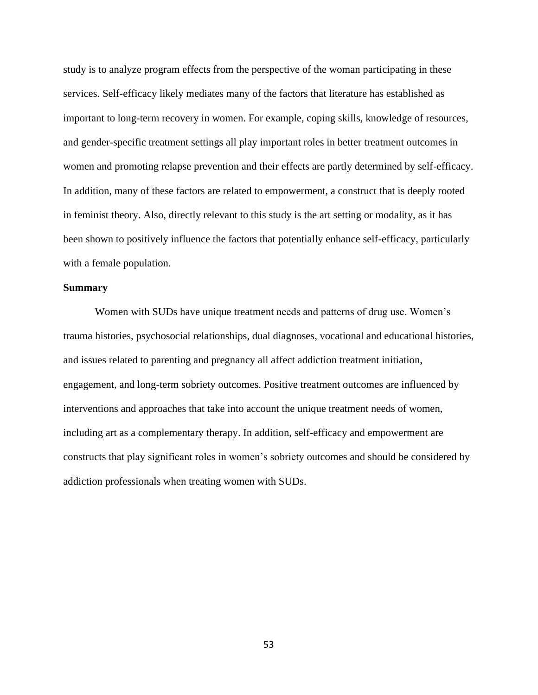study is to analyze program effects from the perspective of the woman participating in these services. Self-efficacy likely mediates many of the factors that literature has established as important to long-term recovery in women. For example, coping skills, knowledge of resources, and gender-specific treatment settings all play important roles in better treatment outcomes in women and promoting relapse prevention and their effects are partly determined by self-efficacy. In addition, many of these factors are related to empowerment, a construct that is deeply rooted in feminist theory. Also, directly relevant to this study is the art setting or modality, as it has been shown to positively influence the factors that potentially enhance self-efficacy, particularly with a female population.

### **Summary**

Women with SUDs have unique treatment needs and patterns of drug use. Women's trauma histories, psychosocial relationships, dual diagnoses, vocational and educational histories, and issues related to parenting and pregnancy all affect addiction treatment initiation, engagement, and long-term sobriety outcomes. Positive treatment outcomes are influenced by interventions and approaches that take into account the unique treatment needs of women, including art as a complementary therapy. In addition, self-efficacy and empowerment are constructs that play significant roles in women's sobriety outcomes and should be considered by addiction professionals when treating women with SUDs.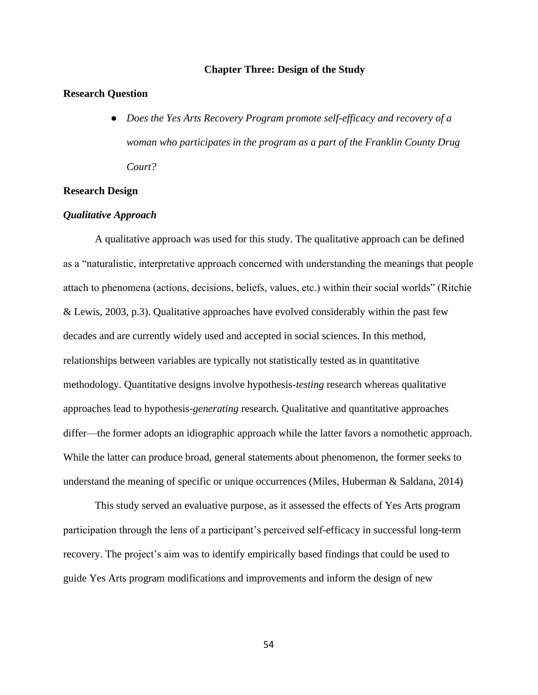# **Chapter Three: Design of the Study**

# **Research Question**

● *Does the Yes Arts Recovery Program promote self-efficacy and recovery of a woman who participates in the program as a part of the Franklin County Drug Court?*

# **Research Design**

### *Qualitative Approach*

A qualitative approach was used for this study. The qualitative approach can be defined as a "naturalistic, interpretative approach concerned with understanding the meanings that people attach to phenomena (actions, decisions, beliefs, values, etc.) within their social worlds" (Ritchie & Lewis, 2003, p.3). Qualitative approaches have evolved considerably within the past few decades and are currently widely used and accepted in social sciences. In this method, relationships between variables are typically not statistically tested as in quantitative methodology. Quantitative designs involve hypothesis*-testing* research whereas qualitative approaches lead to hypothesis*-generating* research. Qualitative and quantitative approaches differ—the former adopts an idiographic approach while the latter favors a nomothetic approach. While the latter can produce broad, general statements about phenomenon, the former seeks to understand the meaning of specific or unique occurrences (Miles, Huberman & Saldana, 2014)

This study served an evaluative purpose*,* as it assessed the effects of Yes Arts program participation through the lens of a participant's perceived self-efficacy in successful long-term recovery. The project's aim was to identify empirically based findings that could be used to guide Yes Arts program modifications and improvements and inform the design of new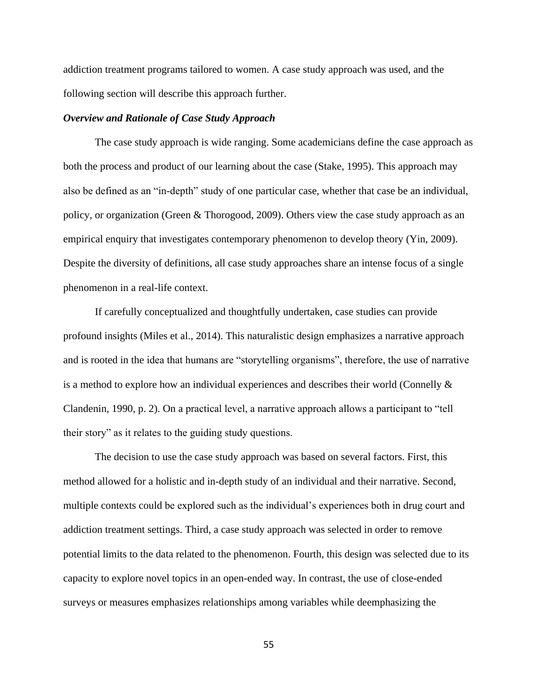addiction treatment programs tailored to women. A case study approach was used, and the following section will describe this approach further.

### *Overview and Rationale of Case Study Approach*

The case study approach is wide ranging. Some academicians define the case approach as both the process and product of our learning about the case (Stake, 1995). This approach may also be defined as an "in-depth" study of one particular case, whether that case be an individual, policy, or organization (Green & Thorogood, 2009). Others view the case study approach as an empirical enquiry that investigates contemporary phenomenon to develop theory (Yin, 2009). Despite the diversity of definitions, all case study approaches share an intense focus of a single phenomenon in a real-life context.

If carefully conceptualized and thoughtfully undertaken, case studies can provide profound insights (Miles et al., 2014). This naturalistic design emphasizes a narrative approach and is rooted in the idea that humans are "storytelling organisms", therefore, the use of narrative is a method to explore how an individual experiences and describes their world (Connelly & Clandenin, 1990, p. 2). On a practical level, a narrative approach allows a participant to "tell their story" as it relates to the guiding study questions.

The decision to use the case study approach was based on several factors. First, this method allowed for a holistic and in-depth study of an individual and their narrative. Second, multiple contexts could be explored such as the individual's experiences both in drug court and addiction treatment settings. Third, a case study approach was selected in order to remove potential limits to the data related to the phenomenon. Fourth, this design was selected due to its capacity to explore novel topics in an open-ended way. In contrast, the use of close-ended surveys or measures emphasizes relationships among variables while deemphasizing the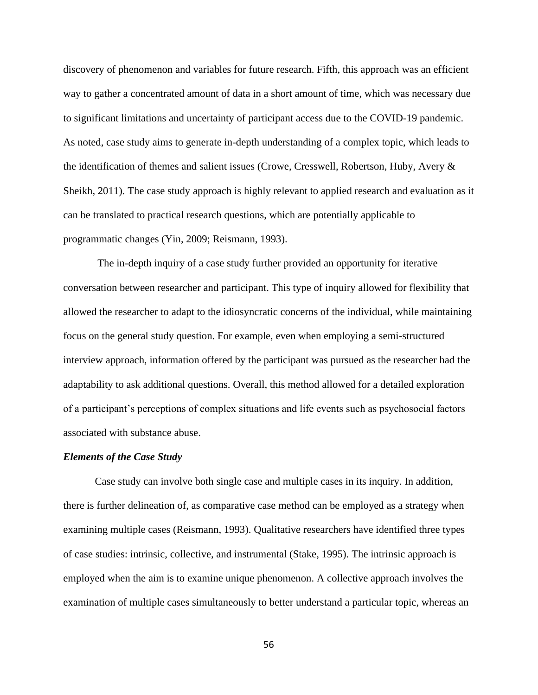discovery of phenomenon and variables for future research. Fifth, this approach was an efficient way to gather a concentrated amount of data in a short amount of time, which was necessary due to significant limitations and uncertainty of participant access due to the COVID-19 pandemic. As noted, case study aims to generate in-depth understanding of a complex topic, which leads to the identification of themes and salient issues (Crowe, Cresswell, Robertson, Huby, Avery & Sheikh, 2011). The case study approach is highly relevant to applied research and evaluation as it can be translated to practical research questions, which are potentially applicable to programmatic changes (Yin, 2009; Reismann, 1993).

The in-depth inquiry of a case study further provided an opportunity for iterative conversation between researcher and participant. This type of inquiry allowed for flexibility that allowed the researcher to adapt to the idiosyncratic concerns of the individual, while maintaining focus on the general study question. For example, even when employing a semi-structured interview approach, information offered by the participant was pursued as the researcher had the adaptability to ask additional questions. Overall, this method allowed for a detailed exploration of a participant's perceptions of complex situations and life events such as psychosocial factors associated with substance abuse.

### *Elements of the Case Study*

Case study can involve both single case and multiple cases in its inquiry. In addition, there is further delineation of, as comparative case method can be employed as a strategy when examining multiple cases (Reismann, 1993). Qualitative researchers have identified three types of case studies: intrinsic, collective, and instrumental (Stake, 1995). The intrinsic approach is employed when the aim is to examine unique phenomenon. A collective approach involves the examination of multiple cases simultaneously to better understand a particular topic, whereas an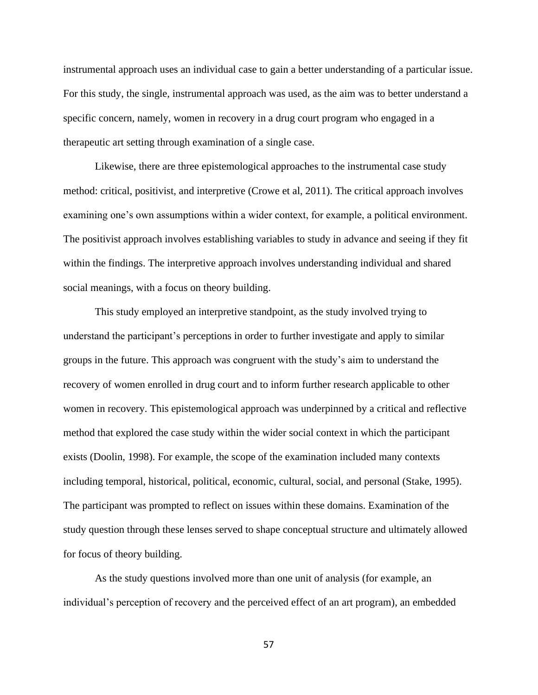instrumental approach uses an individual case to gain a better understanding of a particular issue. For this study, the single, instrumental approach was used, as the aim was to better understand a specific concern, namely, women in recovery in a drug court program who engaged in a therapeutic art setting through examination of a single case.

Likewise, there are three epistemological approaches to the instrumental case study method: critical, positivist, and interpretive (Crowe et al, 2011). The critical approach involves examining one's own assumptions within a wider context, for example, a political environment. The positivist approach involves establishing variables to study in advance and seeing if they fit within the findings. The interpretive approach involves understanding individual and shared social meanings, with a focus on theory building.

This study employed an interpretive standpoint, as the study involved trying to understand the participant's perceptions in order to further investigate and apply to similar groups in the future. This approach was congruent with the study's aim to understand the recovery of women enrolled in drug court and to inform further research applicable to other women in recovery. This epistemological approach was underpinned by a critical and reflective method that explored the case study within the wider social context in which the participant exists (Doolin, 1998). For example, the scope of the examination included many contexts including temporal, historical, political, economic, cultural, social, and personal (Stake, 1995). The participant was prompted to reflect on issues within these domains. Examination of the study question through these lenses served to shape conceptual structure and ultimately allowed for focus of theory building.

As the study questions involved more than one unit of analysis (for example, an individual's perception of recovery and the perceived effect of an art program), an embedded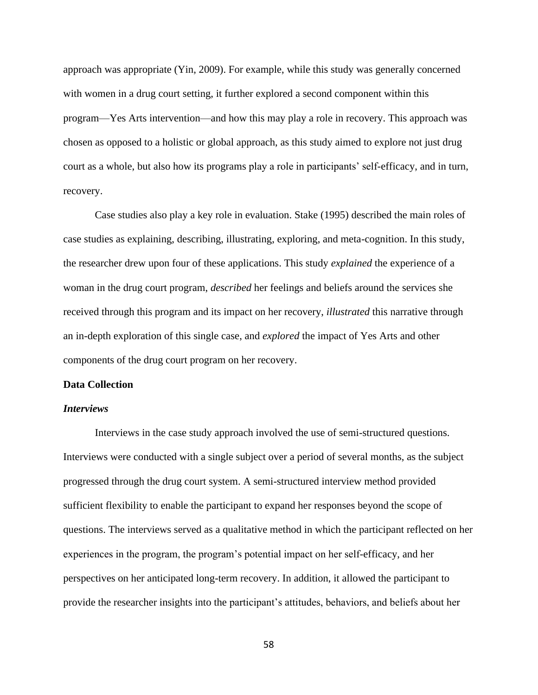approach was appropriate (Yin, 2009). For example, while this study was generally concerned with women in a drug court setting, it further explored a second component within this program—Yes Arts intervention—and how this may play a role in recovery. This approach was chosen as opposed to a holistic or global approach, as this study aimed to explore not just drug court as a whole, but also how its programs play a role in participants' self-efficacy, and in turn, recovery.

Case studies also play a key role in evaluation. Stake (1995) described the main roles of case studies as explaining, describing, illustrating, exploring, and meta-cognition. In this study, the researcher drew upon four of these applications. This study *explained* the experience of a woman in the drug court program, *described* her feelings and beliefs around the services she received through this program and its impact on her recovery, *illustrated* this narrative through an in-depth exploration of this single case, and *explored* the impact of Yes Arts and other components of the drug court program on her recovery.

# **Data Collection**

### *Interviews*

Interviews in the case study approach involved the use of semi-structured questions. Interviews were conducted with a single subject over a period of several months, as the subject progressed through the drug court system. A semi-structured interview method provided sufficient flexibility to enable the participant to expand her responses beyond the scope of questions. The interviews served as a qualitative method in which the participant reflected on her experiences in the program, the program's potential impact on her self-efficacy, and her perspectives on her anticipated long-term recovery. In addition, it allowed the participant to provide the researcher insights into the participant's attitudes, behaviors, and beliefs about her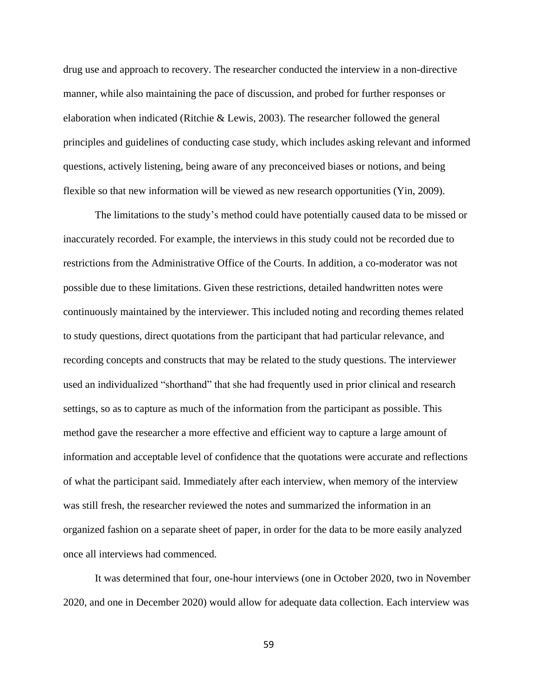drug use and approach to recovery. The researcher conducted the interview in a non-directive manner, while also maintaining the pace of discussion, and probed for further responses or elaboration when indicated (Ritchie & Lewis, 2003). The researcher followed the general principles and guidelines of conducting case study, which includes asking relevant and informed questions, actively listening, being aware of any preconceived biases or notions, and being flexible so that new information will be viewed as new research opportunities (Yin, 2009).

The limitations to the study's method could have potentially caused data to be missed or inaccurately recorded. For example, the interviews in this study could not be recorded due to restrictions from the Administrative Office of the Courts. In addition, a co-moderator was not possible due to these limitations. Given these restrictions, detailed handwritten notes were continuously maintained by the interviewer. This included noting and recording themes related to study questions, direct quotations from the participant that had particular relevance, and recording concepts and constructs that may be related to the study questions. The interviewer used an individualized "shorthand" that she had frequently used in prior clinical and research settings, so as to capture as much of the information from the participant as possible. This method gave the researcher a more effective and efficient way to capture a large amount of information and acceptable level of confidence that the quotations were accurate and reflections of what the participant said. Immediately after each interview, when memory of the interview was still fresh, the researcher reviewed the notes and summarized the information in an organized fashion on a separate sheet of paper, in order for the data to be more easily analyzed once all interviews had commenced.

It was determined that four, one-hour interviews (one in October 2020, two in November 2020, and one in December 2020) would allow for adequate data collection. Each interview was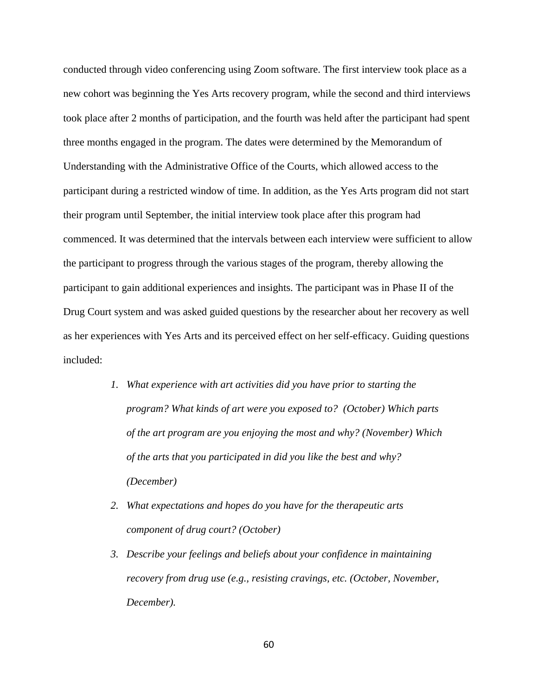conducted through video conferencing using Zoom software. The first interview took place as a new cohort was beginning the Yes Arts recovery program, while the second and third interviews took place after 2 months of participation, and the fourth was held after the participant had spent three months engaged in the program. The dates were determined by the Memorandum of Understanding with the Administrative Office of the Courts, which allowed access to the participant during a restricted window of time. In addition, as the Yes Arts program did not start their program until September, the initial interview took place after this program had commenced. It was determined that the intervals between each interview were sufficient to allow the participant to progress through the various stages of the program, thereby allowing the participant to gain additional experiences and insights. The participant was in Phase II of the Drug Court system and was asked guided questions by the researcher about her recovery as well as her experiences with Yes Arts and its perceived effect on her self-efficacy. Guiding questions included:

- *1. What experience with art activities did you have prior to starting the program? What kinds of art were you exposed to? (October) Which parts of the art program are you enjoying the most and why? (November) Which of the arts that you participated in did you like the best and why? (December)*
- *2. What expectations and hopes do you have for the therapeutic arts component of drug court? (October)*
- *3. Describe your feelings and beliefs about your confidence in maintaining recovery from drug use (e.g., resisting cravings, etc. (October, November, December).*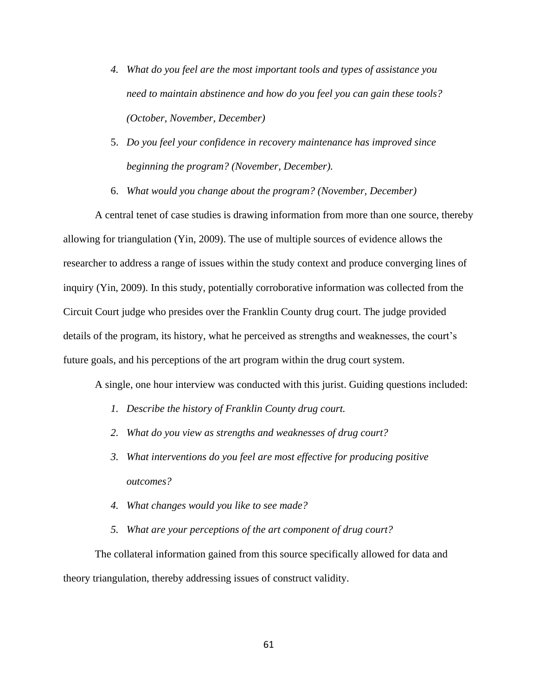- *4. What do you feel are the most important tools and types of assistance you need to maintain abstinence and how do you feel you can gain these tools? (October, November, December)*
- 5. *Do you feel your confidence in recovery maintenance has improved since beginning the program? (November, December).*
- 6. *What would you change about the program? (November, December)*

A central tenet of case studies is drawing information from more than one source, thereby allowing for triangulation (Yin, 2009). The use of multiple sources of evidence allows the researcher to address a range of issues within the study context and produce converging lines of inquiry (Yin, 2009). In this study, potentially corroborative information was collected from the Circuit Court judge who presides over the Franklin County drug court. The judge provided details of the program, its history, what he perceived as strengths and weaknesses, the court's future goals, and his perceptions of the art program within the drug court system.

A single, one hour interview was conducted with this jurist. Guiding questions included:

- *1. Describe the history of Franklin County drug court.*
- *2. What do you view as strengths and weaknesses of drug court?*
- *3. What interventions do you feel are most effective for producing positive outcomes?*
- *4. What changes would you like to see made?*
- *5. What are your perceptions of the art component of drug court?*

The collateral information gained from this source specifically allowed for data and theory triangulation, thereby addressing issues of construct validity.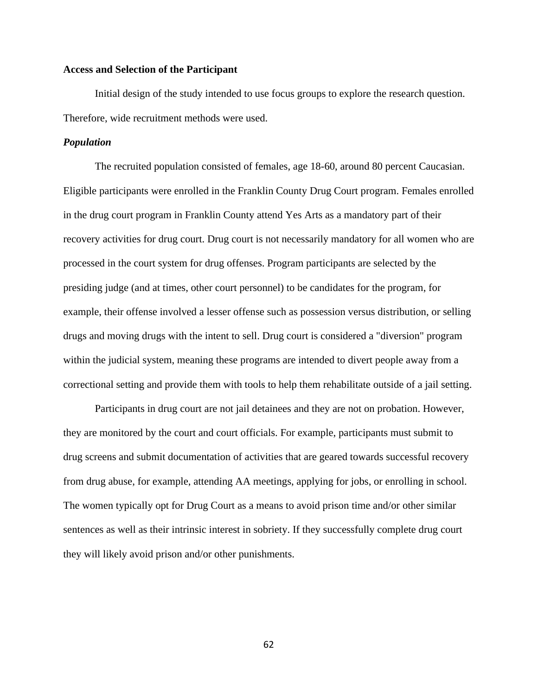# **Access and Selection of the Participant**

Initial design of the study intended to use focus groups to explore the research question. Therefore, wide recruitment methods were used.

# *Population*

The recruited population consisted of females, age 18-60, around 80 percent Caucasian. Eligible participants were enrolled in the Franklin County Drug Court program. Females enrolled in the drug court program in Franklin County attend Yes Arts as a mandatory part of their recovery activities for drug court. Drug court is not necessarily mandatory for all women who are processed in the court system for drug offenses. Program participants are selected by the presiding judge (and at times, other court personnel) to be candidates for the program, for example, their offense involved a lesser offense such as possession versus distribution, or selling drugs and moving drugs with the intent to sell. Drug court is considered a "diversion" program within the judicial system, meaning these programs are intended to divert people away from a correctional setting and provide them with tools to help them rehabilitate outside of a jail setting.

Participants in drug court are not jail detainees and they are not on probation. However, they are monitored by the court and court officials. For example, participants must submit to drug screens and submit documentation of activities that are geared towards successful recovery from drug abuse, for example, attending AA meetings, applying for jobs, or enrolling in school. The women typically opt for Drug Court as a means to avoid prison time and/or other similar sentences as well as their intrinsic interest in sobriety. If they successfully complete drug court they will likely avoid prison and/or other punishments.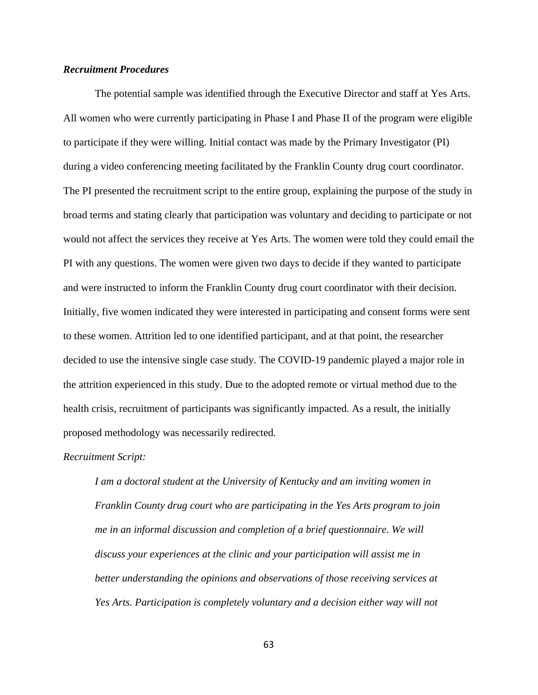# *Recruitment Procedures*

The potential sample was identified through the Executive Director and staff at Yes Arts. All women who were currently participating in Phase I and Phase II of the program were eligible to participate if they were willing. Initial contact was made by the Primary Investigator (PI) during a video conferencing meeting facilitated by the Franklin County drug court coordinator. The PI presented the recruitment script to the entire group, explaining the purpose of the study in broad terms and stating clearly that participation was voluntary and deciding to participate or not would not affect the services they receive at Yes Arts. The women were told they could email the PI with any questions. The women were given two days to decide if they wanted to participate and were instructed to inform the Franklin County drug court coordinator with their decision. Initially, five women indicated they were interested in participating and consent forms were sent to these women. Attrition led to one identified participant, and at that point, the researcher decided to use the intensive single case study. The COVID-19 pandemic played a major role in the attrition experienced in this study. Due to the adopted remote or virtual method due to the health crisis, recruitment of participants was significantly impacted. As a result, the initially proposed methodology was necessarily redirected.

### *Recruitment Script:*

*I am a doctoral student at the University of Kentucky and am inviting women in Franklin County drug court who are participating in the Yes Arts program to join me in an informal discussion and completion of a brief questionnaire. We will discuss your experiences at the clinic and your participation will assist me in better understanding the opinions and observations of those receiving services at Yes Arts. Participation is completely voluntary and a decision either way will not*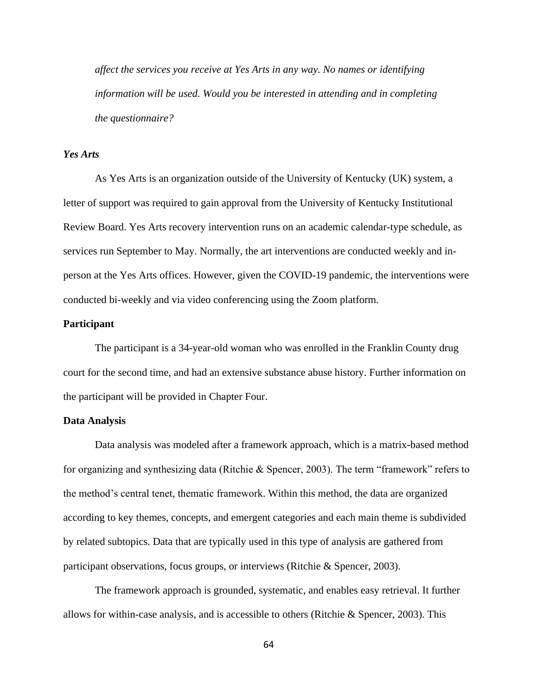*affect the services you receive at Yes Arts in any way. No names or identifying information will be used. Would you be interested in attending and in completing the questionnaire?*

# *Yes Arts*

As Yes Arts is an organization outside of the University of Kentucky (UK) system, a letter of support was required to gain approval from the University of Kentucky Institutional Review Board. Yes Arts recovery intervention runs on an academic calendar-type schedule, as services run September to May. Normally, the art interventions are conducted weekly and inperson at the Yes Arts offices. However, given the COVID-19 pandemic, the interventions were conducted bi-weekly and via video conferencing using the Zoom platform.

# **Participant**

The participant is a 34-year-old woman who was enrolled in the Franklin County drug court for the second time, and had an extensive substance abuse history. Further information on the participant will be provided in Chapter Four.

# **Data Analysis**

Data analysis was modeled after a framework approach, which is a matrix-based method for organizing and synthesizing data (Ritchie & Spencer, 2003). The term "framework" refers to the method's central tenet, thematic framework. Within this method, the data are organized according to key themes, concepts, and emergent categories and each main theme is subdivided by related subtopics. Data that are typically used in this type of analysis are gathered from participant observations, focus groups, or interviews (Ritchie & Spencer, 2003).

The framework approach is grounded, systematic, and enables easy retrieval. It further allows for within-case analysis, and is accessible to others (Ritchie & Spencer, 2003). This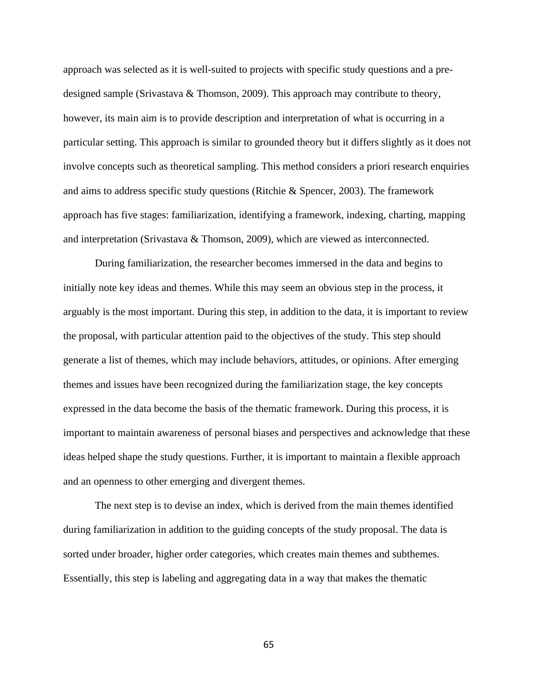approach was selected as it is well-suited to projects with specific study questions and a predesigned sample (Srivastava & Thomson, 2009). This approach may contribute to theory, however, its main aim is to provide description and interpretation of what is occurring in a particular setting. This approach is similar to grounded theory but it differs slightly as it does not involve concepts such as theoretical sampling. This method considers a priori research enquiries and aims to address specific study questions (Ritchie & Spencer, 2003). The framework approach has five stages: familiarization, identifying a framework, indexing, charting, mapping and interpretation (Srivastava & Thomson, 2009), which are viewed as interconnected.

During familiarization, the researcher becomes immersed in the data and begins to initially note key ideas and themes. While this may seem an obvious step in the process, it arguably is the most important. During this step, in addition to the data, it is important to review the proposal, with particular attention paid to the objectives of the study. This step should generate a list of themes, which may include behaviors, attitudes, or opinions. After emerging themes and issues have been recognized during the familiarization stage, the key concepts expressed in the data become the basis of the thematic framework. During this process, it is important to maintain awareness of personal biases and perspectives and acknowledge that these ideas helped shape the study questions. Further, it is important to maintain a flexible approach and an openness to other emerging and divergent themes.

The next step is to devise an index, which is derived from the main themes identified during familiarization in addition to the guiding concepts of the study proposal. The data is sorted under broader, higher order categories, which creates main themes and subthemes. Essentially, this step is labeling and aggregating data in a way that makes the thematic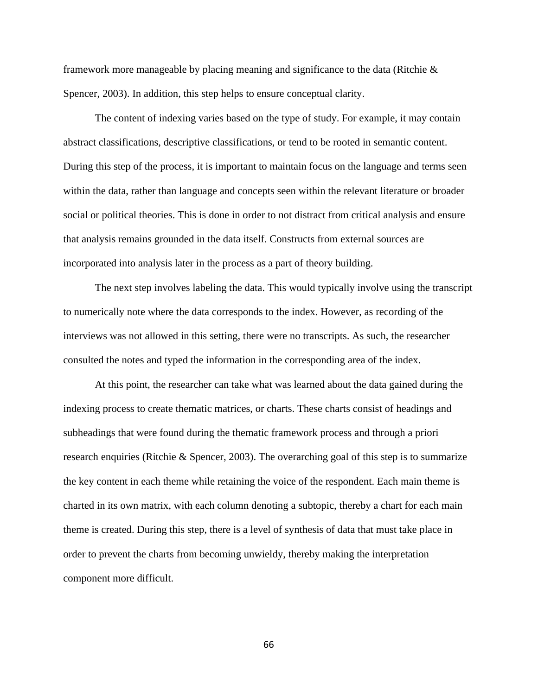framework more manageable by placing meaning and significance to the data (Ritchie & Spencer, 2003). In addition, this step helps to ensure conceptual clarity.

The content of indexing varies based on the type of study. For example, it may contain abstract classifications, descriptive classifications, or tend to be rooted in semantic content. During this step of the process, it is important to maintain focus on the language and terms seen within the data, rather than language and concepts seen within the relevant literature or broader social or political theories. This is done in order to not distract from critical analysis and ensure that analysis remains grounded in the data itself. Constructs from external sources are incorporated into analysis later in the process as a part of theory building.

The next step involves labeling the data. This would typically involve using the transcript to numerically note where the data corresponds to the index. However, as recording of the interviews was not allowed in this setting, there were no transcripts. As such, the researcher consulted the notes and typed the information in the corresponding area of the index.

At this point, the researcher can take what was learned about the data gained during the indexing process to create thematic matrices, or charts. These charts consist of headings and subheadings that were found during the thematic framework process and through a priori research enquiries (Ritchie & Spencer, 2003). The overarching goal of this step is to summarize the key content in each theme while retaining the voice of the respondent. Each main theme is charted in its own matrix, with each column denoting a subtopic, thereby a chart for each main theme is created. During this step, there is a level of synthesis of data that must take place in order to prevent the charts from becoming unwieldy, thereby making the interpretation component more difficult.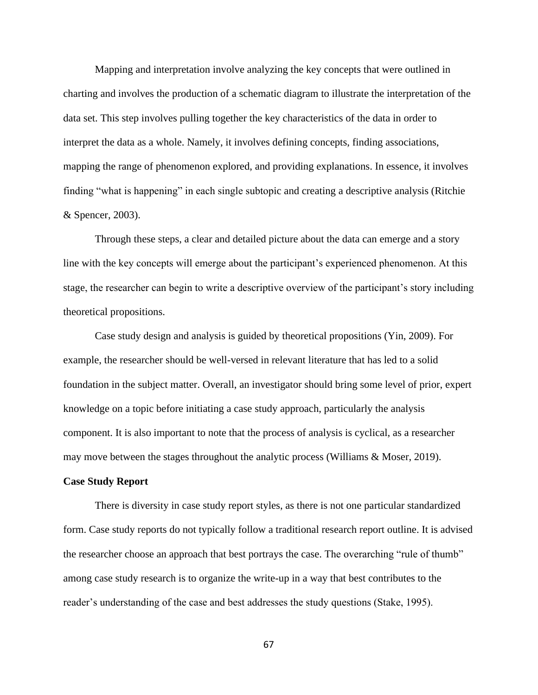Mapping and interpretation involve analyzing the key concepts that were outlined in charting and involves the production of a schematic diagram to illustrate the interpretation of the data set. This step involves pulling together the key characteristics of the data in order to interpret the data as a whole. Namely, it involves defining concepts, finding associations, mapping the range of phenomenon explored, and providing explanations. In essence, it involves finding "what is happening" in each single subtopic and creating a descriptive analysis (Ritchie & Spencer, 2003).

Through these steps, a clear and detailed picture about the data can emerge and a story line with the key concepts will emerge about the participant's experienced phenomenon. At this stage, the researcher can begin to write a descriptive overview of the participant's story including theoretical propositions.

Case study design and analysis is guided by theoretical propositions (Yin, 2009). For example, the researcher should be well-versed in relevant literature that has led to a solid foundation in the subject matter. Overall, an investigator should bring some level of prior, expert knowledge on a topic before initiating a case study approach, particularly the analysis component. It is also important to note that the process of analysis is cyclical, as a researcher may move between the stages throughout the analytic process (Williams & Moser, 2019).

#### **Case Study Report**

There is diversity in case study report styles, as there is not one particular standardized form. Case study reports do not typically follow a traditional research report outline. It is advised the researcher choose an approach that best portrays the case. The overarching "rule of thumb" among case study research is to organize the write-up in a way that best contributes to the reader's understanding of the case and best addresses the study questions (Stake, 1995).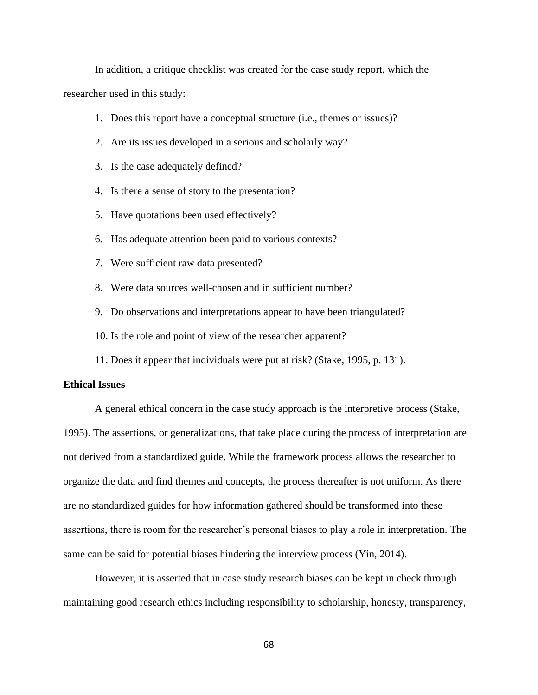In addition, a critique checklist was created for the case study report, which the researcher used in this study:

- 1. Does this report have a conceptual structure (i.e., themes or issues)?
- 2. Are its issues developed in a serious and scholarly way?
- 3. Is the case adequately defined?
- 4. Is there a sense of story to the presentation?
- 5. Have quotations been used effectively?
- 6. Has adequate attention been paid to various contexts?
- 7. Were sufficient raw data presented?
- 8. Were data sources well-chosen and in sufficient number?
- 9. Do observations and interpretations appear to have been triangulated?
- 10. Is the role and point of view of the researcher apparent?
- 11. Does it appear that individuals were put at risk? (Stake, 1995, p. 131).

# **Ethical Issues**

A general ethical concern in the case study approach is the interpretive process (Stake, 1995). The assertions, or generalizations, that take place during the process of interpretation are not derived from a standardized guide. While the framework process allows the researcher to organize the data and find themes and concepts, the process thereafter is not uniform. As there are no standardized guides for how information gathered should be transformed into these assertions, there is room for the researcher's personal biases to play a role in interpretation. The same can be said for potential biases hindering the interview process (Yin, 2014).

However, it is asserted that in case study research biases can be kept in check through maintaining good research ethics including responsibility to scholarship, honesty, transparency,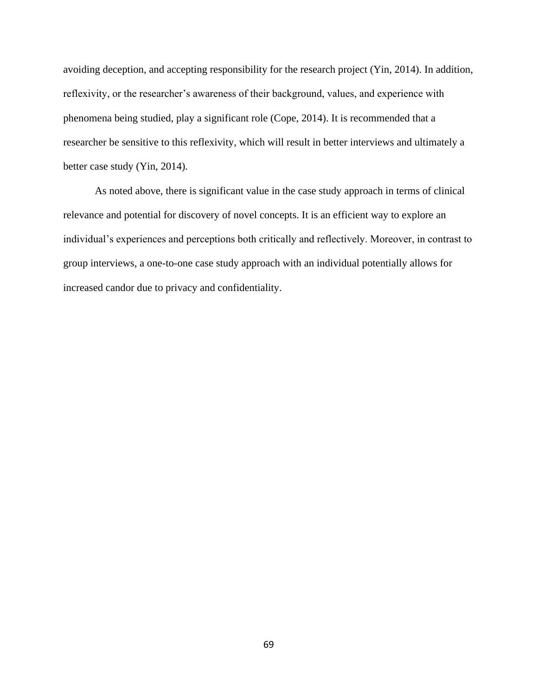avoiding deception, and accepting responsibility for the research project (Yin, 2014). In addition, reflexivity, or the researcher's awareness of their background, values, and experience with phenomena being studied, play a significant role (Cope, 2014). It is recommended that a researcher be sensitive to this reflexivity, which will result in better interviews and ultimately a better case study (Yin, 2014).

As noted above, there is significant value in the case study approach in terms of clinical relevance and potential for discovery of novel concepts. It is an efficient way to explore an individual's experiences and perceptions both critically and reflectively. Moreover, in contrast to group interviews, a one-to-one case study approach with an individual potentially allows for increased candor due to privacy and confidentiality.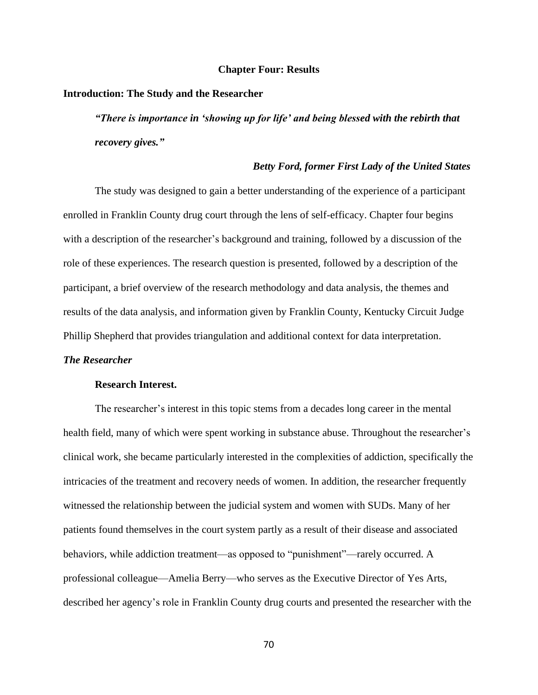#### **Chapter Four: Results**

## **Introduction: The Study and the Researcher**

*"There is importance in 'showing up for life' and being blessed with the rebirth that recovery gives."*

# *Betty Ford, former First Lady of the United States*

The study was designed to gain a better understanding of the experience of a participant enrolled in Franklin County drug court through the lens of self-efficacy. Chapter four begins with a description of the researcher's background and training, followed by a discussion of the role of these experiences. The research question is presented, followed by a description of the participant, a brief overview of the research methodology and data analysis, the themes and results of the data analysis, and information given by Franklin County, Kentucky Circuit Judge Phillip Shepherd that provides triangulation and additional context for data interpretation.

## *The Researcher*

#### **Research Interest.**

The researcher's interest in this topic stems from a decades long career in the mental health field, many of which were spent working in substance abuse. Throughout the researcher's clinical work, she became particularly interested in the complexities of addiction, specifically the intricacies of the treatment and recovery needs of women. In addition, the researcher frequently witnessed the relationship between the judicial system and women with SUDs. Many of her patients found themselves in the court system partly as a result of their disease and associated behaviors, while addiction treatment—as opposed to "punishment"—rarely occurred. A professional colleague—Amelia Berry—who serves as the Executive Director of Yes Arts, described her agency's role in Franklin County drug courts and presented the researcher with the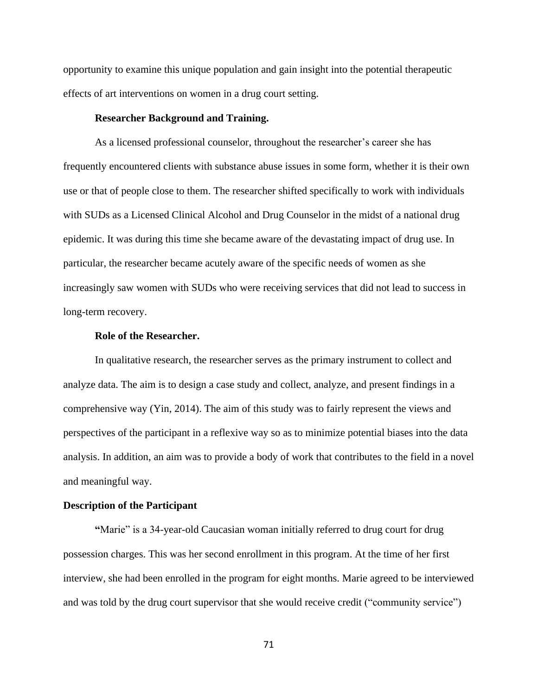opportunity to examine this unique population and gain insight into the potential therapeutic effects of art interventions on women in a drug court setting.

# **Researcher Background and Training.**

As a licensed professional counselor, throughout the researcher's career she has frequently encountered clients with substance abuse issues in some form, whether it is their own use or that of people close to them. The researcher shifted specifically to work with individuals with SUDs as a Licensed Clinical Alcohol and Drug Counselor in the midst of a national drug epidemic. It was during this time she became aware of the devastating impact of drug use. In particular, the researcher became acutely aware of the specific needs of women as she increasingly saw women with SUDs who were receiving services that did not lead to success in long-term recovery.

# **Role of the Researcher.**

In qualitative research, the researcher serves as the primary instrument to collect and analyze data. The aim is to design a case study and collect, analyze, and present findings in a comprehensive way (Yin, 2014). The aim of this study was to fairly represent the views and perspectives of the participant in a reflexive way so as to minimize potential biases into the data analysis. In addition, an aim was to provide a body of work that contributes to the field in a novel and meaningful way.

#### **Description of the Participant**

**"**Marie" is a 34-year-old Caucasian woman initially referred to drug court for drug possession charges. This was her second enrollment in this program. At the time of her first interview, she had been enrolled in the program for eight months. Marie agreed to be interviewed and was told by the drug court supervisor that she would receive credit ("community service")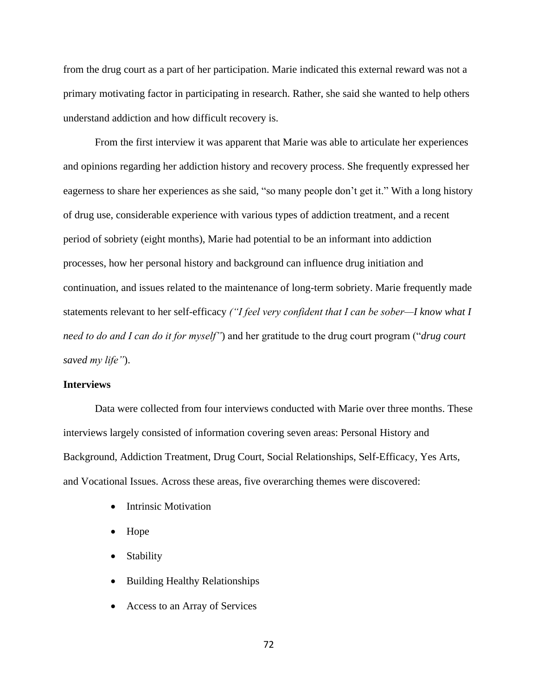from the drug court as a part of her participation. Marie indicated this external reward was not a primary motivating factor in participating in research. Rather, she said she wanted to help others understand addiction and how difficult recovery is.

From the first interview it was apparent that Marie was able to articulate her experiences and opinions regarding her addiction history and recovery process. She frequently expressed her eagerness to share her experiences as she said, "so many people don't get it." With a long history of drug use, considerable experience with various types of addiction treatment, and a recent period of sobriety (eight months), Marie had potential to be an informant into addiction processes, how her personal history and background can influence drug initiation and continuation, and issues related to the maintenance of long-term sobriety. Marie frequently made statements relevant to her self-efficacy *("I feel very confident that I can be sober—I know what I need to do and I can do it for myself"*) and her gratitude to the drug court program ("*drug court saved my life"*).

#### **Interviews**

Data were collected from four interviews conducted with Marie over three months. These interviews largely consisted of information covering seven areas: Personal History and Background, Addiction Treatment, Drug Court, Social Relationships, Self-Efficacy, Yes Arts, and Vocational Issues. Across these areas, five overarching themes were discovered:

- Intrinsic Motivation
- Hope
- **Stability**
- Building Healthy Relationships
- Access to an Array of Services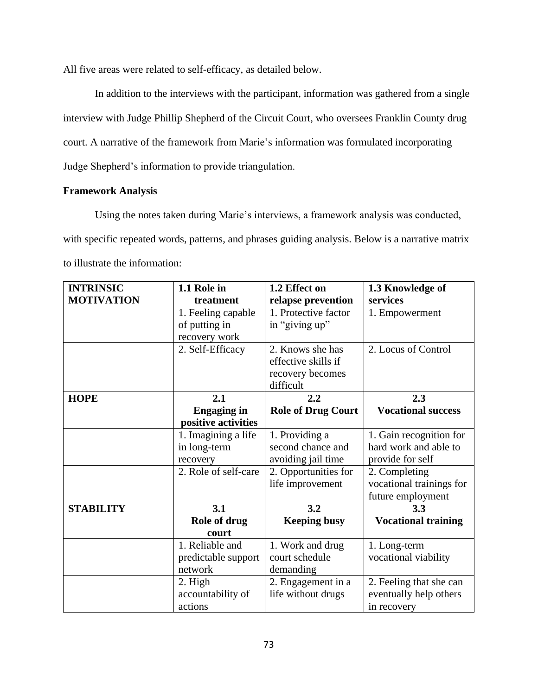All five areas were related to self-efficacy, as detailed below.

In addition to the interviews with the participant, information was gathered from a single interview with Judge Phillip Shepherd of the Circuit Court, who oversees Franklin County drug court. A narrative of the framework from Marie's information was formulated incorporating Judge Shepherd's information to provide triangulation.

# **Framework Analysis**

Using the notes taken during Marie's interviews, a framework analysis was conducted, with specific repeated words, patterns, and phrases guiding analysis. Below is a narrative matrix to illustrate the information:

| <b>INTRINSIC</b>  | 1.1 Role in          | 1.2 Effect on             | 1.3 Knowledge of           |
|-------------------|----------------------|---------------------------|----------------------------|
| <b>MOTIVATION</b> | treatment            | relapse prevention        | services                   |
|                   | 1. Feeling capable   | 1. Protective factor      | 1. Empowerment             |
|                   | of putting in        | in "giving up"            |                            |
|                   | recovery work        |                           |                            |
|                   | 2. Self-Efficacy     | 2. Knows she has          | 2. Locus of Control        |
|                   |                      | effective skills if       |                            |
|                   |                      | recovery becomes          |                            |
|                   |                      | difficult                 |                            |
| <b>HOPE</b>       | 2.1                  | 2.2                       | 2.3                        |
|                   | <b>Engaging in</b>   | <b>Role of Drug Court</b> | <b>Vocational success</b>  |
|                   | positive activities  |                           |                            |
|                   | 1. Imagining a life  | 1. Providing a            | 1. Gain recognition for    |
|                   | in long-term         | second chance and         | hard work and able to      |
|                   | recovery             | avoiding jail time        | provide for self           |
|                   | 2. Role of self-care | 2. Opportunities for      | 2. Completing              |
|                   |                      | life improvement          | vocational trainings for   |
|                   |                      |                           | future employment          |
| <b>STABILITY</b>  | 3.1                  | 3.2                       | 3.3                        |
|                   | Role of drug         | <b>Keeping busy</b>       | <b>Vocational training</b> |
|                   | court                |                           |                            |
|                   | 1. Reliable and      | 1. Work and drug          | 1. Long-term               |
|                   | predictable support  | court schedule            | vocational viability       |
|                   | network              | demanding                 |                            |
|                   | 2. High              | 2. Engagement in a        | 2. Feeling that she can    |
|                   | accountability of    | life without drugs        | eventually help others     |
|                   | actions              |                           | in recovery                |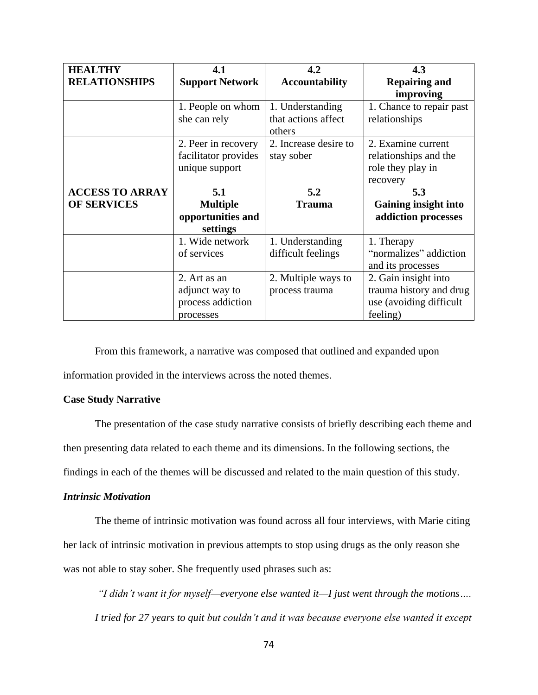| <b>HEALTHY</b>         | 4.1                    | 4.2                   | 4.3                      |
|------------------------|------------------------|-----------------------|--------------------------|
| <b>RELATIONSHIPS</b>   | <b>Support Network</b> | <b>Accountability</b> | <b>Repairing and</b>     |
|                        |                        |                       | improving                |
|                        | 1. People on whom      | 1. Understanding      | 1. Chance to repair past |
|                        | she can rely           | that actions affect   | relationships            |
|                        |                        | others                |                          |
|                        | 2. Peer in recovery    | 2. Increase desire to | 2. Examine current       |
|                        | facilitator provides   | stay sober            | relationships and the    |
|                        | unique support         |                       | role they play in        |
|                        |                        |                       | recovery                 |
| <b>ACCESS TO ARRAY</b> | 5.1                    | 5.2                   | 5.3                      |
| <b>OF SERVICES</b>     | <b>Multiple</b>        | <b>Trauma</b>         | Gaining insight into     |
|                        | opportunities and      |                       | addiction processes      |
|                        | settings               |                       |                          |
|                        | 1. Wide network        | 1. Understanding      | 1. Therapy               |
|                        | of services            | difficult feelings    | "normalizes" addiction   |
|                        |                        |                       | and its processes        |
|                        | 2. Art as an           | 2. Multiple ways to   | 2. Gain insight into     |
|                        | adjunct way to         | process trauma        | trauma history and drug  |
|                        | process addiction      |                       | use (avoiding difficult  |
|                        | processes              |                       | feeling)                 |

From this framework, a narrative was composed that outlined and expanded upon information provided in the interviews across the noted themes.

# **Case Study Narrative**

The presentation of the case study narrative consists of briefly describing each theme and

then presenting data related to each theme and its dimensions. In the following sections, the

findings in each of the themes will be discussed and related to the main question of this study.

# *Intrinsic Motivation*

The theme of intrinsic motivation was found across all four interviews, with Marie citing her lack of intrinsic motivation in previous attempts to stop using drugs as the only reason she was not able to stay sober. She frequently used phrases such as:

*"I didn't want it for myself—everyone else wanted it—I just went through the motions…. I tried for 27 years to quit but couldn't and it was because everyone else wanted it except*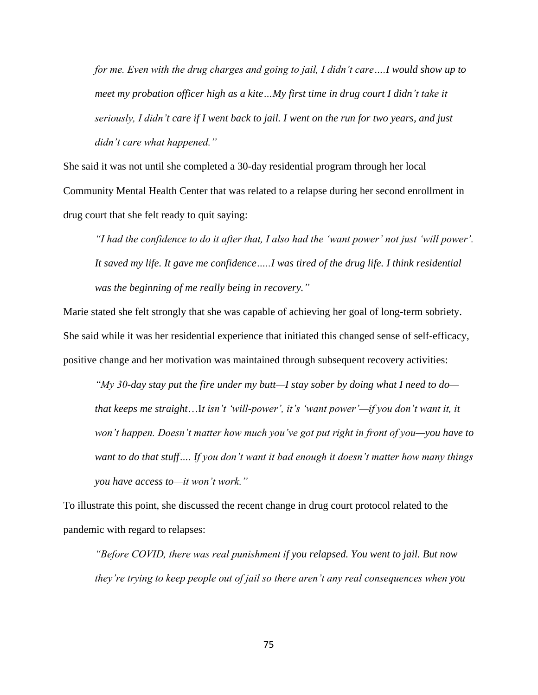*for me. Even with the drug charges and going to jail, I didn't care….I would show up to meet my probation officer high as a kite…My first time in drug court I didn't take it seriously, I didn't care if I went back to jail. I went on the run for two years, and just didn't care what happened."*

She said it was not until she completed a 30-day residential program through her local Community Mental Health Center that was related to a relapse during her second enrollment in drug court that she felt ready to quit saying:

*"I had the confidence to do it after that, I also had the 'want power' not just 'will power'. It saved my life. It gave me confidence…..I was tired of the drug life. I think residential was the beginning of me really being in recovery."* 

Marie stated she felt strongly that she was capable of achieving her goal of long-term sobriety. She said while it was her residential experience that initiated this changed sense of self-efficacy, positive change and her motivation was maintained through subsequent recovery activities:

*"My 30-day stay put the fire under my butt—I stay sober by doing what I need to do that keeps me straight*…I*t isn't 'will-power', it's 'want power'—if you don't want it, it won't happen. Doesn't matter how much you've got put right in front of you—you have to want to do that stuff…. If you don't want it bad enough it doesn't matter how many things you have access to—it won't work."*

To illustrate this point, she discussed the recent change in drug court protocol related to the pandemic with regard to relapses:

*"Before COVID, there was real punishment if you relapsed. You went to jail. But now they're trying to keep people out of jail so there aren't any real consequences when you*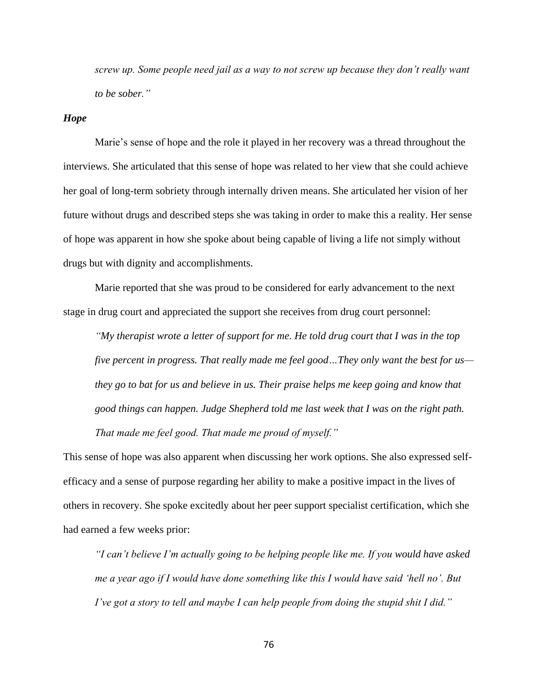*screw up. Some people need jail as a way to not screw up because they don't really want to be sober."*

#### *Hope*

Marie's sense of hope and the role it played in her recovery was a thread throughout the interviews. She articulated that this sense of hope was related to her view that she could achieve her goal of long-term sobriety through internally driven means. She articulated her vision of her future without drugs and described steps she was taking in order to make this a reality. Her sense of hope was apparent in how she spoke about being capable of living a life not simply without drugs but with dignity and accomplishments.

Marie reported that she was proud to be considered for early advancement to the next stage in drug court and appreciated the support she receives from drug court personnel:

*"My therapist wrote a letter of support for me. He told drug court that I was in the top five percent in progress. That really made me feel good…They only want the best for us they go to bat for us and believe in us. Their praise helps me keep going and know that good things can happen. Judge Shepherd told me last week that I was on the right path. That made me feel good. That made me proud of myself."*

This sense of hope was also apparent when discussing her work options. She also expressed selfefficacy and a sense of purpose regarding her ability to make a positive impact in the lives of others in recovery. She spoke excitedly about her peer support specialist certification, which she had earned a few weeks prior:

*"I can't believe I'm actually going to be helping people like me. If you would have asked me a year ago if I would have done something like this I would have said 'hell no'. But I've got a story to tell and maybe I can help people from doing the stupid shit I did."*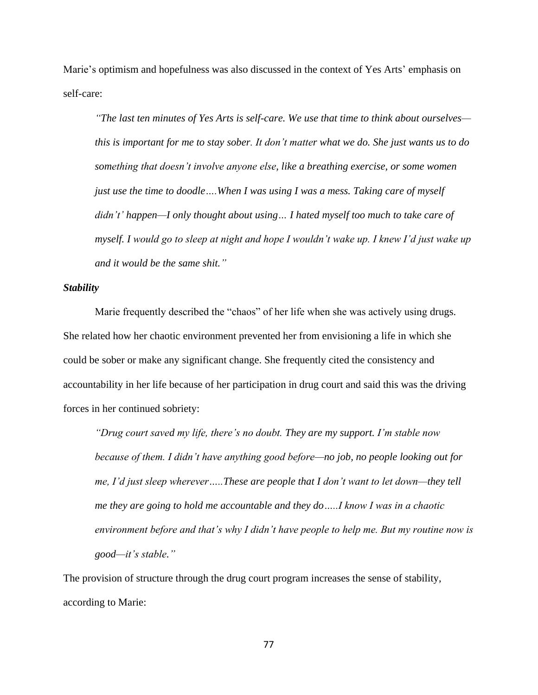Marie's optimism and hopefulness was also discussed in the context of Yes Arts' emphasis on self-care:

*"The last ten minutes of Yes Arts is self-care. We use that time to think about ourselves this is important for me to stay sober. It don't matter what we do. She just wants us to do something that doesn't involve anyone else, like a breathing exercise, or some women just use the time to doodle….When I was using I was a mess. Taking care of myself didn't' happen—I only thought about using… I hated myself too much to take care of myself. I would go to sleep at night and hope I wouldn't wake up. I knew I'd just wake up and it would be the same shit."*

#### *Stability*

Marie frequently described the "chaos" of her life when she was actively using drugs. She related how her chaotic environment prevented her from envisioning a life in which she could be sober or make any significant change. She frequently cited the consistency and accountability in her life because of her participation in drug court and said this was the driving forces in her continued sobriety:

*"Drug court saved my life, there's no doubt. They are my support. I'm stable now because of them. I didn't have anything good before—no job, no people looking out for me, I'd just sleep wherever…..These are people that I don't want to let down—they tell me they are going to hold me accountable and they do…..I know I was in a chaotic environment before and that's why I didn't have people to help me. But my routine now is good—it's stable."*

The provision of structure through the drug court program increases the sense of stability, according to Marie: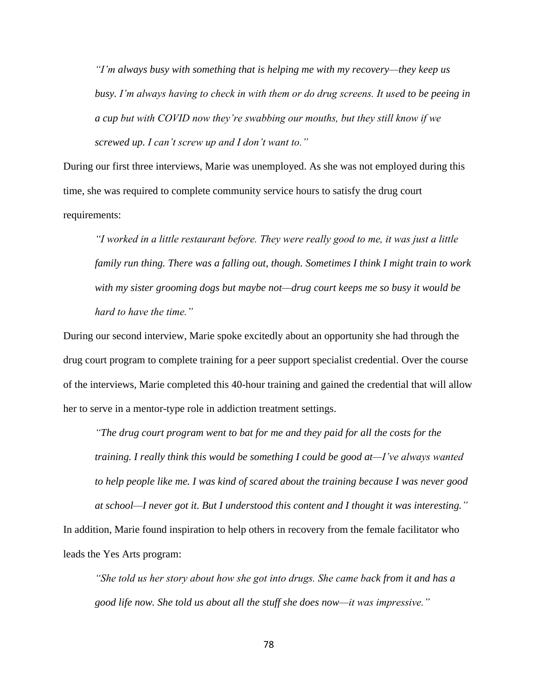*"I'm always busy with something that is helping me with my recovery—they keep us busy. I'm always having to check in with them or do drug screens. It used to be peeing in a cup but with COVID now they're swabbing our mouths, but they still know if we screwed up. I can't screw up and I don't want to."*

During our first three interviews, Marie was unemployed. As she was not employed during this time, she was required to complete community service hours to satisfy the drug court requirements:

*"I worked in a little restaurant before. They were really good to me, it was just a little family run thing. There was a falling out, though. Sometimes I think I might train to work with my sister grooming dogs but maybe not—drug court keeps me so busy it would be hard to have the time."*

During our second interview, Marie spoke excitedly about an opportunity she had through the drug court program to complete training for a peer support specialist credential. Over the course of the interviews, Marie completed this 40-hour training and gained the credential that will allow her to serve in a mentor-type role in addiction treatment settings.

*"The drug court program went to bat for me and they paid for all the costs for the training. I really think this would be something I could be good at—I've always wanted to help people like me. I was kind of scared about the training because I was never good at school—I never got it. But I understood this content and I thought it was interesting."*

In addition, Marie found inspiration to help others in recovery from the female facilitator who leads the Yes Arts program:

*"She told us her story about how she got into drugs. She came back from it and has a good life now. She told us about all the stuff she does now—it was impressive."*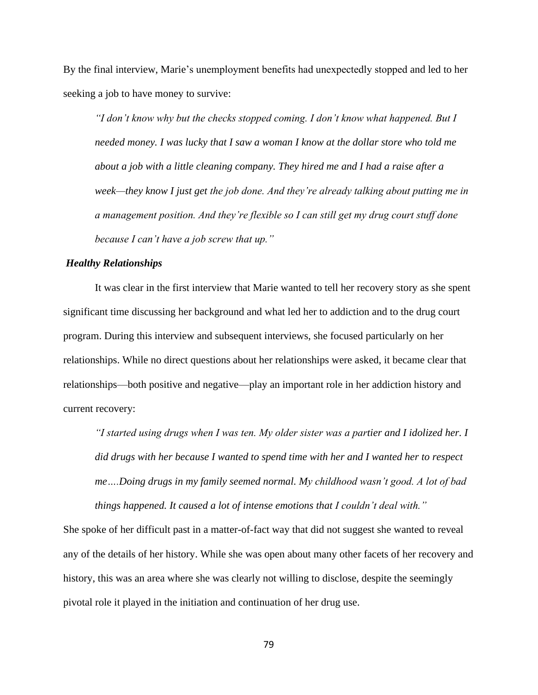By the final interview, Marie's unemployment benefits had unexpectedly stopped and led to her seeking a job to have money to survive:

*"I don't know why but the checks stopped coming. I don't know what happened. But I needed money. I was lucky that I saw a woman I know at the dollar store who told me about a job with a little cleaning company. They hired me and I had a raise after a week—they know I just get the job done. And they're already talking about putting me in a management position. And they're flexible so I can still get my drug court stuff done because I can't have a job screw that up."*

#### *Healthy Relationships*

It was clear in the first interview that Marie wanted to tell her recovery story as she spent significant time discussing her background and what led her to addiction and to the drug court program. During this interview and subsequent interviews, she focused particularly on her relationships. While no direct questions about her relationships were asked, it became clear that relationships—both positive and negative—play an important role in her addiction history and current recovery:

*"I started using drugs when I was ten. My older sister was a partier and I idolized her. I did drugs with her because I wanted to spend time with her and I wanted her to respect me….Doing drugs in my family seemed normal. My childhood wasn't good. A lot of bad things happened. It caused a lot of intense emotions that I couldn't deal with."*

She spoke of her difficult past in a matter-of-fact way that did not suggest she wanted to reveal any of the details of her history. While she was open about many other facets of her recovery and history, this was an area where she was clearly not willing to disclose, despite the seemingly pivotal role it played in the initiation and continuation of her drug use.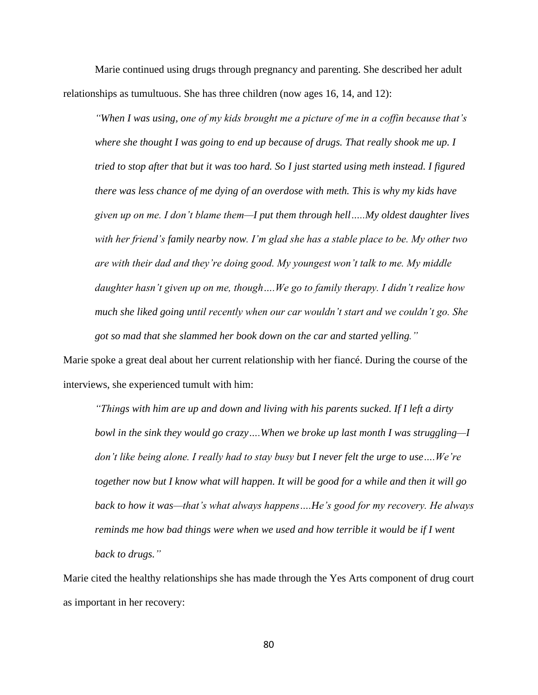Marie continued using drugs through pregnancy and parenting. She described her adult relationships as tumultuous. She has three children (now ages 16, 14, and 12):

*"When I was using, one of my kids brought me a picture of me in a coffin because that's where she thought I was going to end up because of drugs. That really shook me up. I tried to stop after that but it was too hard. So I just started using meth instead. I figured there was less chance of me dying of an overdose with meth. This is why my kids have given up on me. I don't blame them—I put them through hell…..My oldest daughter lives with her friend's family nearby now. I'm glad she has a stable place to be. My other two are with their dad and they're doing good. My youngest won't talk to me. My middle daughter hasn't given up on me, though….We go to family therapy. I didn't realize how much she liked going until recently when our car wouldn't start and we couldn't go. She got so mad that she slammed her book down on the car and started yelling."* 

Marie spoke a great deal about her current relationship with her fiancé. During the course of the interviews, she experienced tumult with him:

*"Things with him are up and down and living with his parents sucked. If I left a dirty bowl in the sink they would go crazy….When we broke up last month I was struggling—I don't like being alone. I really had to stay busy but I never felt the urge to use….We're together now but I know what will happen. It will be good for a while and then it will go back to how it was—that's what always happens….He's good for my recovery. He always reminds me how bad things were when we used and how terrible it would be if I went back to drugs."*

Marie cited the healthy relationships she has made through the Yes Arts component of drug court as important in her recovery: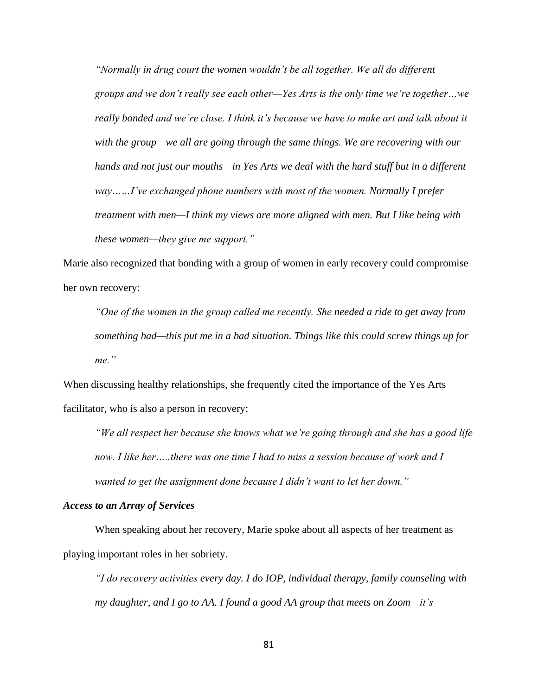*"Normally in drug court the women wouldn't be all together. We all do different groups and we don't really see each other—Yes Arts is the only time we're together…we really bonded and we're close. I think it's because we have to make art and talk about it with the group—we all are going through the same things. We are recovering with our hands and not just our mouths—in Yes Arts we deal with the hard stuff but in a different way……I've exchanged phone numbers with most of the women. Normally I prefer treatment with men—I think my views are more aligned with men. But I like being with these women—they give me support."*

Marie also recognized that bonding with a group of women in early recovery could compromise her own recovery:

*"One of the women in the group called me recently. She needed a ride to get away from something bad—this put me in a bad situation. Things like this could screw things up for me."*

When discussing healthy relationships, she frequently cited the importance of the Yes Arts facilitator, who is also a person in recovery:

*"We all respect her because she knows what we're going through and she has a good life now. I like her…..there was one time I had to miss a session because of work and I wanted to get the assignment done because I didn't want to let her down."*

#### *Access to an Array of Services*

When speaking about her recovery, Marie spoke about all aspects of her treatment as playing important roles in her sobriety.

*"I do recovery activities every day. I do IOP, individual therapy, family counseling with my daughter, and I go to AA. I found a good AA group that meets on Zoom—it's*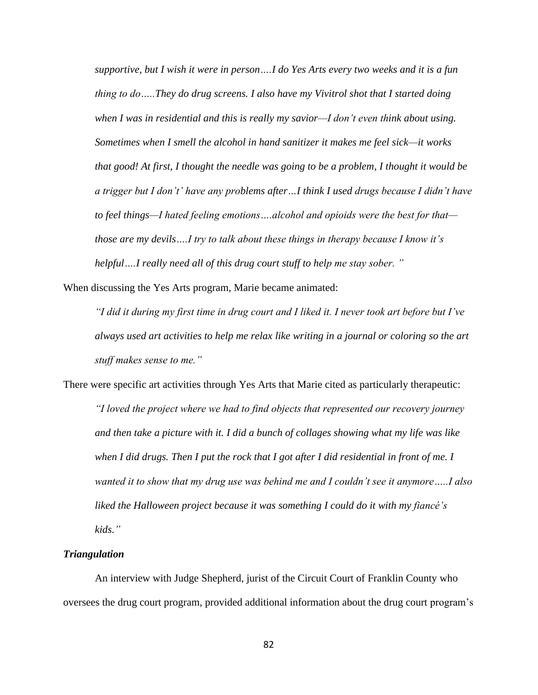*supportive, but I wish it were in person….I do Yes Arts every two weeks and it is a fun thing to do…..They do drug screens. I also have my Vivitrol shot that I started doing when I was in residential and this is really my savior—I don't even think about using. Sometimes when I smell the alcohol in hand sanitizer it makes me feel sick—it works that good! At first, I thought the needle was going to be a problem, I thought it would be a trigger but I don't' have any problems after…I think I used drugs because I didn't have to feel things—I hated feeling emotions….alcohol and opioids were the best for that those are my devils….I try to talk about these things in therapy because I know it's helpful….I really need all of this drug court stuff to help me stay sober. "* 

When discussing the Yes Arts program, Marie became animated:

*"I did it during my first time in drug court and I liked it. I never took art before but I've always used art activities to help me relax like writing in a journal or coloring so the art stuff makes sense to me."*

There were specific art activities through Yes Arts that Marie cited as particularly therapeutic: *"I loved the project where we had to find objects that represented our recovery journey and then take a picture with it. I did a bunch of collages showing what my life was like when I did drugs. Then I put the rock that I got after I did residential in front of me. I wanted it to show that my drug use was behind me and I couldn't see it anymore…..I also liked the Halloween project because it was something I could do it with my fiancé's kids."*

# *Triangulation*

An interview with Judge Shepherd, jurist of the Circuit Court of Franklin County who oversees the drug court program, provided additional information about the drug court program's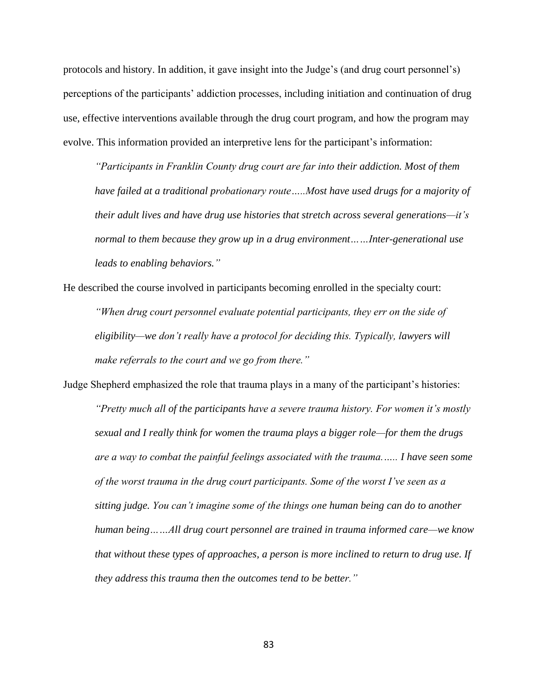protocols and history. In addition, it gave insight into the Judge's (and drug court personnel's) perceptions of the participants' addiction processes, including initiation and continuation of drug use, effective interventions available through the drug court program, and how the program may evolve. This information provided an interpretive lens for the participant's information:

*"Participants in Franklin County drug court are far into their addiction. Most of them have failed at a traditional probationary route…..Most have used drugs for a majority of their adult lives and have drug use histories that stretch across several generations—it's normal to them because they grow up in a drug environment……Inter-generational use leads to enabling behaviors."*

He described the course involved in participants becoming enrolled in the specialty court: *"When drug court personnel evaluate potential participants, they err on the side of eligibility—we don't really have a protocol for deciding this. Typically, lawyers will make referrals to the court and we go from there."*

Judge Shepherd emphasized the role that trauma plays in a many of the participant's histories: *"Pretty much all of the participants have a severe trauma history. For women it's mostly sexual and I really think for women the trauma plays a bigger role—for them the drugs are a way to combat the painful feelings associated with the trauma.….. I have seen some of the worst trauma in the drug court participants. Some of the worst I've seen as a sitting judge. You can't imagine some of the things one human being can do to another human being……All drug court personnel are trained in trauma informed care—we know that without these types of approaches, a person is more inclined to return to drug use. If they address this trauma then the outcomes tend to be better."*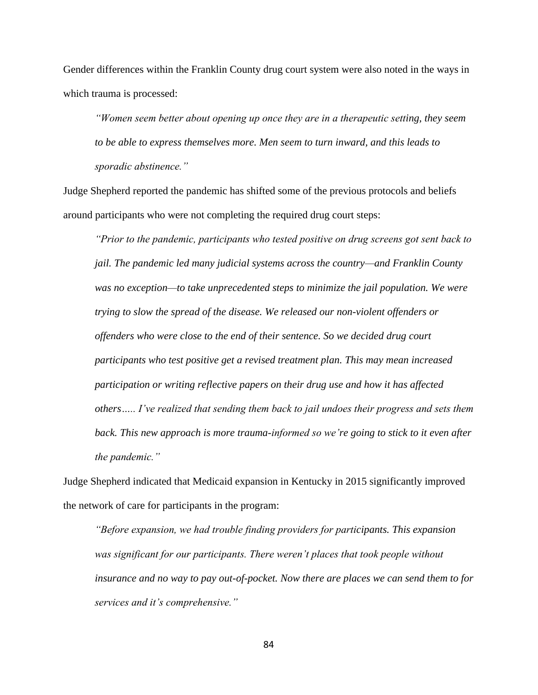Gender differences within the Franklin County drug court system were also noted in the ways in which trauma is processed:

*"Women seem better about opening up once they are in a therapeutic setting, they seem to be able to express themselves more. Men seem to turn inward, and this leads to sporadic abstinence."*

Judge Shepherd reported the pandemic has shifted some of the previous protocols and beliefs around participants who were not completing the required drug court steps:

*"Prior to the pandemic, participants who tested positive on drug screens got sent back to jail. The pandemic led many judicial systems across the country—and Franklin County was no exception—to take unprecedented steps to minimize the jail population. We were trying to slow the spread of the disease. We released our non-violent offenders or offenders who were close to the end of their sentence. So we decided drug court participants who test positive get a revised treatment plan. This may mean increased participation or writing reflective papers on their drug use and how it has affected others….. I've realized that sending them back to jail undoes their progress and sets them back. This new approach is more trauma-informed so we're going to stick to it even after the pandemic."*

Judge Shepherd indicated that Medicaid expansion in Kentucky in 2015 significantly improved the network of care for participants in the program:

*"Before expansion, we had trouble finding providers for participants. This expansion*  was significant for our participants. There weren't places that took people without *insurance and no way to pay out-of-pocket. Now there are places we can send them to for services and it's comprehensive."*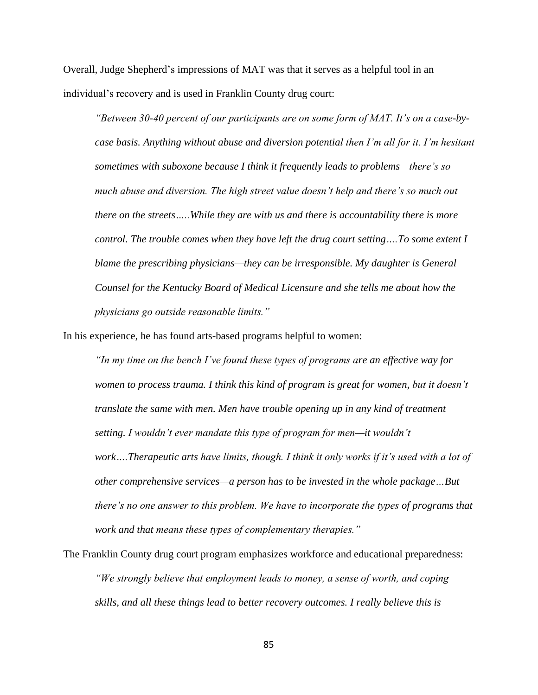Overall, Judge Shepherd's impressions of MAT was that it serves as a helpful tool in an individual's recovery and is used in Franklin County drug court:

*"Between 30-40 percent of our participants are on some form of MAT. It's on a case-bycase basis. Anything without abuse and diversion potential then I'm all for it. I'm hesitant sometimes with suboxone because I think it frequently leads to problems—there's so much abuse and diversion. The high street value doesn't help and there's so much out there on the streets…..While they are with us and there is accountability there is more control. The trouble comes when they have left the drug court setting….To some extent I blame the prescribing physicians—they can be irresponsible. My daughter is General Counsel for the Kentucky Board of Medical Licensure and she tells me about how the physicians go outside reasonable limits."*

In his experience, he has found arts-based programs helpful to women:

*"In my time on the bench I've found these types of programs are an effective way for women to process trauma. I think this kind of program is great for women, but it doesn't translate the same with men. Men have trouble opening up in any kind of treatment setting. I wouldn't ever mandate this type of program for men—it wouldn't work….Therapeutic arts have limits, though. I think it only works if it's used with a lot of other comprehensive services—a person has to be invested in the whole package…But there's no one answer to this problem. We have to incorporate the types of programs that work and that means these types of complementary therapies."*

The Franklin County drug court program emphasizes workforce and educational preparedness: *"We strongly believe that employment leads to money, a sense of worth, and coping skills, and all these things lead to better recovery outcomes. I really believe this is*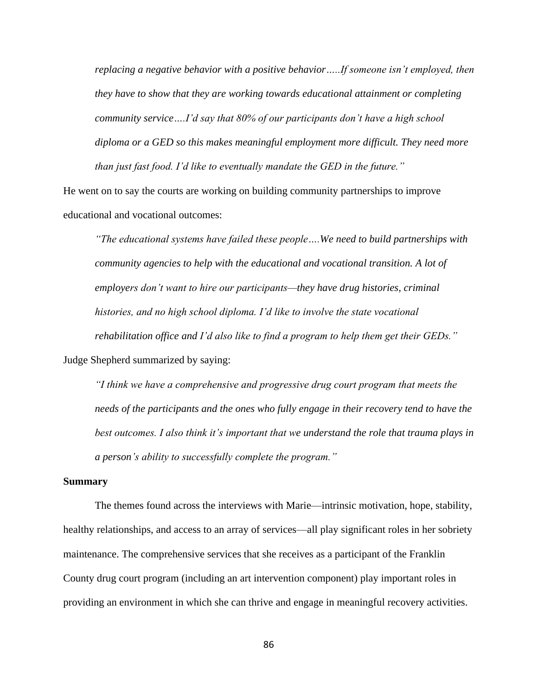*replacing a negative behavior with a positive behavior…..If someone isn't employed, then they have to show that they are working towards educational attainment or completing community service….I'd say that 80% of our participants don't have a high school diploma or a GED so this makes meaningful employment more difficult. They need more than just fast food. I'd like to eventually mandate the GED in the future."*

He went on to say the courts are working on building community partnerships to improve educational and vocational outcomes:

*"The educational systems have failed these people….We need to build partnerships with community agencies to help with the educational and vocational transition. A lot of employers don't want to hire our participants—they have drug histories, criminal histories, and no high school diploma. I'd like to involve the state vocational rehabilitation office and I'd also like to find a program to help them get their GEDs."* Judge Shepherd summarized by saying:

*"I think we have a comprehensive and progressive drug court program that meets the needs of the participants and the ones who fully engage in their recovery tend to have the best outcomes. I also think it's important that we understand the role that trauma plays in a person's ability to successfully complete the program."*

#### **Summary**

The themes found across the interviews with Marie—intrinsic motivation, hope, stability, healthy relationships, and access to an array of services—all play significant roles in her sobriety maintenance. The comprehensive services that she receives as a participant of the Franklin County drug court program (including an art intervention component) play important roles in providing an environment in which she can thrive and engage in meaningful recovery activities.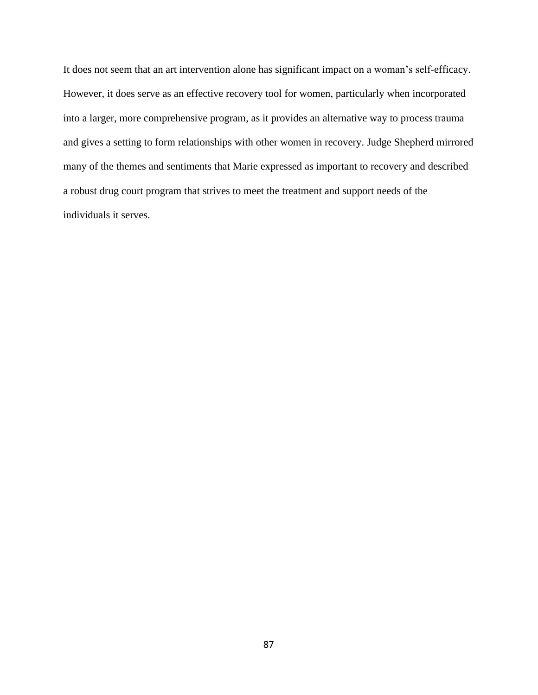It does not seem that an art intervention alone has significant impact on a woman's self-efficacy. However, it does serve as an effective recovery tool for women, particularly when incorporated into a larger, more comprehensive program, as it provides an alternative way to process trauma and gives a setting to form relationships with other women in recovery. Judge Shepherd mirrored many of the themes and sentiments that Marie expressed as important to recovery and described a robust drug court program that strives to meet the treatment and support needs of the individuals it serves.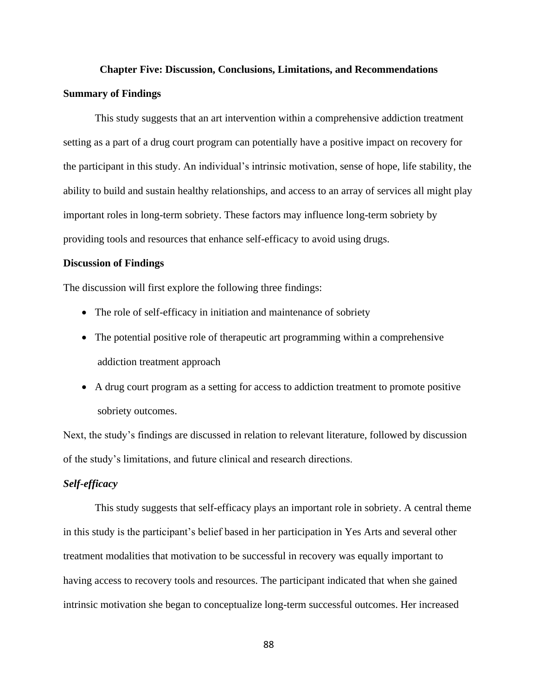# **Chapter Five: Discussion, Conclusions, Limitations, and Recommendations Summary of Findings**

This study suggests that an art intervention within a comprehensive addiction treatment setting as a part of a drug court program can potentially have a positive impact on recovery for the participant in this study. An individual's intrinsic motivation, sense of hope, life stability, the ability to build and sustain healthy relationships, and access to an array of services all might play important roles in long-term sobriety. These factors may influence long-term sobriety by providing tools and resources that enhance self-efficacy to avoid using drugs.

# **Discussion of Findings**

The discussion will first explore the following three findings:

- The role of self-efficacy in initiation and maintenance of sobriety
- The potential positive role of therapeutic art programming within a comprehensive addiction treatment approach
- A drug court program as a setting for access to addiction treatment to promote positive sobriety outcomes.

Next, the study's findings are discussed in relation to relevant literature, followed by discussion of the study's limitations, and future clinical and research directions.

# *Self-efficacy*

This study suggests that self-efficacy plays an important role in sobriety. A central theme in this study is the participant's belief based in her participation in Yes Arts and several other treatment modalities that motivation to be successful in recovery was equally important to having access to recovery tools and resources. The participant indicated that when she gained intrinsic motivation she began to conceptualize long-term successful outcomes. Her increased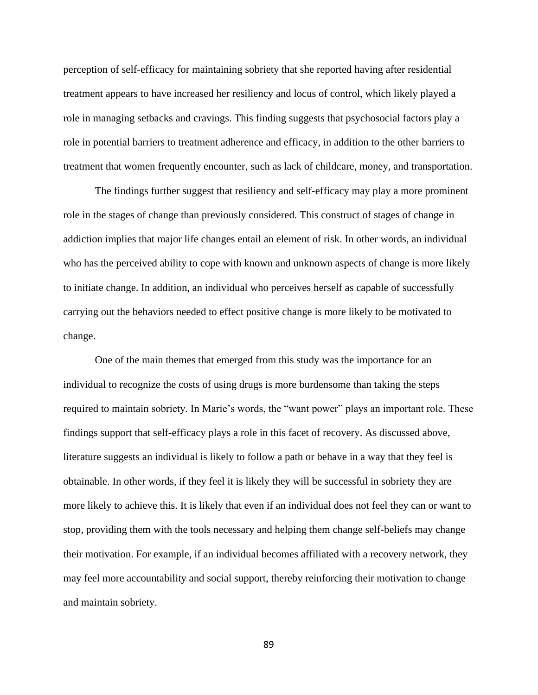perception of self-efficacy for maintaining sobriety that she reported having after residential treatment appears to have increased her resiliency and locus of control, which likely played a role in managing setbacks and cravings. This finding suggests that psychosocial factors play a role in potential barriers to treatment adherence and efficacy, in addition to the other barriers to treatment that women frequently encounter, such as lack of childcare, money, and transportation.

The findings further suggest that resiliency and self-efficacy may play a more prominent role in the stages of change than previously considered. This construct of stages of change in addiction implies that major life changes entail an element of risk. In other words, an individual who has the perceived ability to cope with known and unknown aspects of change is more likely to initiate change. In addition, an individual who perceives herself as capable of successfully carrying out the behaviors needed to effect positive change is more likely to be motivated to change.

One of the main themes that emerged from this study was the importance for an individual to recognize the costs of using drugs is more burdensome than taking the steps required to maintain sobriety. In Marie's words, the "want power" plays an important role. These findings support that self-efficacy plays a role in this facet of recovery. As discussed above, literature suggests an individual is likely to follow a path or behave in a way that they feel is obtainable. In other words, if they feel it is likely they will be successful in sobriety they are more likely to achieve this. It is likely that even if an individual does not feel they can or want to stop, providing them with the tools necessary and helping them change self-beliefs may change their motivation. For example, if an individual becomes affiliated with a recovery network, they may feel more accountability and social support, thereby reinforcing their motivation to change and maintain sobriety.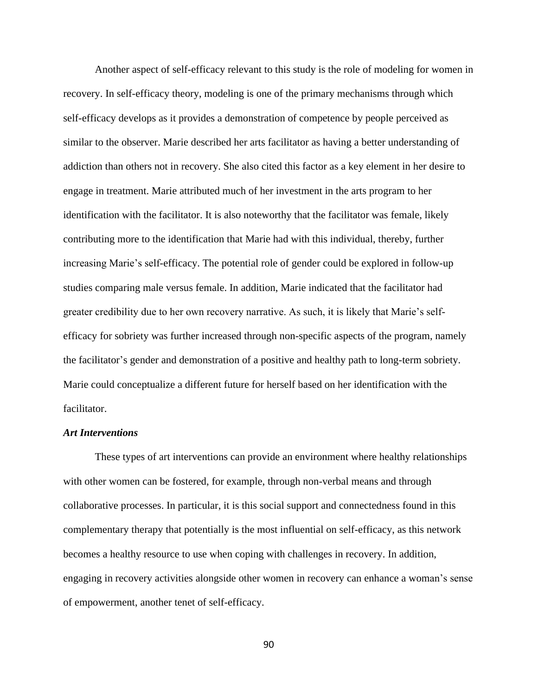Another aspect of self-efficacy relevant to this study is the role of modeling for women in recovery. In self-efficacy theory, modeling is one of the primary mechanisms through which self-efficacy develops as it provides a demonstration of competence by people perceived as similar to the observer. Marie described her arts facilitator as having a better understanding of addiction than others not in recovery. She also cited this factor as a key element in her desire to engage in treatment. Marie attributed much of her investment in the arts program to her identification with the facilitator. It is also noteworthy that the facilitator was female, likely contributing more to the identification that Marie had with this individual, thereby, further increasing Marie's self-efficacy. The potential role of gender could be explored in follow-up studies comparing male versus female. In addition, Marie indicated that the facilitator had greater credibility due to her own recovery narrative. As such, it is likely that Marie's selfefficacy for sobriety was further increased through non-specific aspects of the program, namely the facilitator's gender and demonstration of a positive and healthy path to long-term sobriety. Marie could conceptualize a different future for herself based on her identification with the facilitator.

#### *Art Interventions*

These types of art interventions can provide an environment where healthy relationships with other women can be fostered, for example, through non-verbal means and through collaborative processes. In particular, it is this social support and connectedness found in this complementary therapy that potentially is the most influential on self-efficacy, as this network becomes a healthy resource to use when coping with challenges in recovery. In addition, engaging in recovery activities alongside other women in recovery can enhance a woman's sense of empowerment, another tenet of self-efficacy.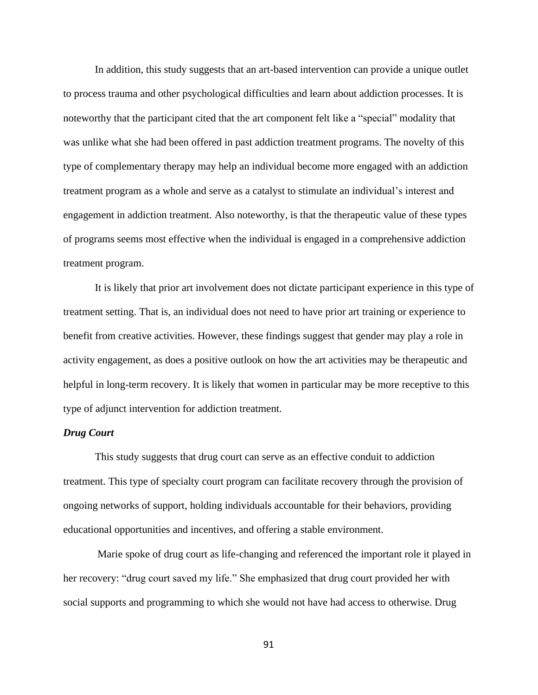In addition, this study suggests that an art-based intervention can provide a unique outlet to process trauma and other psychological difficulties and learn about addiction processes. It is noteworthy that the participant cited that the art component felt like a "special" modality that was unlike what she had been offered in past addiction treatment programs. The novelty of this type of complementary therapy may help an individual become more engaged with an addiction treatment program as a whole and serve as a catalyst to stimulate an individual's interest and engagement in addiction treatment. Also noteworthy, is that the therapeutic value of these types of programs seems most effective when the individual is engaged in a comprehensive addiction treatment program.

It is likely that prior art involvement does not dictate participant experience in this type of treatment setting. That is, an individual does not need to have prior art training or experience to benefit from creative activities. However, these findings suggest that gender may play a role in activity engagement, as does a positive outlook on how the art activities may be therapeutic and helpful in long-term recovery. It is likely that women in particular may be more receptive to this type of adjunct intervention for addiction treatment.

# *Drug Court*

This study suggests that drug court can serve as an effective conduit to addiction treatment. This type of specialty court program can facilitate recovery through the provision of ongoing networks of support, holding individuals accountable for their behaviors, providing educational opportunities and incentives, and offering a stable environment.

Marie spoke of drug court as life-changing and referenced the important role it played in her recovery: "drug court saved my life." She emphasized that drug court provided her with social supports and programming to which she would not have had access to otherwise. Drug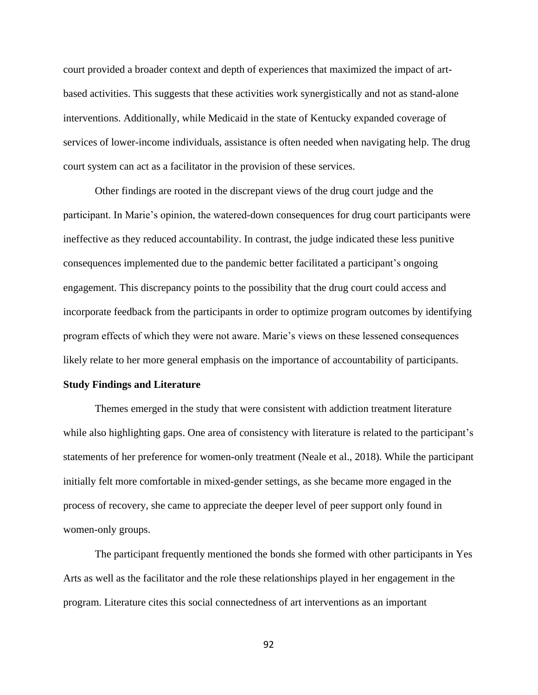court provided a broader context and depth of experiences that maximized the impact of artbased activities. This suggests that these activities work synergistically and not as stand-alone interventions. Additionally, while Medicaid in the state of Kentucky expanded coverage of services of lower-income individuals, assistance is often needed when navigating help. The drug court system can act as a facilitator in the provision of these services.

Other findings are rooted in the discrepant views of the drug court judge and the participant. In Marie's opinion, the watered-down consequences for drug court participants were ineffective as they reduced accountability. In contrast, the judge indicated these less punitive consequences implemented due to the pandemic better facilitated a participant's ongoing engagement. This discrepancy points to the possibility that the drug court could access and incorporate feedback from the participants in order to optimize program outcomes by identifying program effects of which they were not aware. Marie's views on these lessened consequences likely relate to her more general emphasis on the importance of accountability of participants.

#### **Study Findings and Literature**

Themes emerged in the study that were consistent with addiction treatment literature while also highlighting gaps. One area of consistency with literature is related to the participant's statements of her preference for women-only treatment (Neale et al., 2018). While the participant initially felt more comfortable in mixed-gender settings, as she became more engaged in the process of recovery, she came to appreciate the deeper level of peer support only found in women-only groups.

The participant frequently mentioned the bonds she formed with other participants in Yes Arts as well as the facilitator and the role these relationships played in her engagement in the program. Literature cites this social connectedness of art interventions as an important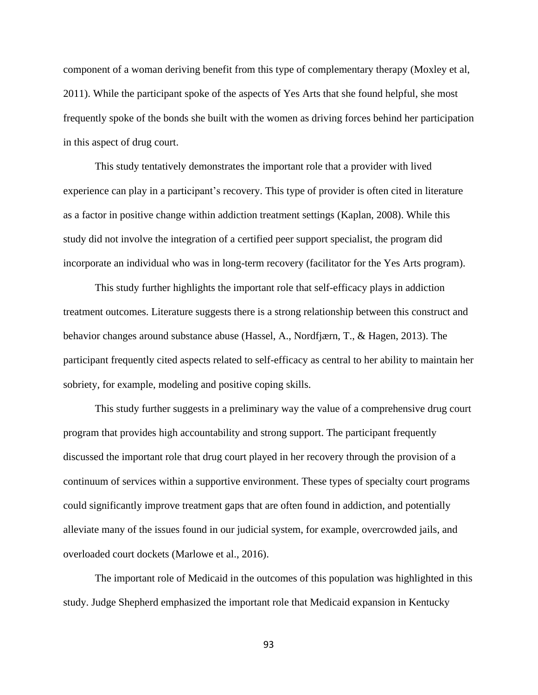component of a woman deriving benefit from this type of complementary therapy (Moxley et al, 2011). While the participant spoke of the aspects of Yes Arts that she found helpful, she most frequently spoke of the bonds she built with the women as driving forces behind her participation in this aspect of drug court.

This study tentatively demonstrates the important role that a provider with lived experience can play in a participant's recovery. This type of provider is often cited in literature as a factor in positive change within addiction treatment settings (Kaplan, 2008). While this study did not involve the integration of a certified peer support specialist, the program did incorporate an individual who was in long-term recovery (facilitator for the Yes Arts program).

This study further highlights the important role that self-efficacy plays in addiction treatment outcomes. Literature suggests there is a strong relationship between this construct and behavior changes around substance abuse (Hassel, A., Nordfjærn, T., & Hagen, 2013). The participant frequently cited aspects related to self-efficacy as central to her ability to maintain her sobriety, for example, modeling and positive coping skills.

This study further suggests in a preliminary way the value of a comprehensive drug court program that provides high accountability and strong support. The participant frequently discussed the important role that drug court played in her recovery through the provision of a continuum of services within a supportive environment. These types of specialty court programs could significantly improve treatment gaps that are often found in addiction, and potentially alleviate many of the issues found in our judicial system, for example, overcrowded jails, and overloaded court dockets (Marlowe et al., 2016).

The important role of Medicaid in the outcomes of this population was highlighted in this study. Judge Shepherd emphasized the important role that Medicaid expansion in Kentucky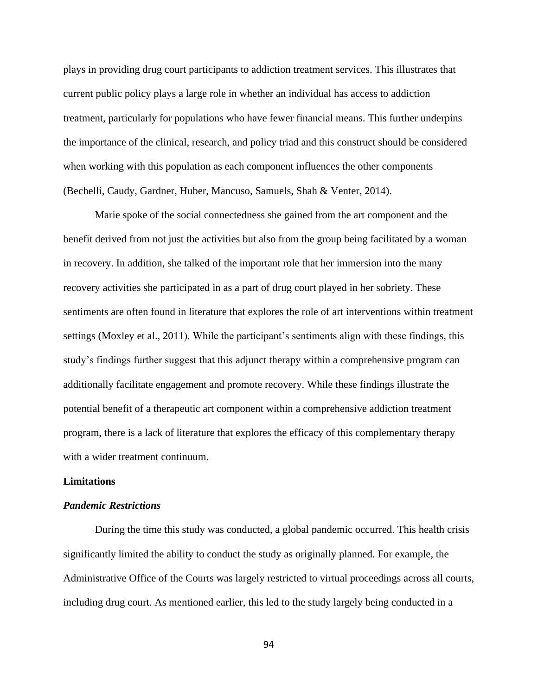plays in providing drug court participants to addiction treatment services. This illustrates that current public policy plays a large role in whether an individual has access to addiction treatment, particularly for populations who have fewer financial means. This further underpins the importance of the clinical, research, and policy triad and this construct should be considered when working with this population as each component influences the other components (Bechelli, Caudy, Gardner, Huber, Mancuso, Samuels, Shah & Venter, 2014).

Marie spoke of the social connectedness she gained from the art component and the benefit derived from not just the activities but also from the group being facilitated by a woman in recovery. In addition, she talked of the important role that her immersion into the many recovery activities she participated in as a part of drug court played in her sobriety. These sentiments are often found in literature that explores the role of art interventions within treatment settings (Moxley et al., 2011). While the participant's sentiments align with these findings, this study's findings further suggest that this adjunct therapy within a comprehensive program can additionally facilitate engagement and promote recovery. While these findings illustrate the potential benefit of a therapeutic art component within a comprehensive addiction treatment program, there is a lack of literature that explores the efficacy of this complementary therapy with a wider treatment continuum.

#### **Limitations**

## *Pandemic Restrictions*

During the time this study was conducted, a global pandemic occurred. This health crisis significantly limited the ability to conduct the study as originally planned. For example, the Administrative Office of the Courts was largely restricted to virtual proceedings across all courts, including drug court. As mentioned earlier, this led to the study largely being conducted in a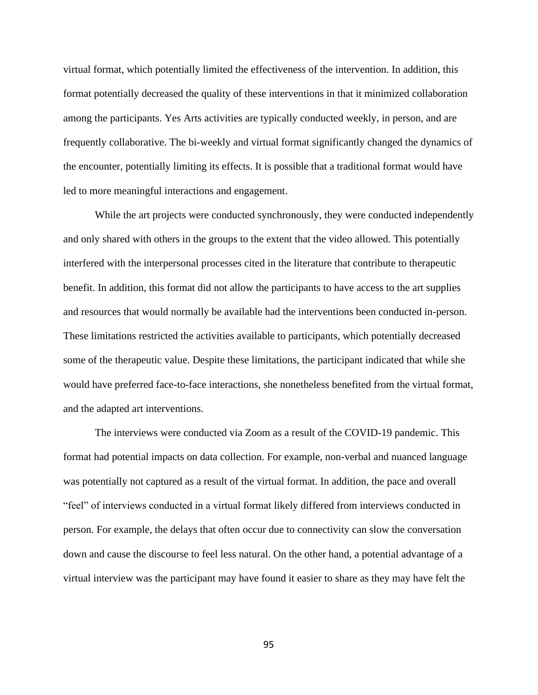virtual format, which potentially limited the effectiveness of the intervention. In addition, this format potentially decreased the quality of these interventions in that it minimized collaboration among the participants. Yes Arts activities are typically conducted weekly, in person, and are frequently collaborative. The bi-weekly and virtual format significantly changed the dynamics of the encounter, potentially limiting its effects. It is possible that a traditional format would have led to more meaningful interactions and engagement.

While the art projects were conducted synchronously, they were conducted independently and only shared with others in the groups to the extent that the video allowed. This potentially interfered with the interpersonal processes cited in the literature that contribute to therapeutic benefit. In addition, this format did not allow the participants to have access to the art supplies and resources that would normally be available had the interventions been conducted in-person. These limitations restricted the activities available to participants, which potentially decreased some of the therapeutic value. Despite these limitations, the participant indicated that while she would have preferred face-to-face interactions, she nonetheless benefited from the virtual format, and the adapted art interventions.

The interviews were conducted via Zoom as a result of the COVID-19 pandemic. This format had potential impacts on data collection. For example, non-verbal and nuanced language was potentially not captured as a result of the virtual format. In addition, the pace and overall "feel" of interviews conducted in a virtual format likely differed from interviews conducted in person. For example, the delays that often occur due to connectivity can slow the conversation down and cause the discourse to feel less natural. On the other hand, a potential advantage of a virtual interview was the participant may have found it easier to share as they may have felt the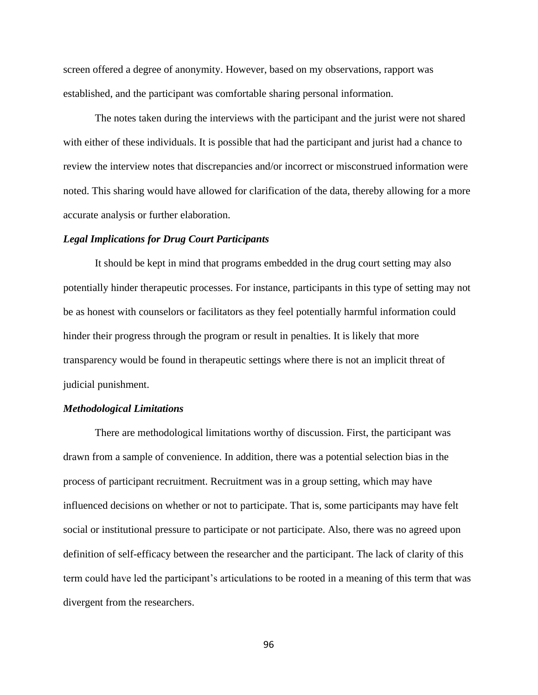screen offered a degree of anonymity. However, based on my observations, rapport was established, and the participant was comfortable sharing personal information.

The notes taken during the interviews with the participant and the jurist were not shared with either of these individuals. It is possible that had the participant and jurist had a chance to review the interview notes that discrepancies and/or incorrect or misconstrued information were noted. This sharing would have allowed for clarification of the data, thereby allowing for a more accurate analysis or further elaboration.

#### *Legal Implications for Drug Court Participants*

It should be kept in mind that programs embedded in the drug court setting may also potentially hinder therapeutic processes. For instance, participants in this type of setting may not be as honest with counselors or facilitators as they feel potentially harmful information could hinder their progress through the program or result in penalties. It is likely that more transparency would be found in therapeutic settings where there is not an implicit threat of judicial punishment.

#### *Methodological Limitations*

There are methodological limitations worthy of discussion. First, the participant was drawn from a sample of convenience. In addition, there was a potential selection bias in the process of participant recruitment. Recruitment was in a group setting, which may have influenced decisions on whether or not to participate. That is, some participants may have felt social or institutional pressure to participate or not participate. Also, there was no agreed upon definition of self-efficacy between the researcher and the participant. The lack of clarity of this term could have led the participant's articulations to be rooted in a meaning of this term that was divergent from the researchers.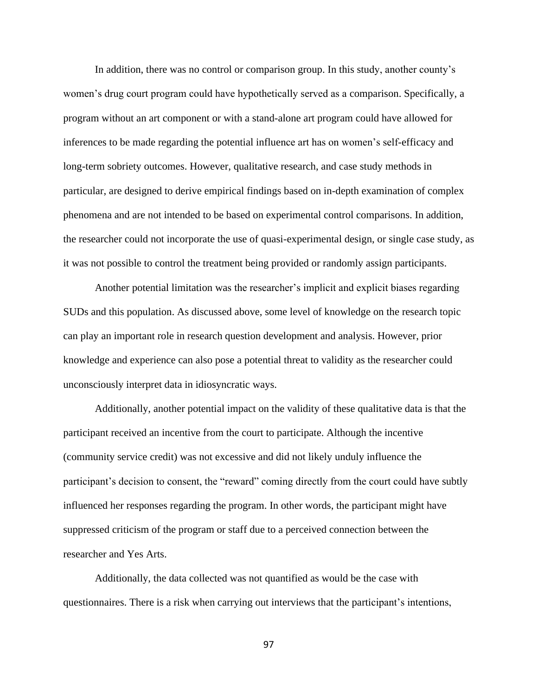In addition, there was no control or comparison group. In this study, another county's women's drug court program could have hypothetically served as a comparison. Specifically, a program without an art component or with a stand-alone art program could have allowed for inferences to be made regarding the potential influence art has on women's self-efficacy and long-term sobriety outcomes. However, qualitative research, and case study methods in particular, are designed to derive empirical findings based on in-depth examination of complex phenomena and are not intended to be based on experimental control comparisons. In addition, the researcher could not incorporate the use of quasi-experimental design, or single case study, as it was not possible to control the treatment being provided or randomly assign participants.

Another potential limitation was the researcher's implicit and explicit biases regarding SUDs and this population. As discussed above, some level of knowledge on the research topic can play an important role in research question development and analysis. However, prior knowledge and experience can also pose a potential threat to validity as the researcher could unconsciously interpret data in idiosyncratic ways.

Additionally, another potential impact on the validity of these qualitative data is that the participant received an incentive from the court to participate. Although the incentive (community service credit) was not excessive and did not likely unduly influence the participant's decision to consent, the "reward" coming directly from the court could have subtly influenced her responses regarding the program. In other words, the participant might have suppressed criticism of the program or staff due to a perceived connection between the researcher and Yes Arts.

Additionally, the data collected was not quantified as would be the case with questionnaires. There is a risk when carrying out interviews that the participant's intentions,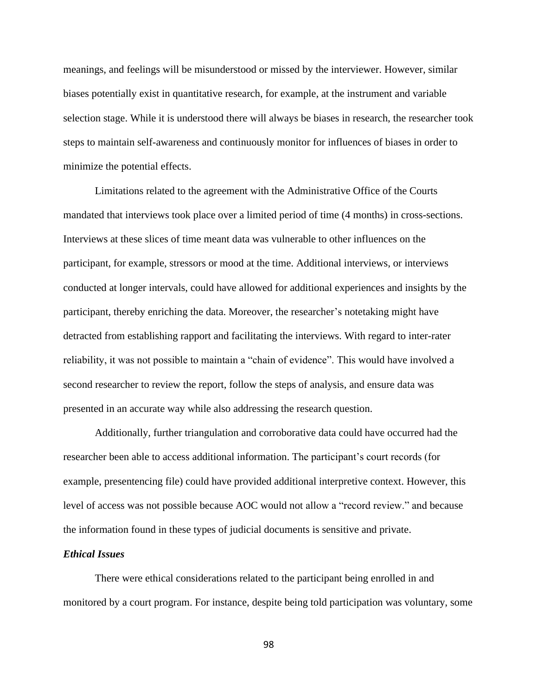meanings, and feelings will be misunderstood or missed by the interviewer. However, similar biases potentially exist in quantitative research, for example, at the instrument and variable selection stage. While it is understood there will always be biases in research, the researcher took steps to maintain self-awareness and continuously monitor for influences of biases in order to minimize the potential effects.

Limitations related to the agreement with the Administrative Office of the Courts mandated that interviews took place over a limited period of time (4 months) in cross-sections. Interviews at these slices of time meant data was vulnerable to other influences on the participant, for example, stressors or mood at the time. Additional interviews, or interviews conducted at longer intervals, could have allowed for additional experiences and insights by the participant, thereby enriching the data. Moreover, the researcher's notetaking might have detracted from establishing rapport and facilitating the interviews. With regard to inter-rater reliability, it was not possible to maintain a "chain of evidence". This would have involved a second researcher to review the report, follow the steps of analysis, and ensure data was presented in an accurate way while also addressing the research question.

Additionally, further triangulation and corroborative data could have occurred had the researcher been able to access additional information. The participant's court records (for example, presentencing file) could have provided additional interpretive context. However, this level of access was not possible because AOC would not allow a "record review." and because the information found in these types of judicial documents is sensitive and private.

## *Ethical Issues*

There were ethical considerations related to the participant being enrolled in and monitored by a court program. For instance, despite being told participation was voluntary, some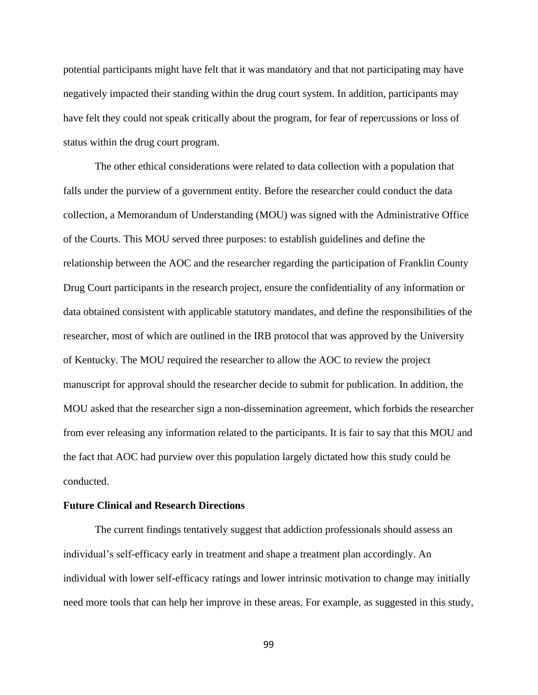potential participants might have felt that it was mandatory and that not participating may have negatively impacted their standing within the drug court system. In addition, participants may have felt they could not speak critically about the program, for fear of repercussions or loss of status within the drug court program.

The other ethical considerations were related to data collection with a population that falls under the purview of a government entity. Before the researcher could conduct the data collection, a Memorandum of Understanding (MOU) was signed with the Administrative Office of the Courts. This MOU served three purposes: to establish guidelines and define the relationship between the AOC and the researcher regarding the participation of Franklin County Drug Court participants in the research project, ensure the confidentiality of any information or data obtained consistent with applicable statutory mandates, and define the responsibilities of the researcher, most of which are outlined in the IRB protocol that was approved by the University of Kentucky. The MOU required the researcher to allow the AOC to review the project manuscript for approval should the researcher decide to submit for publication. In addition, the MOU asked that the researcher sign a non-dissemination agreement, which forbids the researcher from ever releasing any information related to the participants. It is fair to say that this MOU and the fact that AOC had purview over this population largely dictated how this study could be conducted.

## **Future Clinical and Research Directions**

The current findings tentatively suggest that addiction professionals should assess an individual's self-efficacy early in treatment and shape a treatment plan accordingly. An individual with lower self-efficacy ratings and lower intrinsic motivation to change may initially need more tools that can help her improve in these areas. For example, as suggested in this study,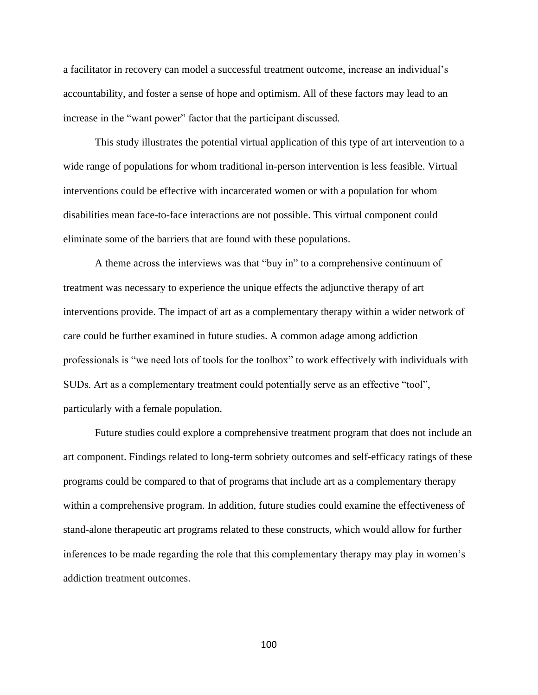a facilitator in recovery can model a successful treatment outcome, increase an individual's accountability, and foster a sense of hope and optimism. All of these factors may lead to an increase in the "want power" factor that the participant discussed.

This study illustrates the potential virtual application of this type of art intervention to a wide range of populations for whom traditional in-person intervention is less feasible. Virtual interventions could be effective with incarcerated women or with a population for whom disabilities mean face-to-face interactions are not possible. This virtual component could eliminate some of the barriers that are found with these populations.

A theme across the interviews was that "buy in" to a comprehensive continuum of treatment was necessary to experience the unique effects the adjunctive therapy of art interventions provide. The impact of art as a complementary therapy within a wider network of care could be further examined in future studies. A common adage among addiction professionals is "we need lots of tools for the toolbox" to work effectively with individuals with SUDs. Art as a complementary treatment could potentially serve as an effective "tool", particularly with a female population.

Future studies could explore a comprehensive treatment program that does not include an art component. Findings related to long-term sobriety outcomes and self-efficacy ratings of these programs could be compared to that of programs that include art as a complementary therapy within a comprehensive program. In addition, future studies could examine the effectiveness of stand-alone therapeutic art programs related to these constructs, which would allow for further inferences to be made regarding the role that this complementary therapy may play in women's addiction treatment outcomes.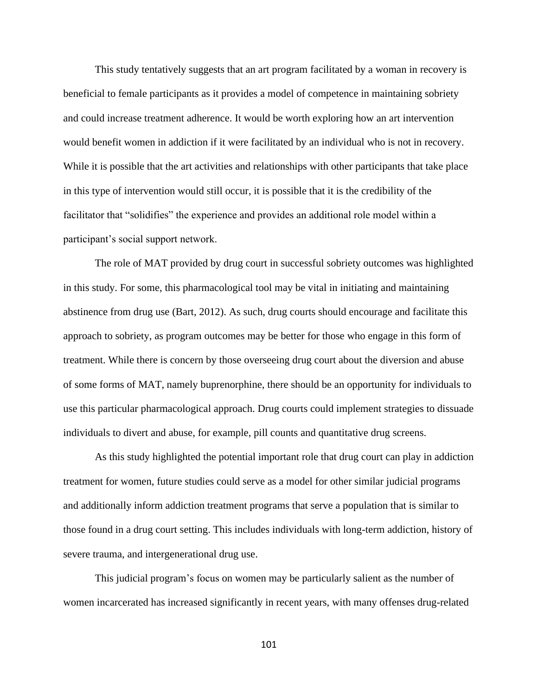This study tentatively suggests that an art program facilitated by a woman in recovery is beneficial to female participants as it provides a model of competence in maintaining sobriety and could increase treatment adherence. It would be worth exploring how an art intervention would benefit women in addiction if it were facilitated by an individual who is not in recovery. While it is possible that the art activities and relationships with other participants that take place in this type of intervention would still occur, it is possible that it is the credibility of the facilitator that "solidifies" the experience and provides an additional role model within a participant's social support network.

The role of MAT provided by drug court in successful sobriety outcomes was highlighted in this study. For some, this pharmacological tool may be vital in initiating and maintaining abstinence from drug use (Bart, 2012). As such, drug courts should encourage and facilitate this approach to sobriety, as program outcomes may be better for those who engage in this form of treatment. While there is concern by those overseeing drug court about the diversion and abuse of some forms of MAT, namely buprenorphine, there should be an opportunity for individuals to use this particular pharmacological approach. Drug courts could implement strategies to dissuade individuals to divert and abuse, for example, pill counts and quantitative drug screens.

As this study highlighted the potential important role that drug court can play in addiction treatment for women, future studies could serve as a model for other similar judicial programs and additionally inform addiction treatment programs that serve a population that is similar to those found in a drug court setting. This includes individuals with long-term addiction, history of severe trauma, and intergenerational drug use.

This judicial program's focus on women may be particularly salient as the number of women incarcerated has increased significantly in recent years, with many offenses drug-related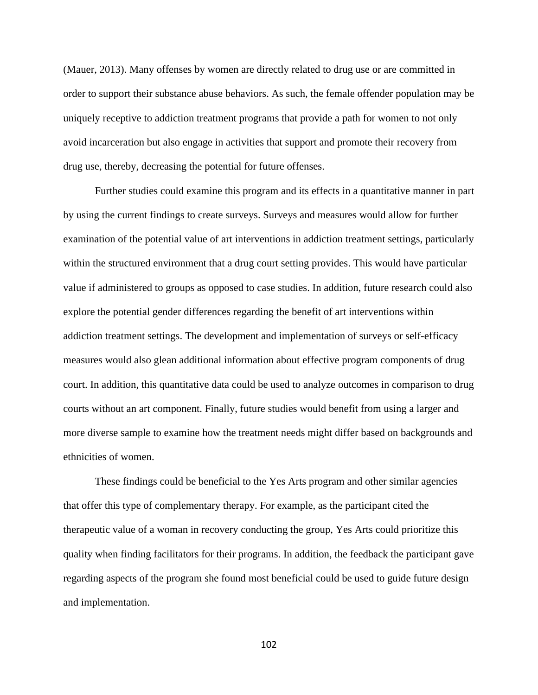(Mauer, 2013). Many offenses by women are directly related to drug use or are committed in order to support their substance abuse behaviors. As such, the female offender population may be uniquely receptive to addiction treatment programs that provide a path for women to not only avoid incarceration but also engage in activities that support and promote their recovery from drug use, thereby, decreasing the potential for future offenses.

Further studies could examine this program and its effects in a quantitative manner in part by using the current findings to create surveys. Surveys and measures would allow for further examination of the potential value of art interventions in addiction treatment settings, particularly within the structured environment that a drug court setting provides. This would have particular value if administered to groups as opposed to case studies. In addition, future research could also explore the potential gender differences regarding the benefit of art interventions within addiction treatment settings. The development and implementation of surveys or self-efficacy measures would also glean additional information about effective program components of drug court. In addition, this quantitative data could be used to analyze outcomes in comparison to drug courts without an art component. Finally, future studies would benefit from using a larger and more diverse sample to examine how the treatment needs might differ based on backgrounds and ethnicities of women.

These findings could be beneficial to the Yes Arts program and other similar agencies that offer this type of complementary therapy. For example, as the participant cited the therapeutic value of a woman in recovery conducting the group, Yes Arts could prioritize this quality when finding facilitators for their programs. In addition, the feedback the participant gave regarding aspects of the program she found most beneficial could be used to guide future design and implementation.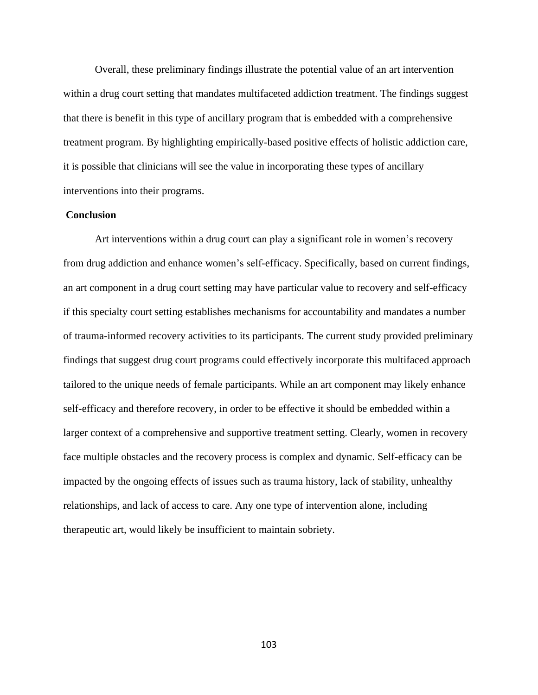Overall, these preliminary findings illustrate the potential value of an art intervention within a drug court setting that mandates multifaceted addiction treatment. The findings suggest that there is benefit in this type of ancillary program that is embedded with a comprehensive treatment program. By highlighting empirically-based positive effects of holistic addiction care, it is possible that clinicians will see the value in incorporating these types of ancillary interventions into their programs.

#### **Conclusion**

Art interventions within a drug court can play a significant role in women's recovery from drug addiction and enhance women's self-efficacy. Specifically, based on current findings, an art component in a drug court setting may have particular value to recovery and self-efficacy if this specialty court setting establishes mechanisms for accountability and mandates a number of trauma-informed recovery activities to its participants. The current study provided preliminary findings that suggest drug court programs could effectively incorporate this multifaced approach tailored to the unique needs of female participants. While an art component may likely enhance self-efficacy and therefore recovery, in order to be effective it should be embedded within a larger context of a comprehensive and supportive treatment setting. Clearly, women in recovery face multiple obstacles and the recovery process is complex and dynamic. Self-efficacy can be impacted by the ongoing effects of issues such as trauma history, lack of stability, unhealthy relationships, and lack of access to care. Any one type of intervention alone, including therapeutic art, would likely be insufficient to maintain sobriety.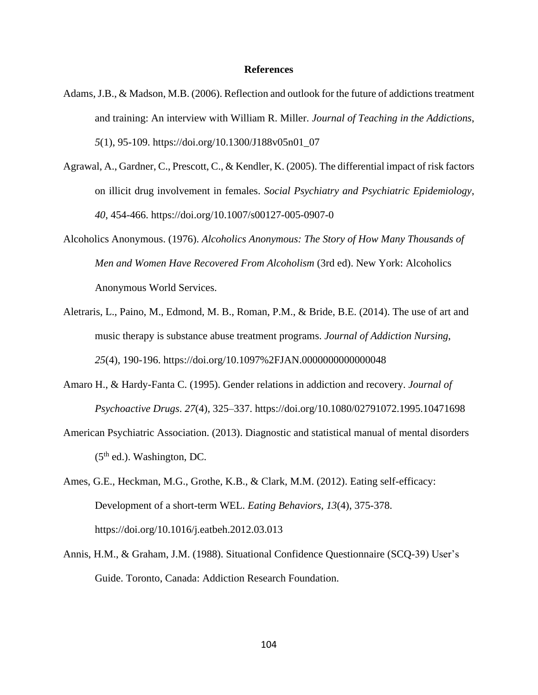#### **References**

- Adams, J.B., & Madson, M.B. (2006). Reflection and outlook for the future of addictions treatment and training: An interview with William R. Miller. *Journal of Teaching in the Addictions*, *5*(1), 95-109. https://doi.org/10.1300/J188v05n01\_07
- Agrawal, A., Gardner, C., Prescott, C., & Kendler, K. (2005). The differential impact of risk factors on illicit drug involvement in females. *Social Psychiatry and Psychiatric Epidemiology*, *40*, 454-466. https://doi.org/10.1007/s00127-005-0907-0
- Alcoholics Anonymous. (1976). *Alcoholics Anonymous: The Story of How Many Thousands of Men and Women Have Recovered From Alcoholism* (3rd ed). New York: Alcoholics Anonymous World Services.
- Aletraris, L., Paino, M., Edmond, M. B., Roman, P.M., & Bride, B.E. (2014). The use of art and music therapy is substance abuse treatment programs. *Journal of Addiction Nursing*, *25*(4), 190-196.<https://doi.org/10.1097%2FJAN.0000000000000048>
- Amaro H., & Hardy-Fanta C. (1995). Gender relations in addiction and recovery. *Journal of Psychoactive Drugs*. *27*(4), 325–337.<https://doi.org/10.1080/02791072.1995.10471698>
- American Psychiatric Association. (2013). Diagnostic and statistical manual of mental disorders  $(5<sup>th</sup>$  ed.). Washington, DC.
- Ames, G.E., Heckman, M.G., Grothe, K.B., & Clark, M.M. (2012). Eating self-efficacy: Development of a short-term WEL. *Eating Behaviors*, *13*(4), 375-378. https://doi.org/10.1016/j.eatbeh.2012.03.013
- Annis, H.M., & Graham, J.M. (1988). Situational Confidence Questionnaire (SCQ-39) User's Guide. Toronto, Canada: Addiction Research Foundation.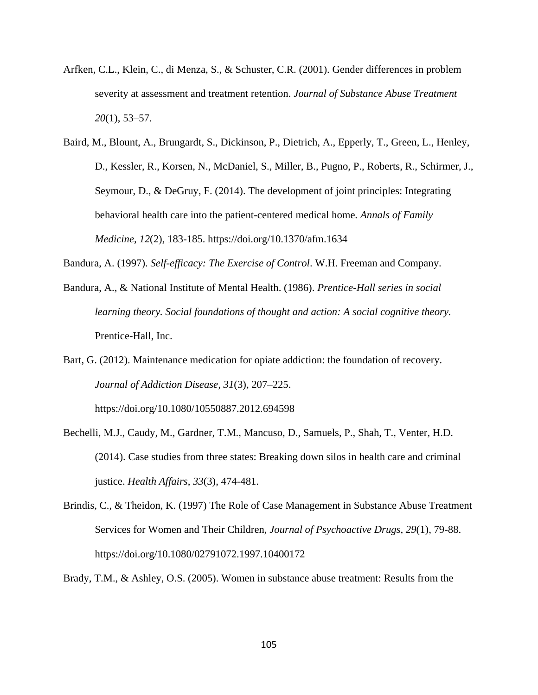- Arfken, C.L., Klein, C., di Menza, S., & Schuster, C.R. (2001). Gender differences in problem severity at assessment and treatment retention. *Journal of Substance Abuse Treatment 20*(1), 53–57.
- Baird, M., Blount, A., Brungardt, S., Dickinson, P., Dietrich, A., Epperly, T., Green, L., Henley, D., Kessler, R., Korsen, N., McDaniel, S., Miller, B., Pugno, P., Roberts, R., Schirmer, J., Seymour, D., & DeGruy, F. (2014). The development of joint principles: Integrating behavioral health care into the patient-centered medical home*. Annals of Family Medicine, 12*(2)*,* 183-185. https://doi.org/10.1370/afm.1634
- Bandura, A. (1997). *Self-efficacy: The Exercise of Control*. W.H. Freeman and Company.
- Bandura, A., & National Institute of Mental Health. (1986). *Prentice-Hall series in social learning theory. Social foundations of thought and action: A social cognitive theory.* Prentice-Hall, Inc.
- Bart, G. (2012). Maintenance medication for opiate addiction: the foundation of recovery*. Journal of Addiction Disease, 31*(3), 207–225.

https://doi.org/10.1080/10550887.2012.694598

- Bechelli, M.J., Caudy, M., Gardner, T.M., Mancuso, D., Samuels, P., Shah, T., Venter, H.D. (2014). Case studies from three states: Breaking down silos in health care and criminal justice. *Health Affairs*, *33*(3), 474-481.
- Brindis, C., & Theidon, K. (1997) The Role of Case Management in Substance Abuse Treatment Services for Women and Their Children, *Journal of Psychoactive Drugs*, *29*(1), 79-88. https://doi.org/10.1080/02791072.1997.10400172

Brady, T.M., & Ashley, O.S. (2005). Women in substance abuse treatment: Results from the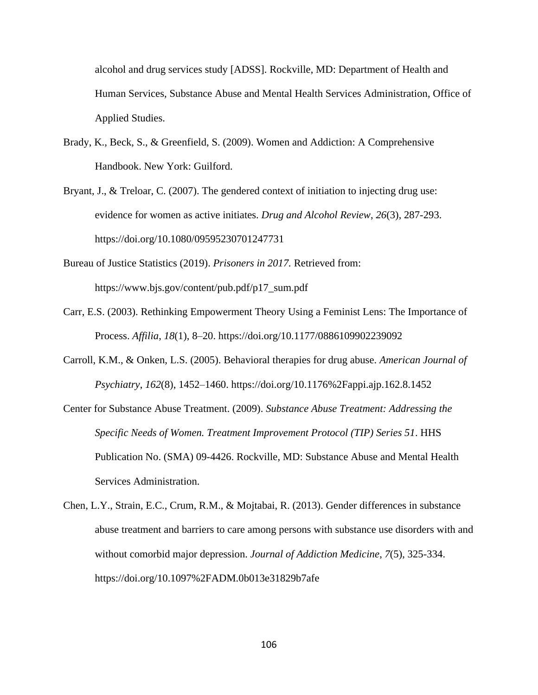alcohol and drug services study [ADSS]. Rockville, MD: Department of Health and Human Services, Substance Abuse and Mental Health Services Administration, Office of Applied Studies.

- Brady, K., Beck, S., & Greenfield, S. (2009). Women and Addiction: A Comprehensive Handbook. New York: Guilford.
- Bryant, J., & Treloar, C. (2007). The gendered context of initiation to injecting drug use: evidence for women as active initiates. *Drug and Alcohol Review*, *26*(3), 287-293. <https://doi.org/10.1080/09595230701247731>
- Bureau of Justice Statistics (2019). *Prisoners in 2017.* Retrieved from: https://www.bjs.gov/content/pub.pdf/p17\_sum.pdf
- Carr, E.S. (2003). Rethinking Empowerment Theory Using a Feminist Lens: The Importance of Process. *Affilia*, *18*(1), 8–20. https://doi.org/10.1177/0886109902239092
- Carroll, K.M., & Onken, L.S. (2005). Behavioral therapies for drug abuse. *American Journal of Psychiatry*, *162*(8), 1452–1460. https://doi.org/10.1176%2Fappi.ajp.162.8.1452
- Center for Substance Abuse Treatment. (2009). *Substance Abuse Treatment: Addressing the Specific Needs of Women. Treatment Improvement Protocol (TIP) Series 51*. HHS Publication No. (SMA) 09-4426. Rockville, MD: Substance Abuse and Mental Health Services Administration.
- Chen, L.Y., Strain, E.C., Crum, R.M., & Mojtabai, R. (2013). Gender differences in substance abuse treatment and barriers to care among persons with substance use disorders with and without comorbid major depression. *Journal of Addiction Medicine*, *7*(5), 325-334. https://doi.org/10.1097%2FADM.0b013e31829b7afe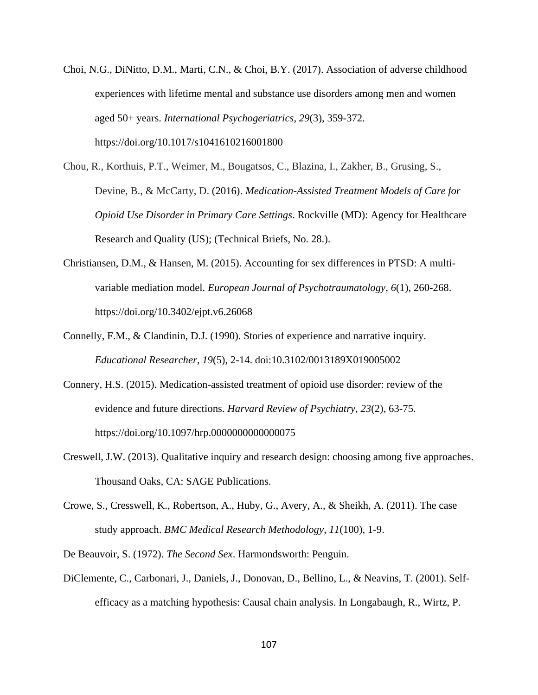- Choi, N.G., DiNitto, D.M., Marti, C.N., & Choi, B.Y. (2017). Association of adverse childhood experiences with lifetime mental and substance use disorders among men and women aged 50+ years. *International Psychogeriatrics*, *29*(3), 359-372. https://doi.org/10.1017/s1041610216001800
- Chou, R., Korthuis, P.T., Weimer, M., Bougatsos, C., Blazina, I., Zakher, B., Grusing, S., Devine, B., & McCarty, D. (2016). *Medication-Assisted Treatment Models of Care for Opioid Use Disorder in Primary Care Settings*. Rockville (MD): Agency for Healthcare Research and Quality (US); (Technical Briefs, No. 28.).
- Christiansen, D.M., & Hansen, M. (2015). Accounting for sex differences in PTSD: A multivariable mediation model. *European Journal of Psychotraumatology*, *6*(1), 260-268. https://doi.org/10.3402/ejpt.v6.26068
- Connelly, F.M., & Clandinin, D.J. (1990). Stories of experience and narrative inquiry. *Educational Researcher*, *19*(5), 2-14. doi:10.3102/0013189X019005002
- Connery, H.S. (2015). Medication-assisted treatment of opioid use disorder: review of the evidence and future directions. *Harvard Review of Psychiatry*, *23*(2), 63-75. https://doi.org/10.1097/hrp.0000000000000075
- Creswell, J.W. (2013). Qualitative inquiry and research design: choosing among five approaches. Thousand Oaks, CA: SAGE Publications.
- Crowe, S., Cresswell, K., Robertson, A., Huby, G., Avery, A., & Sheikh, A. (2011). The case study approach. *BMC Medical Research Methodology*, *11*(100), 1-9.
- De Beauvoir, S. (1972). *The Second Sex*. Harmondsworth: Penguin.
- DiClemente, C., Carbonari, J., Daniels, J., Donovan, D., Bellino, L., & Neavins, T. (2001). Selfefficacy as a matching hypothesis: Causal chain analysis. In Longabaugh, R., Wirtz, P.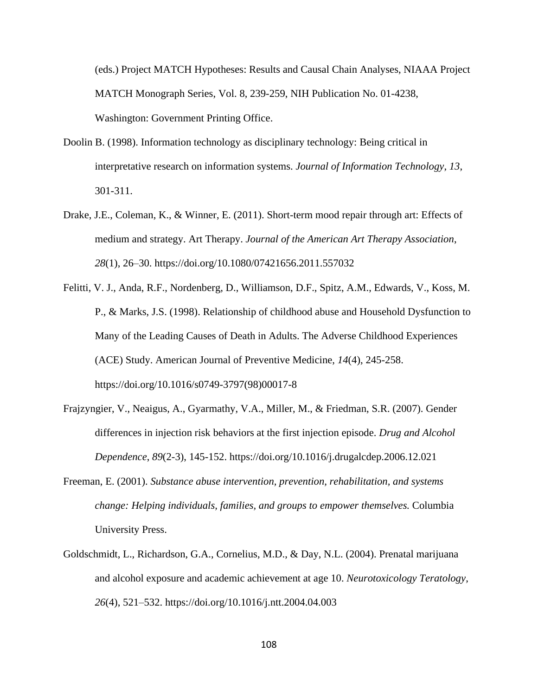(eds.) Project MATCH Hypotheses: Results and Causal Chain Analyses, NIAAA Project MATCH Monograph Series, Vol. 8, 239-259, NIH Publication No. 01-4238, Washington: Government Printing Office.

- Doolin B. (1998). Information technology as disciplinary technology: Being critical in interpretative research on information systems. *Journal of Information Technology*, *13*, 301-311.
- Drake, J.E., Coleman, K., & Winner, E. (2011). Short-term mood repair through art: Effects of medium and strategy. Art Therapy. *Journal of the American Art Therapy Association*, *28*(1), 26–30. https://doi.org/10.1080/07421656.2011.557032
- Felitti, V. J., Anda, R.F., Nordenberg, D., Williamson, D.F., Spitz, A.M., Edwards, V., Koss, M. P., & Marks, J.S. (1998). Relationship of childhood abuse and Household Dysfunction to Many of the Leading Causes of Death in Adults. The Adverse Childhood Experiences (ACE) Study. American Journal of Preventive Medicine, *14*(4), 245-258. https://doi.org/10.1016/s0749-3797(98)00017-8
- Frajzyngier, V., Neaigus, A., Gyarmathy, V.A., Miller, M., & Friedman, S.R. (2007). Gender differences in injection risk behaviors at the first injection episode. *Drug and Alcohol Dependence*, *89*(2-3), 145-152.<https://doi.org/10.1016/j.drugalcdep.2006.12.021>
- Freeman, E. (2001). *Substance abuse intervention, prevention, rehabilitation, and systems change: Helping individuals, families, and groups to empower themselves.* Columbia University Press.
- Goldschmidt, L., Richardson, G.A., Cornelius, M.D., & Day, N.L. (2004). Prenatal marijuana and alcohol exposure and academic achievement at age 10. *Neurotoxicology Teratology*, *26*(4), 521–532. https://doi.org/10.1016/j.ntt.2004.04.003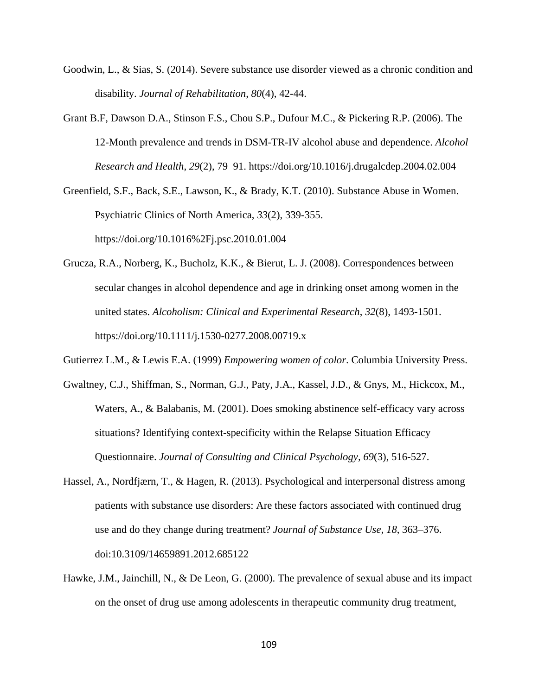- Goodwin, L., & Sias, S. (2014). Severe substance use disorder viewed as a chronic condition and disability. *Journal of Rehabilitation*, *80*(4), 42-44.
- Grant B.F, Dawson D.A., Stinson F.S., Chou S.P., Dufour M.C., & Pickering R.P. (2006). The 12-Month prevalence and trends in DSM-TR-IV alcohol abuse and dependence. *Alcohol Research and Health*, *29*(2), 79–91. https://doi.org/10.1016/j.drugalcdep.2004.02.004
- Greenfield, S.F., Back, S.E., Lawson, K., & Brady, K.T. (2010). Substance Abuse in Women. Psychiatric Clinics of North America, *33*(2), 339-355. https://doi.org/10.1016%2Fj.psc.2010.01.004
- Grucza, R.A., Norberg, K., Bucholz, K.K., & Bierut, L. J. (2008). Correspondences between secular changes in alcohol dependence and age in drinking onset among women in the united states. *Alcoholism: Clinical and Experimental Research*, *32*(8), 1493-1501. https://doi.org/10.1111/j.1530-0277.2008.00719.x
- Gutierrez L.M., & Lewis E.A. (1999) *Empowering women of color*. Columbia University Press.
- Gwaltney, C.J., Shiffman, S., Norman, G.J., Paty, J.A., Kassel, J.D., & Gnys, M., Hickcox, M., Waters, A., & Balabanis, M. (2001). Does smoking abstinence self-efficacy vary across situations? Identifying context-specificity within the Relapse Situation Efficacy Questionnaire. *Journal of Consulting and Clinical Psychology, 69*(3), 516-527.
- Hassel, A., Nordfjærn, T., & Hagen, R. (2013). Psychological and interpersonal distress among patients with substance use disorders: Are these factors associated with continued drug use and do they change during treatment? *Journal of Substance Use*, *18*, 363–376. doi:10.3109/14659891.2012.685122
- Hawke, J.M., Jainchill, N., & De Leon, G. (2000). The prevalence of sexual abuse and its impact on the onset of drug use among adolescents in therapeutic community drug treatment,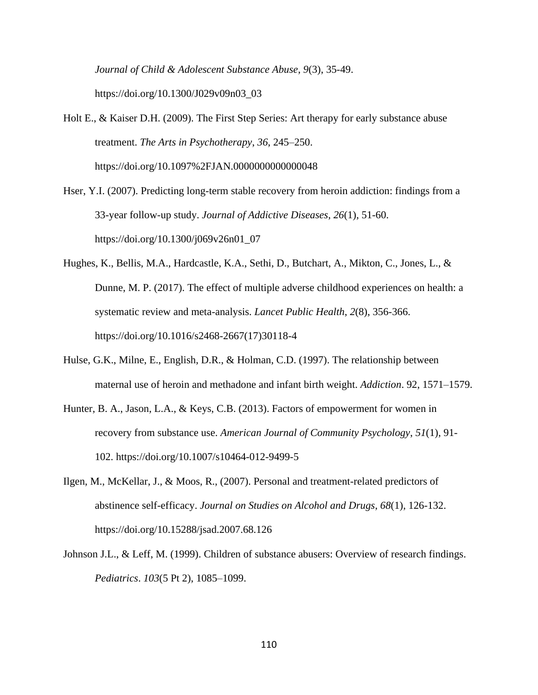*Journal of Child & Adolescent Substance Abuse*, *9*(3), 35-49. https://doi.org/10.1300/J029v09n03\_03

Holt E., & Kaiser D.H. (2009). The First Step Series: Art therapy for early substance abuse treatment. *The Arts in Psychotherapy*, *36*, 245–250. https://doi.org/10.1097%2FJAN.0000000000000048

- Hser, Y.I. (2007). Predicting long-term stable recovery from heroin addiction: findings from a 33-year follow-up study. *Journal of Addictive Diseases*, *26*(1), 51-60. https://doi.org/10.1300/j069v26n01\_07
- Hughes, K., Bellis, M.A., Hardcastle, K.A., Sethi, D., Butchart, A., Mikton, C., Jones, L., & Dunne, M. P. (2017). The effect of multiple adverse childhood experiences on health: a systematic review and meta-analysis. *Lancet Public Health*, *2*(8), 356-366. https://doi.org/10.1016/s2468-2667(17)30118-4
- Hulse, G.K., Milne, E., English, D.R., & Holman, C.D. (1997). The relationship between maternal use of heroin and methadone and infant birth weight. *Addiction*. 92, 1571–1579.
- Hunter, B. A., Jason, L.A., & Keys, C.B. (2013). Factors of empowerment for women in recovery from substance use. *American Journal of Community Psychology*, *51*(1), 91- 102. https://doi.org/10.1007/s10464-012-9499-5
- Ilgen, M., McKellar, J., & Moos, R., (2007). Personal and treatment-related predictors of abstinence self-efficacy. *Journal on Studies on Alcohol and Drugs*, *68*(1), 126-132. https://doi.org/10.15288/jsad.2007.68.126
- Johnson J.L., & Leff, M. (1999). Children of substance abusers: Overview of research findings. *Pediatrics*. *103*(5 Pt 2), 1085–1099.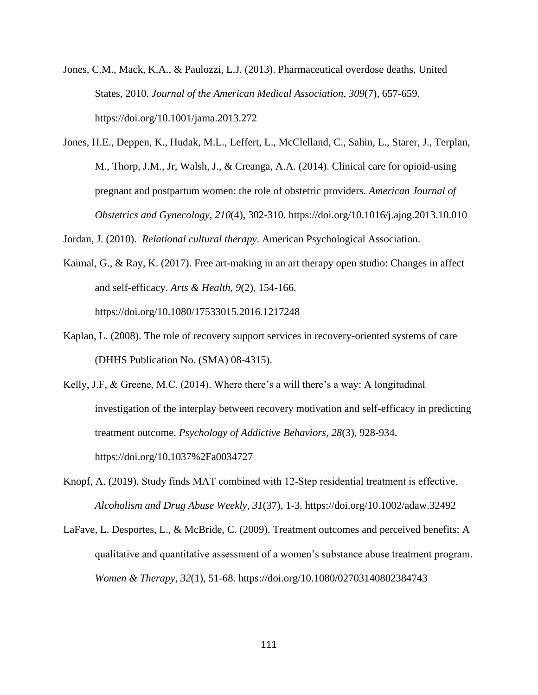- Jones, C.M., Mack, K.A., & Paulozzi, L.J. (2013). Pharmaceutical overdose deaths, United States, 2010. *Journal of the American Medical Association*, *309*(7), 657-659. <https://doi.org/10.1001/jama.2013.272>
- Jones, H.E., Deppen, K., Hudak, M.L., Leffert, L., McClelland, C., Sahin, L., Starer, J., Terplan, M., Thorp, J.M., Jr, Walsh, J., & Creanga, A.A. (2014). Clinical care for opioid-using pregnant and postpartum women: the role of obstetric providers. *American Journal of Obstetrics and Gynecology*, *210*(4), 302-310. https://doi.org/10.1016/j.ajog.2013.10.010

Jordan, J. (2010). *Relational cultural therapy*. American Psychological Association.

- Kaimal, G., & Ray, K. (2017). Free art-making in an art therapy open studio: Changes in affect and self-efficacy. *Arts & Health*, *9*(2), 154-166. https://doi.org/10.1080/17533015.2016.1217248
- Kaplan, L. (2008). The role of recovery support services in recovery-oriented systems of care (DHHS Publication No. (SMA) 08-4315).
- Kelly, J.F, & Greene, M.C. (2014). Where there's a will there's a way: A longitudinal investigation of the interplay between recovery motivation and self-efficacy in predicting treatment outcome. *Psychology of Addictive Behaviors*, *28*(3), 928-934. https://doi.org/10.1037%2Fa0034727
- Knopf, A. (2019). Study finds MAT combined with 12‐Step residential treatment is effective. *Alcoholism and Drug Abuse Weekly*, *31*(37), 1-3. https://doi.org/10.1002/adaw.32492
- LaFave, L. Desportes, L., & McBride, C. (2009). Treatment outcomes and perceived benefits: A qualitative and quantitative assessment of a women's substance abuse treatment program. *Women & Therapy*, *32*(1), 51-68. https://doi.org/10.1080/02703140802384743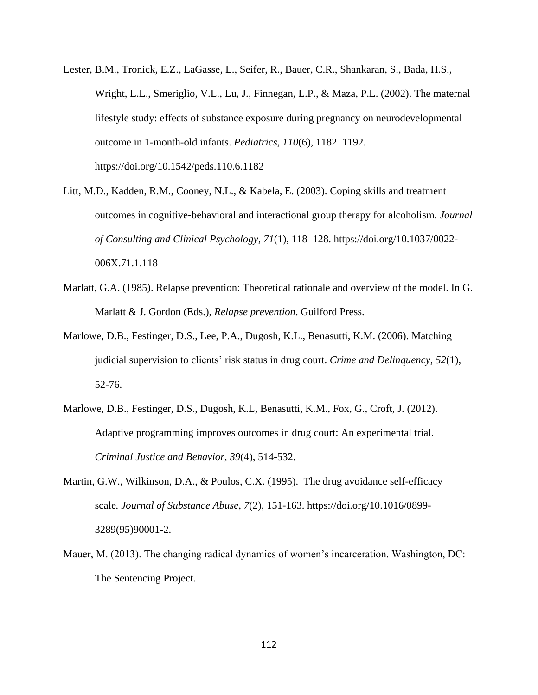- Lester, B.M., Tronick, E.Z., LaGasse, L., Seifer, R., Bauer, C.R., Shankaran, S., Bada, H.S., Wright, L.L., Smeriglio, V.L., Lu, J., Finnegan, L.P., & Maza, P.L. (2002). The maternal lifestyle study: effects of substance exposure during pregnancy on neurodevelopmental outcome in 1-month-old infants. *Pediatrics*, *110*(6), 1182–1192. https://doi.org/10.1542/peds.110.6.1182
- Litt, M.D., Kadden, R.M., Cooney, N.L., & Kabela, E. (2003). Coping skills and treatment outcomes in cognitive-behavioral and interactional group therapy for alcoholism. *Journal of Consulting and Clinical Psychology*, *71*(1), 118–128. https://doi.org/10.1037/0022- 006X.71.1.118
- Marlatt, G.A. (1985). Relapse prevention: Theoretical rationale and overview of the model. In G. Marlatt & J. Gordon (Eds.), *Relapse prevention*. Guilford Press.
- Marlowe, D.B., Festinger, D.S., Lee, P.A., Dugosh, K.L., Benasutti, K.M. (2006). Matching judicial supervision to clients' risk status in drug court. *Crime and Delinquency*, *52*(1), 52-76.
- Marlowe, D.B., Festinger, D.S., Dugosh, K.L, Benasutti, K.M., Fox, G., Croft, J. (2012). Adaptive programming improves outcomes in drug court: An experimental trial. *Criminal Justice and Behavior*, *39*(4), 514-532.
- Martin, G.W., Wilkinson, D.A., & Poulos, C.X. (1995). The drug avoidance self-efficacy scale*. Journal of Substance Abuse*, *7*(2), 151-163. https://doi.org/10.1016/0899- 3289(95)90001-2.
- Mauer, M. (2013). The changing radical dynamics of women's incarceration. Washington, DC: The Sentencing Project.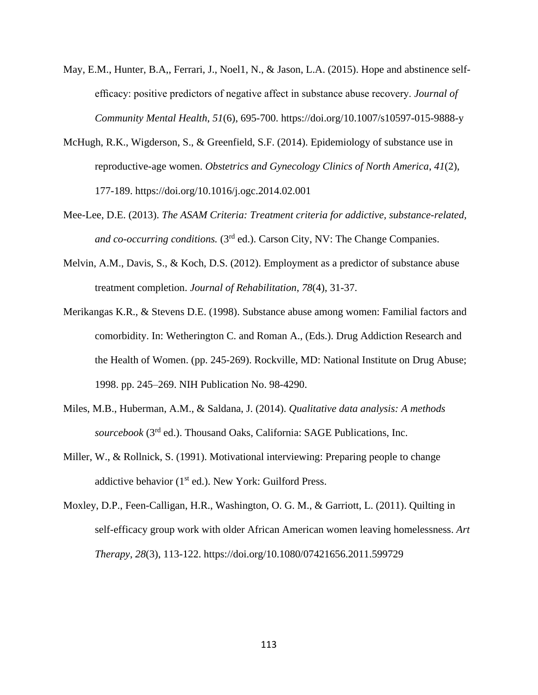- May, E.M., Hunter, B.A,, Ferrari, J., Noel1, N., & Jason, L.A. (2015). Hope and abstinence selfefficacy: positive predictors of negative affect in substance abuse recovery. *Journal of Community Mental Health*, *51*(6), 695-700. https://doi.org/10.1007/s10597-015-9888-y
- McHugh, R.K., Wigderson, S., & Greenfield, S.F. (2014). Epidemiology of substance use in reproductive-age women. *Obstetrics and Gynecology Clinics of North America*, *41*(2), 177-189. https://doi.org/10.1016/j.ogc.2014.02.001
- Mee-Lee, D.E. (2013). *The ASAM Criteria: Treatment criteria for addictive, substance-related, and co-occurring conditions.* (3rd ed.). Carson City, NV: The Change Companies.
- Melvin, A.M., Davis, S., & Koch, D.S. (2012). Employment as a predictor of substance abuse treatment completion. *Journal of Rehabilitation*, *78*(4), 31-37.
- Merikangas K.R., & Stevens D.E. (1998). Substance abuse among women: Familial factors and comorbidity. In: Wetherington C. and Roman A., (Eds.). Drug Addiction Research and the Health of Women. (pp. 245-269). Rockville, MD: National Institute on Drug Abuse; 1998. pp. 245–269. NIH Publication No. 98-4290.
- Miles, M.B., Huberman, A.M., & Saldana, J. (2014). *Qualitative data analysis: A methods*  sourcebook (3<sup>rd</sup> ed.). Thousand Oaks, California: SAGE Publications, Inc.
- Miller, W., & Rollnick, S. (1991). Motivational interviewing: Preparing people to change addictive behavior ( $1<sup>st</sup>$  ed.). New York: Guilford Press.
- Moxley, D.P., Feen-Calligan, H.R., Washington, O. G. M., & Garriott, L. (2011). Quilting in self-efficacy group work with older African American women leaving homelessness. *Art Therapy*, *28*(3), 113-122. https://doi.org/10.1080/07421656.2011.599729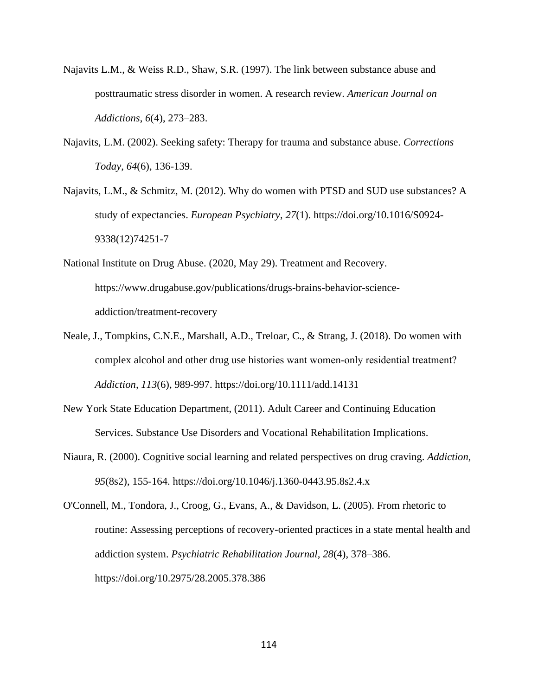- Najavits L.M., & Weiss R.D., Shaw, S.R. (1997). The link between substance abuse and posttraumatic stress disorder in women. A research review. *American Journal on Addictions*, *6*(4), 273–283.
- Najavits, L.M. (2002). Seeking safety: Therapy for trauma and substance abuse. *Corrections Today*, *64*(6), 136-139.
- Najavits, L.M., & Schmitz, M. (2012). Why do women with PTSD and SUD use substances? A study of expectancies. *European Psychiatry*, *27*(1). https://doi.org/10.1016/S0924- 9338(12)74251-7
- National Institute on Drug Abuse. (2020, May 29). Treatment and Recovery. https://www.drugabuse.gov/publications/drugs-brains-behavior-scienceaddiction/treatment-recovery
- Neale, J., Tompkins, C.N.E., Marshall, A.D., Treloar, C., & Strang, J. (2018). Do women with complex alcohol and other drug use histories want women-only residential treatment? *Addiction, 113*(6), 989-997. https://doi.org/10.1111/add.14131
- New York State Education Department, (2011). Adult Career and Continuing Education Services. Substance Use Disorders and Vocational Rehabilitation Implications.
- Niaura, R. (2000). Cognitive social learning and related perspectives on drug craving. *Addiction, 95*(8s2), 155-164. https://doi.org/10.1046/j.1360-0443.95.8s2.4.x

O'Connell, M., Tondora, J., Croog, G., Evans, A., & Davidson, L. (2005). From rhetoric to routine: Assessing perceptions of recovery-oriented practices in a state mental health and addiction system. *Psychiatric Rehabilitation Journal, 28*(4), 378–386. [https://doi.org/10.2975/28.2005.378.386](https://psycnet.apa.org/doi/10.2975/28.2005.378.386)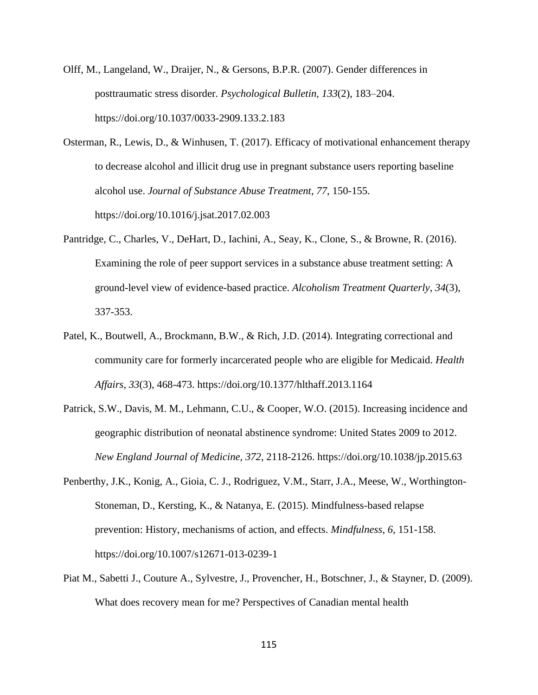- Olff, M., Langeland, W., Draijer, N., & Gersons, B.P.R. (2007). Gender differences in posttraumatic stress disorder. *Psychological Bulletin, 133*(2), 183–204. https://doi.org/10.1037/0033-2909.133.2.183
- Osterman, R., Lewis, D., & Winhusen, T. (2017). Efficacy of motivational enhancement therapy to decrease alcohol and illicit drug use in pregnant substance users reporting baseline alcohol use. *Journal of Substance Abuse Treatment*, *77*, 150-155. https://doi.org/10.1016/j.jsat.2017.02.003
- Pantridge, C., Charles, V., DeHart, D., Iachini, A., Seay, K., Clone, S., & Browne, R. (2016). Examining the role of peer support services in a substance abuse treatment setting: A ground-level view of evidence-based practice. *Alcoholism Treatment Quarterly*, *34*(3), 337-353.
- Patel, K., Boutwell, A., Brockmann, B.W., & Rich, J.D. (2014). Integrating correctional and community care for formerly incarcerated people who are eligible for Medicaid. *Health Affairs*, *33*(3), 468-473. https://doi.org/10.1377/hlthaff.2013.1164
- Patrick, S.W., Davis, M. M., Lehmann, C.U., & Cooper, W.O. (2015). Increasing incidence and geographic distribution of neonatal abstinence syndrome: United States 2009 to 2012. *New England Journal of Medicine, 372*, 2118-2126. [h](http://www.nejm.org/toc/nejm/372/22/)ttps://doi.org/10.1038/jp.2015.63
- Penberthy, J.K., Konig, A., Gioia, C. J., Rodriguez, V.M., Starr, J.A., Meese, W., Worthington-Stoneman, D., Kersting, K., & Natanya, E. (2015). Mindfulness-based relapse prevention: History, mechanisms of action, and effects. *Mindfulness*, *6*, 151-158. https://doi.org/10.1007/s12671-013-0239-1
- Piat M., Sabetti J., Couture A., Sylvestre, J., Provencher, H., Botschner, J., & Stayner, D. (2009). What does recovery mean for me? Perspectives of Canadian mental health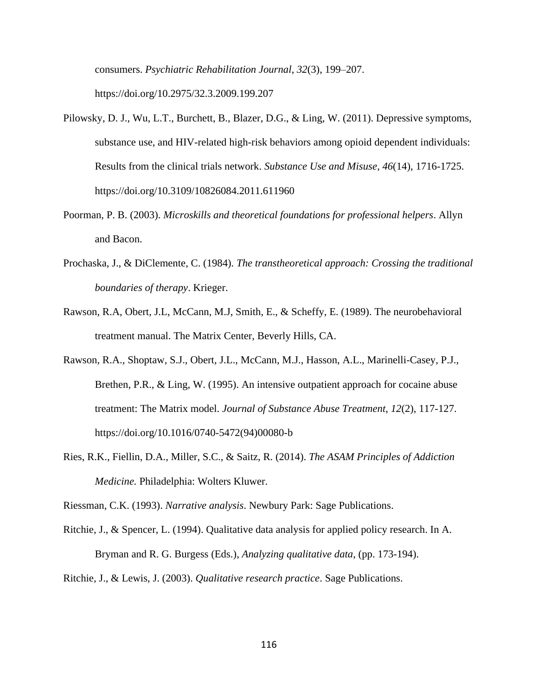consumers. *Psychiatric Rehabilitation Journal*, *32*(3), 199–207. <https://doi.org/10.2975/32.3.2009.199.207>

- Pilowsky, D. J., Wu, L.T., Burchett, B., Blazer, D.G., & Ling, W. (2011). Depressive symptoms, substance use, and HIV-related high-risk behaviors among opioid dependent individuals: Results from the clinical trials network. *Substance Use and Misuse*, *46*(14), 1716-1725. https://doi.org/10.3109/10826084.2011.611960
- Poorman, P. B. (2003). *Microskills and theoretical foundations for professional helpers*. Allyn and Bacon.
- Prochaska, J., & DiClemente, C. (1984). *The transtheoretical approach: Crossing the traditional boundaries of therapy*. Krieger.
- Rawson, R.A, Obert, J.L, McCann, M.J, Smith, E., & Scheffy, E. (1989). The neurobehavioral treatment manual. The Matrix Center, Beverly Hills, CA.
- Rawson, R.A., Shoptaw, S.J., Obert, J.L., McCann, M.J., Hasson, A.L., Marinelli-Casey, P.J., Brethen, P.R., & Ling, W. (1995). An intensive outpatient approach for cocaine abuse treatment: The Matrix model. *Journal of Substance Abuse Treatment*, *12*(2), 117-127. https://doi.org/10.1016/0740-5472(94)00080-b
- Ries, R.K., Fiellin, D.A., Miller, S.C., & Saitz, R. (2014). *The ASAM Principles of Addiction Medicine.* Philadelphia: Wolters Kluwer.

Riessman, C.K. (1993). *Narrative analysis*. Newbury Park: Sage Publications.

Ritchie, J., & Spencer, L. (1994). Qualitative data analysis for applied policy research. In A. Bryman and R. G. Burgess (Eds.), *Analyzing qualitative data*, (pp. 173-194).

Ritchie, J., & Lewis, J. (2003). *Qualitative research practice*. Sage Publications.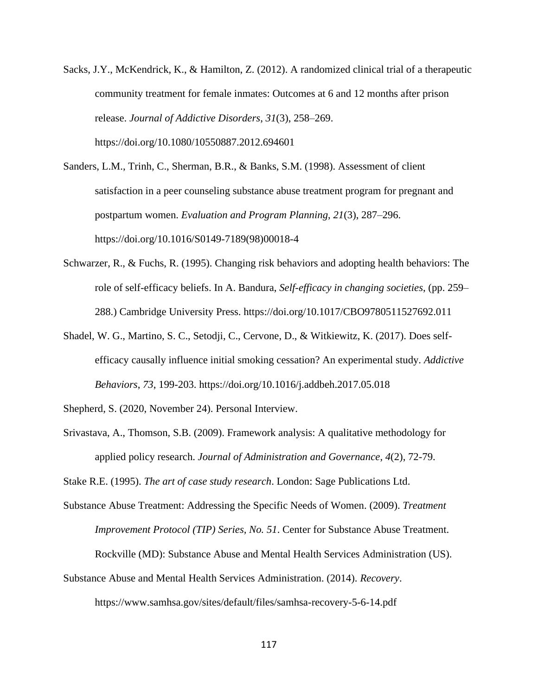Sacks, J.Y., McKendrick, K., & Hamilton, Z. (2012). A randomized clinical trial of a therapeutic community treatment for female inmates: Outcomes at 6 and 12 months after prison release. *Journal of Addictive Disorders*, *31*(3), 258–269. https://doi.org/10.1080/10550887.2012.694601

Sanders, L.M., Trinh, C., Sherman, B.R., & Banks, S.M. (1998). Assessment of client satisfaction in a peer counseling substance abuse treatment program for pregnant and postpartum women. *Evaluation and Program Planning*, *21*(3), 287–296. https://doi.org/10.1016/S0149-7189(98)00018-4

- Schwarzer, R., & Fuchs, R. (1995). Changing risk behaviors and adopting health behaviors: The role of self-efficacy beliefs. In A. Bandura, *Self-efficacy in changing societies*, (pp. 259– 288.) Cambridge University Press. https://doi.org/10.1017/CBO9780511527692.011
- Shadel, W. G., Martino, S. C., Setodji, C., Cervone, D., & Witkiewitz, K. (2017). Does selfefficacy causally influence initial smoking cessation? An experimental study. *Addictive Behaviors*, *73*, 199-203. https://doi.org/10.1016/j.addbeh.2017.05.018

Shepherd, S. (2020, November 24). Personal Interview.

Srivastava, A., Thomson, S.B. (2009). Framework analysis: A qualitative methodology for applied policy research. *Journal of Administration and Governance*, *4*(2), 72-79.

Stake R.E. (1995). *The art of case study research*. London: Sage Publications Ltd.

- Substance Abuse Treatment: Addressing the Specific Needs of Women. (2009). *Treatment Improvement Protocol (TIP) Series, No. 51*. Center for Substance Abuse Treatment. Rockville (MD): Substance Abuse and Mental Health Services Administration (US).
- Substance Abuse and Mental Health Services Administration. (2014). *Recovery*.

<https://www.samhsa.gov/sites/default/files/samhsa-recovery-5-6-14.pdf>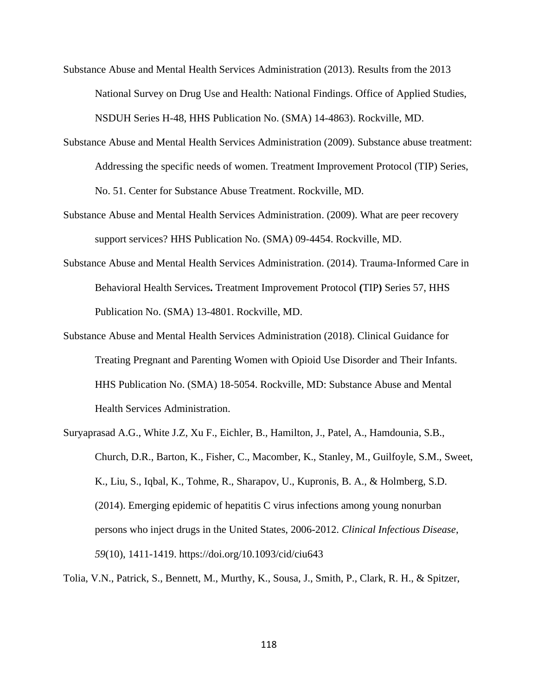- Substance Abuse and Mental Health Services Administration (2013). Results from the 2013 National Survey on Drug Use and Health: National Findings. Office of Applied Studies, NSDUH Series H-48, HHS Publication No. (SMA) 14-4863). Rockville, MD.
- Substance Abuse and Mental Health Services Administration (2009). Substance abuse treatment: Addressing the specific needs of women. Treatment Improvement Protocol (TIP) Series, No. 51. Center for Substance Abuse Treatment. Rockville, MD.
- Substance Abuse and Mental Health Services Administration. (2009). What are peer recovery support services? HHS Publication No. (SMA) 09-4454. Rockville, MD.
- Substance Abuse and Mental Health Services Administration. (2014). Trauma-Informed Care in Behavioral Health Services**.** Treatment Improvement Protocol **(**TIP**)** Series 57, HHS Publication No. (SMA) 13-4801. Rockville, MD.
- Substance Abuse and Mental Health Services Administration (2018). Clinical Guidance for Treating Pregnant and Parenting Women with Opioid Use Disorder and Their Infants. HHS Publication No. (SMA) 18-5054. Rockville, MD: Substance Abuse and Mental Health Services Administration.
- Suryaprasad A.G., White J.Z, Xu F., Eichler, B., Hamilton, J., Patel, A., Hamdounia, S.B., Church, D.R., Barton, K., Fisher, C., Macomber, K., Stanley, M., Guilfoyle, S.M., Sweet, K., Liu, S., Iqbal, K., Tohme, R., Sharapov, U., Kupronis, B. A., & Holmberg, S.D. (2014). Emerging epidemic of hepatitis C virus infections among young nonurban persons who inject drugs in the United States, 2006-2012. *Clinical Infectious Disease*, *59*(10), 1411-1419. https://doi.org/10.1093/cid/ciu643

Tolia, V.N., Patrick, S., Bennett, M., Murthy, K., Sousa, J., Smith, P., Clark, R. H., & Spitzer,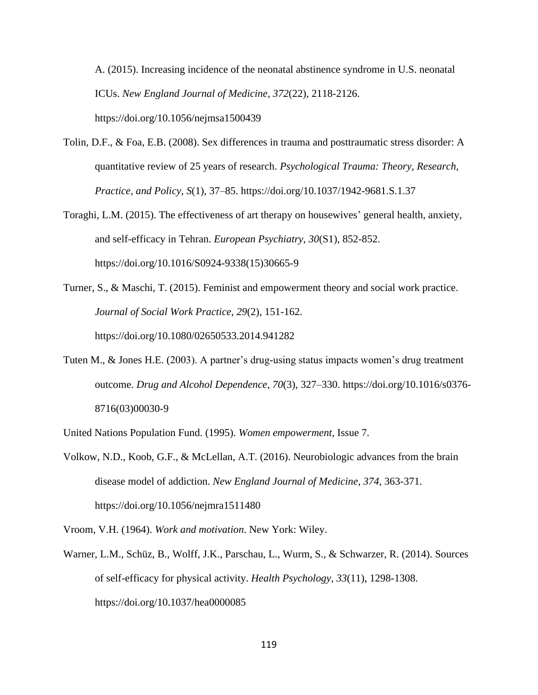A. (2015). Increasing incidence of the neonatal abstinence syndrome in U.S. neonatal ICUs. *New England Journal of Medicine, 372*(22), 2118-2126. https://doi.org/10.1056/nejmsa1500439

- Tolin, D.F., & Foa, E.B. (2008). Sex differences in trauma and posttraumatic stress disorder: A quantitative review of 25 years of research. *Psychological Trauma: Theory, Research, Practice, and Policy, S*(1), 37–85. [https://doi.org/10.1037/1942-9681.S.1.37](https://psycnet.apa.org/doi/10.1037/1942-9681.S.1.37)
- Toraghi, L.M. (2015). The effectiveness of art therapy on housewives' general health, anxiety, and self-efficacy in Tehran. *European Psychiatry*, *30*(S1), 852-852. https://doi.org/10.1016/S0924-9338(15)30665-9
- Turner, S., & Maschi, T. (2015). Feminist and empowerment theory and social work practice. *Journal of Social Work Practice, 29*(2), 151-162. https://doi.org/10.1080/02650533.2014.941282
- Tuten M., & Jones H.E. (2003). A partner's drug-using status impacts women's drug treatment outcome. *Drug and Alcohol Dependence*, *70*(3), 327–330. https://doi.org/10.1016/s0376- 8716(03)00030-9
- United Nations Population Fund. (1995). *Women empowerment,* Issue 7.
- Volkow, N.D., Koob, G.F., & McLellan, A.T. (2016). Neurobiologic advances from the brain disease model of addiction. *New England Journal of Medicine*, *374*, 363-371. <https://doi.org/10.1056/nejmra1511480>

Vroom, V.H. (1964). *Work and motivation*. New York: Wiley.

Warner, L.M., Schüz, B., Wolff, J.K., Parschau, L., Wurm, S., & Schwarzer, R. (2014). Sources of self-efficacy for physical activity. *Health Psychology*, *33*(11), 1298-1308. https://doi.org/10.1037/hea0000085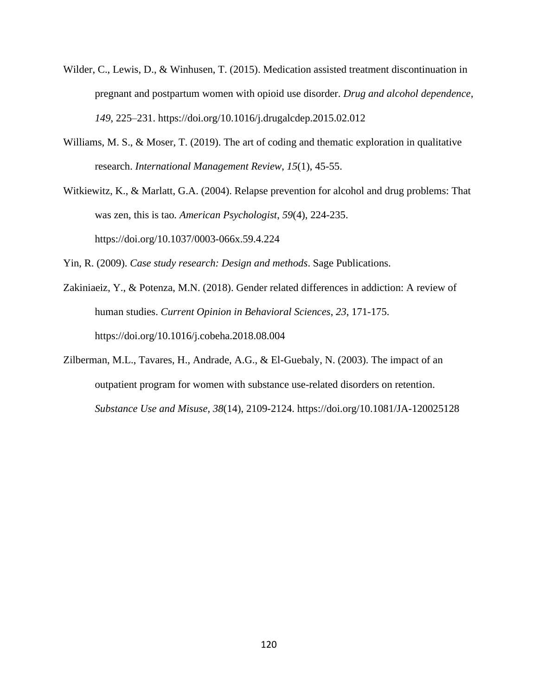- Wilder, C., Lewis, D., & Winhusen, T. (2015). Medication assisted treatment discontinuation in pregnant and postpartum women with opioid use disorder. *Drug and alcohol dependence*, *149*, 225–231. https://doi.org/10.1016/j.drugalcdep.2015.02.012
- Williams, M. S., & Moser, T. (2019). The art of coding and thematic exploration in qualitative research. *International Management Review*, *15*(1), 45-55.

Witkiewitz, K., & Marlatt, G.A. (2004). Relapse prevention for alcohol and drug problems: That was zen, this is tao*. American Psychologist*, *59*(4), 224-235. https://doi.org/10.1037/0003-066x.59.4.224

Yin, R. (2009). *Case study research: Design and methods*. Sage Publications.

- Zakiniaeiz, Y., & Potenza, M.N. (2018). Gender related differences in addiction: A review of human studies. *Current Opinion in Behavioral Sciences*, *23*, 171-175. https://doi.org/10.1016/j.cobeha.2018.08.004
- Zilberman, M.L., Tavares, H., Andrade, A.G., & El-Guebaly, N. (2003). The impact of an outpatient program for women with substance use-related disorders on retention. *Substance Use and Misuse, 38*(14), 2109-2124. https://doi.org/10.1081/JA-120025128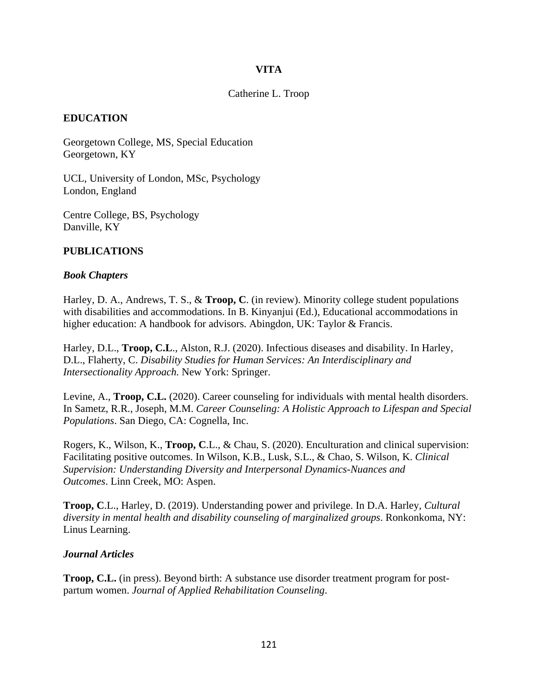# **VITA**

## Catherine L. Troop

# **EDUCATION**

Georgetown College, MS, Special Education Georgetown, KY

UCL, University of London, MSc, Psychology London, England

Centre College, BS, Psychology Danville, KY

# **PUBLICATIONS**

#### *Book Chapters*

Harley, D. A., Andrews, T. S., & **Troop, C**. (in review). Minority college student populations with disabilities and accommodations. In B. Kinyanjui (Ed.), Educational accommodations in higher education: A handbook for advisors. Abingdon, UK: Taylor & Francis.

Harley, D.L., **Troop, C.L**., Alston, R.J. (2020). Infectious diseases and disability. In Harley, D.L., Flaherty, C. *Disability Studies for Human Services: An Interdisciplinary and Intersectionality Approach.* New York: Springer.

Levine, A., **Troop, C.L.** (2020). Career counseling for individuals with mental health disorders. In Sametz, R.R., Joseph, M.M. *Career Counseling: A Holistic Approach to Lifespan and Special Populations*. San Diego, CA: Cognella, Inc.

Rogers, K., Wilson, K., **Troop, C**.L., & Chau, S. (2020). Enculturation and clinical supervision: Facilitating positive outcomes. In Wilson, K.B., Lusk, S.L., & Chao, S. Wilson, K. *Clinical Supervision: Understanding Diversity and Interpersonal Dynamics-Nuances and Outcomes*. Linn Creek, MO: Aspen.

**Troop, C**.L., Harley, D. (2019). Understanding power and privilege. In D.A. Harley, *Cultural diversity in mental health and disability counseling of marginalized groups*. Ronkonkoma, NY: Linus Learning.

#### *Journal Articles*

**Troop, C.L.** (in press). Beyond birth: A substance use disorder treatment program for postpartum women. *Journal of Applied Rehabilitation Counseling*.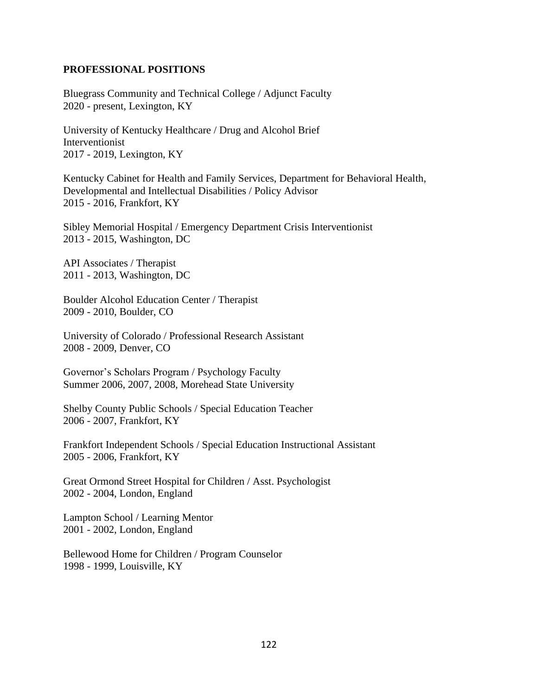### **PROFESSIONAL POSITIONS**

Bluegrass Community and Technical College / Adjunct Faculty 2020 - present, Lexington, KY

University of Kentucky Healthcare / Drug and Alcohol Brief Interventionist 2017 - 2019, Lexington, KY

Kentucky Cabinet for Health and Family Services, Department for Behavioral Health, Developmental and Intellectual Disabilities / Policy Advisor 2015 - 2016, Frankfort, KY

Sibley Memorial Hospital / Emergency Department Crisis Interventionist 2013 - 2015, Washington, DC

API Associates / Therapist 2011 - 2013, Washington, DC

Boulder Alcohol Education Center / Therapist 2009 - 2010, Boulder, CO

University of Colorado / Professional Research Assistant 2008 - 2009, Denver, CO

Governor's Scholars Program / Psychology Faculty Summer 2006, 2007, 2008, Morehead State University

Shelby County Public Schools / Special Education Teacher 2006 - 2007, Frankfort, KY

Frankfort Independent Schools / Special Education Instructional Assistant 2005 - 2006, Frankfort, KY

Great Ormond Street Hospital for Children / Asst. Psychologist 2002 - 2004, London, England

Lampton School / Learning Mentor 2001 - 2002, London, England

Bellewood Home for Children / Program Counselor 1998 - 1999, Louisville, KY